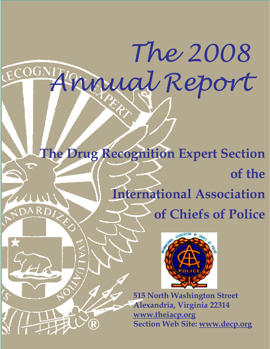**The Drug Recognition Expert Section of the International Association of Chiefs of Police**

**®**

*Annual Report*



*The 2008*

**515 North Washington Street Alexandria, Virginia 22314 www.theiacp.org Section Web Site: www.decp.org**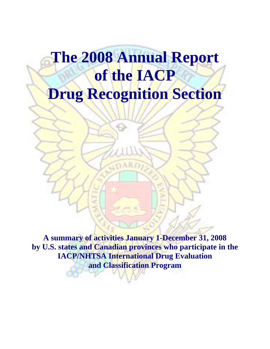# **The 2008 Annual Report of the IACP Drug Recognition Section**

**A summary of activities January 1-December 31, 2008 by U.S. states and Canadian provinces who participate in the IACP/NHTSA International Drug Evaluation and Classification Program**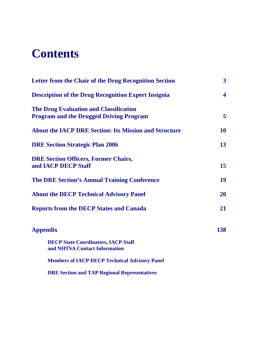# **Contents**

| <b>Letter from the Chair of the Drug Recognition Section</b>                                    | 3                       |
|-------------------------------------------------------------------------------------------------|-------------------------|
| <b>Description of the Drug Recognition Expert Insignia</b>                                      | $\overline{\mathbf{4}}$ |
| <b>The Drug Evaluation and Classification</b><br><b>Program and the Drugged Driving Program</b> | $\overline{5}$          |
| <b>About the IACP DRE Section: Its Mission and Structure</b>                                    | <b>10</b>               |
| <b>DRE Section Strategic Plan 2006</b>                                                          | 13 <sup>°</sup>         |
| <b>DRE Section Officers, Former Chairs,</b><br>and IACP DECP Staff                              | 15 <sup>15</sup>        |
| <b>The DRE Section's Annual Training Conference</b>                                             | 19                      |
| <b>About the DECP Technical Advisory Panel</b>                                                  | <b>20</b>               |
| <b>Reports from the DECP States and Canada</b>                                                  | 21                      |
| <b>Appendix</b>                                                                                 | 138                     |
| <b>DECP State Coordinators, IACP Staff</b><br>and NHTSA Contact Information                     |                         |
| <b>Members of IACP DECP Technical Advisory Panel</b>                                            |                         |
| <b>DRE Section and TAP Regional Representatives</b>                                             |                         |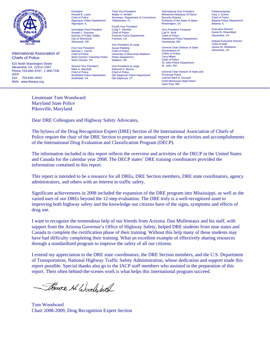

International Association of Chiefs of Police

515 North Washington Street Alexandria, VA 22314–2357 Phone: 703-836–6767; 1–800-THE IACP<br>Fax: Fax: 703-836–4543 Web: www.theiacp.org

President Russell B. Laine Chief of Police Algonquin Police Department Algonquin, IL

Immediate Past President Ronald C. Ruecker Director of Public Safety City of Sherwood Sherwood, OR

First Vice President Michael J. Carroll Chief of Police

West Chester, PA Second Vice President Mark A. Marshall Chief of Police

Smithfield, VA

Smithfield Police Department

West Goshen Township Police Vice President at Large Susan Riseling Chief of Police University of Wisconsin-Madison Police Department Madison, WI

Third Vice President Walter A. McNeil

Tallahassee, FL Fourth Vice President Craig T. Steckler Chief of Police Fremont Police Department

Fremont, CA

Secretary, Department of Corrections

Vice President at Large Edmund H. Mosca Chief of Police Old Saybrook Police Department Old Saybrook, CT

International Vice President Mohamed Abdulaziz Al-Nassr Security Attache Embassy of the State of Qatar Washington, DC

Vice President-Treasurer Carl R. Wolf Chief of Police Hazelwood Police Department Hazelwood, MO

General Chair Division of State Associations of Chiefs of Police Terry Milam Chief of Police St. John Police Department St. John, MO

General Chair Division of State and Provincial Police Colonel Mark A. Dunaski Chief Minnesota State Patrol Saint Paul, MN

Parliamentarian Gary J. Schira Chief of Police Batavia Police Department Batavia, IL

Executive Director Daniel N. Rosenblatt Alexandria, VA

Deputy Executive Director Chief of Staff James W. McMahon Alexandria, VA

Maryland State Police Pikesville, Maryland

Lieutenant Tom Woodward

Dear DRE Colleagues and Highway Safety Advocates,

The bylaws of the Drug Recognition Expert (DRE) Section of the International Association of Chiefs of Police require the chair of the DRE Section to prepare an annual report on the activities and accomplishments of the International Drug Evaluation and Classification Program (DECP).

The information included in this report reflects the overview and activities of the DECP in the United States and Canada for the calendar year 2008. The DECP states' DRE training coordinators provided the information contained in this report.

This report is intended to be a resource for all DREs, DRE Section members, DRE state coordinators, agency administrators, and others with an interest in traffic safety.

Significant achievements in 2008 included the expansion of the DRE program into Mississippi, as well as the varied uses of our DREs beyond the 12-step evaluation. The DRE truly is a well-recognized asset to improving both highway safety and the knowledge our citizens have of the signs, symptoms and effects of drug use.

I want to recognize the tremendous help of our friends from Arizona. Dan Mulleneaux and his staff, with support from the Arizona Governor's Office of Highway Safety, helped DRE students from nine states and Canada to complete the certification phase of their training. Without this help many of these students may have had difficulty completing their training. What an excellent example of effectively sharing resources through a standardized program to improve the safety of all our citizens.

I extend my appreciation to the DRE state coordinators, the DRE Section members, and the U.S. Department of Transportation, National Highway Traffic Safety Administration, whose dedication and support made this report possible. Special thanks also go to the IACP staff members who assisted in the preparation of this report. Their often behind-the-scenes work is what helps this international program succeed.

Thomas N. Wood ball

Tom Woodward Chair 2008-2009, Drug Recognition Expert Section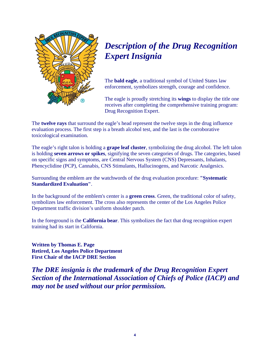

# *Description of the Drug Recognition Expert Insignia*

The **bald eagle**, a traditional symbol of United States law enforcement, symbolizes strength, courage and confidence.

The eagle is proudly stretching its **wings** to display the title one receives after completing the comprehensive training program: Drug Recognition Expert.

The **twelve rays** that surround the eagle's head represent the twelve steps in the drug influence evaluation process. The first step is a breath alcohol test, and the last is the corroborative toxicological examination.

The eagle's right talon is holding a **grape leaf cluster**, symbolizing the drug alcohol. The left talon is holding **seven arrows or spikes**, signifying the seven categories of drugs. The categories, based on specific signs and symptoms, are Central Nervous System (CNS) Depressants, Inhalants, Phencyclidine (PCP), Cannabis, CNS Stimulants, Hallucinogens, and Narcotic Analgesics.

Surrounding the emblem are the watchwords of the drug evaluation procedure: **"Systematic Standardized Evaluation"**.

In the background of the emblem's center is a **green cross**. Green, the traditional color of safety, symbolizes law enforcement. The cross also represents the center of the Los Angeles Police Department traffic division's uniform shoulder patch.

In the foreground is the **California bear**. This symbolizes the fact that drug recognition expert training had its start in California.

**Written by Thomas E. Page Retired, Los Angeles Police Department First Chair of the IACP DRE Section** 

*The DRE insignia is the trademark of the Drug Recognition Expert Section of the International Association of Chiefs of Police (IACP) and may not be used without our prior permission.*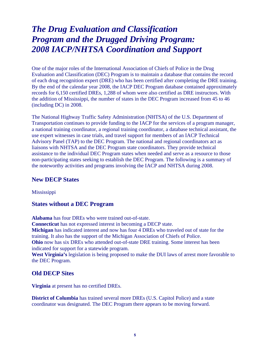# *The Drug Evaluation and Classification Program and the Drugged Driving Program: 2008 IACP/NHTSA Coordination and Support*

One of the major roles of the International Association of Chiefs of Police in the Drug Evaluation and Classification (DEC) Program is to maintain a database that contains the record of each drug recognition expert (DRE) who has been certified after completing the DRE training. By the end of the calendar year 2008, the IACP DEC Program database contained approximately records for 6,150 certified DREs, 1,288 of whom were also certified as DRE instructors. With the addition of Mississippi, the number of states in the DEC Program increased from 45 to 46 (including DC) in 2008.

The National Highway Traffic Safety Administration (NHTSA) of the U.S. Department of Transportation continues to provide funding to the IACP for the services of a program manager, a national training coordinator, a regional training coordinator, a database technical assistant, the use expert witnesses in case trials, and travel support for members of an IACP Technical Advisory Panel (TAP) to the DEC Program. The national and regional coordinators act as liaisons with NHTSA and the DEC Program state coordinators. They provide technical assistance to the individual DEC Program states when needed and serve as a resource to those non-participating states seeking to establish the DEC Program. The following is a summary of the noteworthy activities and programs involving the IACP and NHTSA during 2008.

#### **New DECP States**

Mississippi

#### **States without a DEC Program**

**Alabama** has four DREs who were trained out-of-state. **Connecticut** has not expressed interest in becoming a DECP state. **Michigan** has indicated interest and now has four 4 DREs who traveled out of state for the training. It also has the support of the Michigan Association of Chiefs of Police. **Ohio** now has six DREs who attended out-of-state DRE training. Some interest has been indicated for support for a statewide program. **West Virginia's** legislation is being proposed to make the DUI laws of arrest more favorable to the DEC Program.

#### **Old DECP Sites**

**Virginia** at present has no certified DREs.

**District of Columbia** has trained several more DREs (U.S. Capitol Police) and a state coordinator was designated. The DEC Program there appears to be moving forward.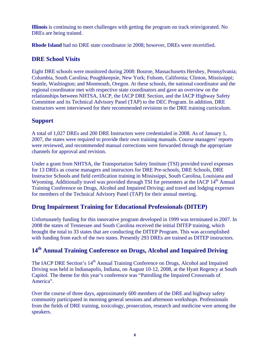**Illinois** is continuing to meet challenges with getting the program on track reinvigorated. No DREs are being trained.

**Rhode Island** had no DRE state coordinator in 2008; however, DREs were recertified.

#### **DRE School Visits**

Eight DRE schools were monitored during 2008: Bourne, Massachusetts Hershey, Pennsylvania; Columbia, South Carolina; Poughkeepsie, New York; Folsom, California; Clinton, Mississippi; Seattle, Washington; and Monmouth, Oregon. At these schools, the national coordinator and the regional coordinator met with respective state coordinators and gave an overview on the relationships between NHTSA, IACP, the IACP DRE Section, and the IACP Highway Safety Committee and its Technical Advisory Panel (TAP) to the DEC Program. In addition, DRE instructors were interviewed for their recommended revisions to the DRE training curriculum.

### **Support**

A total of 1,027 DREs and 200 DRE Instructors were credentialed in 2008. As of January 1, 2007, the states were required to provide their own training manuals. Course managers' reports were reviewed, and recommended manual corrections were forwarded through the appropriate channels for approval and revision.

Under a grant from NHTSA, the Transportation Safety Institute (TSI) provided travel expenses for 13 DREs as course managers and instructors for DRE Pre-schools, DRE Schools, DRE Instructor Schools and field certification training in Mississippi, South Carolina, Louisiana and Wyoming. Additionally travel was provided through TSI for presenters at the IACP 14<sup>th</sup> Annual Training Conference on Drugs, Alcohol and Impaired Driving; and travel and lodging expenses for members of the Technical Advisory Panel (TAP) for their annual meeting.

#### **Drug Impairment Training for Educational Professionals (DITEP)**

Unfortunately funding for this innovative program developed in 1999 was terminated in 2007. In 2008 the states of Tennessee and South Carolina received the initial DITEP training, which brought the total to 33 states that are conducting the DITEP Program. This was accomplished with funding from each of the two states. Presently 293 DREs are trained as DITEP instructors.

# **14th Annual Training Conference on Drugs, Alcohol and Impaired Driving**

The IACP DRE Section's 14<sup>th</sup> Annual Training Conference on Drugs, Alcohol and Impaired Driving was held in Indianapolis, Indiana, on August 10-12, 2008, at the Hyatt Regency at South Capitol. The theme for this year's conference was "Patrolling the Impaired Crossroads of America".

Over the course of three days, approximately 600 members of the DRE and highway safety community participated in morning general sessions and afternoon workshops. Professionals from the fields of DRE training, toxicology, prosecution, research and medicine were among the speakers.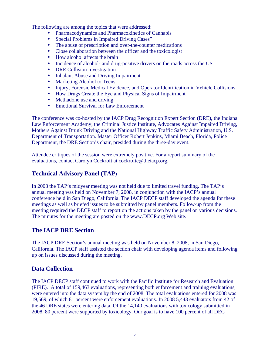The following are among the topics that were addressed:

- Pharmacodynamics and Pharmacokinetics of Cannabis
- Special Problems in Impaired Driving Cases"
- The abuse of prescription and over-the-counter medications
- Close collaboration between the officer and the toxicologist
- How alcohol affects the brain
- Incidence of alcohol- and drug-positive drivers on the roads across the US
- DRE Collision Investigation
- Inhalant Abuse and Driving Impairment
- Marketing Alcohol to Teens
- Injury, Forensic Medical Evidence, and Operator Identification in Vehicle Collisions
- How Drugs Create the Eye and Physical Signs of Impairment
- Methadone use and driving
- Emotional Survival for Law Enforcement

The conference was co-hosted by the IACP Drug Recognition Expert Section (DRE), the Indiana Law Enforcement Academy, the Criminal Justice Institute, Advocates Against Impaired Driving, Mothers Against Drunk Driving and the National Highway Traffic Safety Administration, U.S. Department of Transportation. Master Officer Robert Jenkins, Miami Beach, Florida, Police Department, the DRE Section's chair, presided during the three-day event.

Attendee critiques of the session were extremely positive. For a report summary of the evaluations, contact Carolyn Cockroft at cockroftc@theiacp.org.

### **Technical Advisory Panel (TAP)**

In 2008 the TAP's midyear meeting was not held due to limited travel funding. The TAP's annual meeting was held on November 7, 2008, in conjunction with the IACP's annual conference held in San Diego, California. The IACP DECP staff developed the agenda for these meetings as well as briefed issues to be submitted by panel members. Follow-up from the meeting required the DECP staff to report on the actions taken by the panel on various decisions. The minutes for the meeting are posted on the www.DECP.org Web site.

#### **The IACP DRE Section**

The IACP DRE Section's annual meeting was held on November 8, 2008, in San Diego, California. The IACP staff assisted the section chair with developing agenda items and following up on issues discussed during the meeting.

### **Data Collection**

The IACP DECP staff continued to work with the Pacific Institute for Research and Evaluation (PIRE). A total of 159,463 evaluations, representing both enforcement and training evaluations, were entered into the data system by the end of 2008. The total evaluations entered for 2008 was 19,569, of which 81 percent were enforcement evaluations. In 2008 5,443 evaluators from 42 of the 46 DRE states were entering data. Of the 14,140 evaluations with toxicology submitted in 2008, 80 percent were supported by toxicology. Our goal is to have 100 percent of all DEC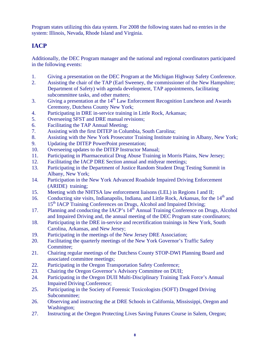Program states utilizing this data system. For 2008 the following states had no entries in the system: Illinois, Nevada, Rhode Island and Virginia.

# **IACP**

Additionally, the DEC Program manager and the national and regional coordinators participated in the following events:

- 1. Giving a presentation on the DEC Program at the Michigan Highway Safety Conference.
- 2. Assisting the chair of the TAP (Earl Sweeney, the commissioner of the New Hampshire; Department of Safety) with agenda development, TAP appointments, facilitating subcommittee tasks, and other matters;
- 3. Giving a presentation at the  $14<sup>th</sup>$  Law Enforcement Recognition Luncheon and Awards Ceremony, Dutchess County New York;
- 4. Participating in DRE in-service training in Little Rock, Arkansas;
- 5. Overseeing SFST and DRE manual revisions;
- 6. Facilitating the TAP Annual Meeting;
- 7. Assisting with the first DITEP in Columbia, South Carolina;
- 8. Assisting with the New York Prosecutor Training Institute training in Albany, New York;
- 9. Updating the DITEP PowerPoint presentation;
- 10. Overseeing updates to the DITEP Instructor Manual;
- 11. Participating in Pharmaceutical Drug Abuse Training in Morris Plains, New Jersey;
- 12. Facilitating the IACP DRE Section annual and midyear meetings;
- 13. Participating in the Department of Justice Random Student Drug Testing Summit in Albany, New York;
- 14. Participation in the New York Advanced Roadside Impaired Driving Enforcement (ARIDE) training;
- 15. Meeting with the NHTSA law enforcement liaisons (LEL) in Regions I and II;
- 16. Conducting site visits, Indianapolis, Indiana, and Little Rock, Arkansas, for the 14<sup>th</sup> and 15<sup>th</sup> IACP Training Conferences on Drugs, Alcohol and Impaired Driving;
- 17. Planning and conducting the IACP's 14<sup>th</sup> Annual Training Conference on Drugs, Alcohol and Impaired Driving and, the annual meeting of the DEC Program state coordinators;
- 18. Participating in the DRE in-service and recertification trainings in New York, South Carolina, Arkansas, and New Jersey;
- 19. Participating in the meetings of the New Jersey DRE Association;
- 20. Facilitating the quarterly meetings of the New York Governor's Traffic Safety Committee;
- 21. Chairing regular meetings of the Dutchess County STOP-DWI Planning Board and associated committee meetings;
- 22. Participating in the Oregon Transportation Safety Conference;
- 23. Chairing the Oregon Governor's Advisory Committee on DUII;
- 24. Participating in the Oregon DUII Multi-Disciplinary Training Task Force's Annual Impaired Driving Conference;
- 25. Participating in the Society of Forensic Toxicologists (SOFT) Drugged Driving Subcommittee;
- 26. Observing and instructing the at DRE Schools in California, Mississippi, Oregon and Washington;
- 27. Instructing at the Oregon Protecting Lives Saving Futures Course in Salem, Oregon;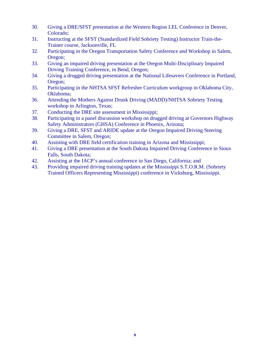- 30. Giving a DRE/SFST presentation at the Western Region LEL Conference in Denver, Colorado;
- 31. Instructing at the SFST (Standardized Field Sobriety Testing) Instructor Train-the-Trainer course, Jacksonville, FL
- 32. Participating in the Oregon Transportation Safety Conference and Workshop in Salem, Oregon;
- 33. Giving an impaired driving presentation at the Oregon Multi-Disciplinary Impaired Driving Training Conference, in Bend, Oregon;
- 34. Giving a drugged driving presentation at the National Lifesavers Conference in Portland, Oregon;
- 35. Participating in the NHTSA SFST Refresher Curriculum workgroup in Oklahoma City, Oklahoma;
- 36. Attending the Mothers Against Drunk Driving (MADD)/NHTSA Sobriety Testing workshop in Arlington, Texas;
- 37. Conducting the DRE site assessment in Mississippi;
- 38. Participating in a panel discussion workshop on drugged driving at Governors Highway Safety Administrators (GHSA) Conference in Phoenix, Arizona;
- 39. Giving a DRE, SFST and ARIDE update at the Oregon Impaired Driving Steering Committee in Salem, Oregon;
- 40. Assisting with DRE field certification training in Arizona and Mississippi;
- 41. Giving a DRE presentation at the South Dakota Impaired Driving Conference in Sioux Falls, South Dakota;
- 42. Assisting at the IACP's annual conference in San Diego, California; and
- 43. Providing impaired driving training updates at the Mississippi S.T.O.R.M. (Sobriety Trained Officers Representing Mississippi) conference in Vicksburg, Mississippi.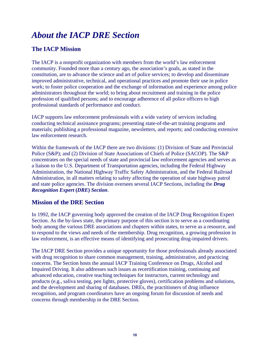# *About the IACP DRE Section*

### **The IACP Mission**

The IACP is a nonprofit organization with members from the world's law enforcement community. Founded more than a century ago, the association's goals, as stated in the constitution, are to advance the science and art of police services; to develop and disseminate improved administrative, technical, and operational practices and promote their use in police work; to foster police cooperation and the exchange of information and experience among police administrators throughout the world; to bring about recruitment and training in the police profession of qualified persons; and to encourage adherence of all police officers to high professional standards of performance and conduct.

IACP supports law enforcement professionals with a wide variety of services including conducting technical assistance programs; presenting state-of-the-art training programs and materials; publishing a professional magazine, newsletters, and reports; and conducting extensive law enforcement research.

Within the framework of the IACP there are two divisions: (1) Division of State and Provincial Police (S&P); and (2) Division of State Associations of Chiefs of Police (SACOP). The S&P concentrates on the special needs of state and provincial law enforcement agencies and serves as a liaison to the U.S. Department of Transportation agencies, including the Federal Highway Administration, the National Highway Traffic Safety Administration, and the Federal Railroad Administration, in all matters relating to safety affecting the operation of state highway patrol and state police agencies. The division oversees several IACP Sections, including the *Drug Recognition Expert* **(***DRE***)** *Section*.

#### **Mission of the DRE Section**

In 1992, the IACP governing body approved the creation of the IACP Drug Recognition Expert Section. As the by-laws state, the primary purpose of this section is to serve as a coordinating body among the various DRE associations and chapters within states, to serve as a resource, and to respond to the views and needs of the membership. Drug recognition, a growing profession in law enforcement, is an effective means of identifying and prosecuting drug-impaired drivers.

The IACP DRE Section provides a unique opportunity for those professionals already associated with drug recognition to share common management, training, administrative, and practicing concerns. The Section hosts the annual IACP Training Conference on Drugs, Alcohol and Impaired Driving. It also addresses such issues as recertification training, continuing and advanced education, creative teaching techniques for instructors, current technology and products (e.g., saliva testing, pen lights, protective gloves), certification problems and solutions, and the development and sharing of databases. DREs, the practitioners of drug influence recognition, and program coordinators have an ongoing forum for discussion of needs and concerns through membership in the DRE Section.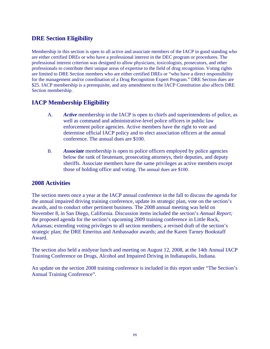### **DRE Section Eligibility**

Membership in this section is open to all active and associate members of the IACP in good standing who are either certified DREs or who have a professional interest in the DEC program or procedures. The professional interest criterion was designed to allow physicians, toxicologists, prosecutors, and other professionals to contribute their unique areas of expertise to the field of drug recognition. Voting rights are limited to DRE Section members who are either certified DREs or "who have a direct responsibility for the management and/or coordination of a Drug Recognition Expert Program." DRE Section dues are \$25. IACP membership is a prerequisite, and any amendment to the IACP Constitution also affects DRE Section membership.

### **IACP Membership Eligibility**

- A. *Active* membership in the IACP is open to chiefs and superintendents of police, as well as command and administrative-level police officers in public law enforcement police agencies. Active members have the right to vote and determine official IACP policy and to elect association officers at the annual conference. The annual dues are \$100.
- B. *Associate* membership is open to police officers employed by police agencies below the rank of lieutenant, prosecuting attorneys, their deputies, and deputy sheriffs. Associate members have the same privileges as active members except those of holding office and voting. The annual dues are \$100.

#### **2008 Activities**

The section meets once a year at the IACP annual conference in the fall to discuss the agenda for the annual impaired driving training conference, update its strategic plan, vote on the section's awards, and to conduct other pertinent business. The 2008 annual meeting was held on November 8, in San Diego, California. Discussion items included the section's *Annual Report;* the proposed agenda for the section's upcoming 2009 training conference in Little Rock, Arkansas; extending voting privileges to all section members; a revised draft of the section's strategic plan; the DRE Emeritus and Ambassador awards; and the Karen Tarney Bookstaff Award.

The section also held a midyear lunch and meeting on August 12, 2008, at the 14th Annual IACP Training Conference on Drugs, Alcohol and Impaired Driving in Indianapolis, Indiana.

An update on the section 2008 training conference is included in this report under "The Section's Annual Training Conference".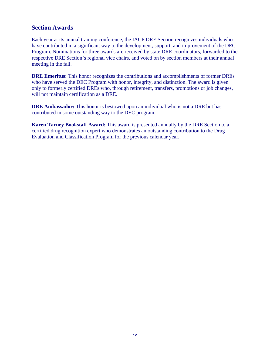#### **Section Awards**

Each year at its annual training conference, the IACP DRE Section recognizes individuals who have contributed in a significant way to the development, support, and improvement of the DEC Program. Nominations for three awards are received by state DRE coordinators, forwarded to the respective DRE Section's regional vice chairs, and voted on by section members at their annual meeting in the fall.

**DRE Emeritus:** This honor recognizes the contributions and accomplishments of former DREs who have served the DEC Program with honor, integrity, and distinction. The award is given only to formerly certified DREs who, through retirement, transfers, promotions or job changes, will not maintain certification as a DRE.

**DRE Ambassador:** This honor is bestowed upon an individual who is not a DRE but has contributed in some outstanding way to the DEC program.

**Karen Tarney Bookstaff Award:** This award is presented annually by the DRE Section to a certified drug recognition expert who demonstrates an outstanding contribution to the Drug Evaluation and Classification Program for the previous calendar year.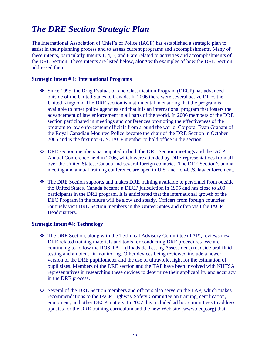# *The DRE Section Strategic Plan*

The International Association of Chief's of Police (IACP) has established a strategic plan to assist in their planning process and to assess current programs and accomplishments. Many of these intents, particularly Intents 1, 4, 5, and 8 are related to activities and accomplishments of the DRE Section. These intents are listed below, along with examples of how the DRE Section addressed them.

#### **Strategic Intent # 1: International Programs**

- Since 1995, the Drug Evaluation and Classification Program (DECP) has advanced outside of the United States to Canada. In 2006 there were several active DREs the United Kingdom. The DRE section is instrumental in ensuring that the program is available to other police agencies and that it is an international program that fosters the advancement of law enforcement in all parts of the world. In 2006 members of the DRE section participated in meetings and conferences promoting the effectiveness of the program to law enforcement officials from around the world. Corporal Evan Graham of the Royal Canadian Mounted Police became the chair of the DRE Section in October 2005 and is the first non-U.S. IACP member to hold office in the section.
- DRE section members participated in both the DRE Section meetings and the IACP Annual Conference held in 2006, which were attended by DRE representatives from all over the United States, Canada and several foreign countries. The DRE Section's annual meeting and annual training conference are open to U.S. and non-U.S. law enforcement.
- The DRE Section supports and makes DRE training available to personnel from outside the United States. Canada became a DECP jurisdiction in 1995 and has close to 200 participants in the DRE program. It is anticipated that the international growth of the DEC Program in the future will be slow and steady. Officers from foreign countries routinely visit DRE Section members in the United States and often visit the IACP Headquarters.

#### **Strategic Intent #4: Technology**

- The DRE Section, along with the Technical Advisory Committee (TAP), reviews new DRE related training materials and tools for conducting DRE procedures. We are continuing to follow the ROSITA II (Roadside Testing Assessment) roadside oral fluid testing and ambient air monitoring. Other devices being reviewed include a newer version of the DRE pupillometer and the use of ultraviolet light for the estimation of pupil sizes. Members of the DRE section and the TAP have been involved with NHTSA representatives in researching these devices to determine their applicability and accuracy in the DRE process.
- Several of the DRE Section members and officers also serve on the TAP, which makes recommendations to the IACP Highway Safety Committee on training, certification, equipment, and other DECP matters. In 2007 this included ad hoc committees to address updates for the DRE training curriculum and the new Web site (www.decp.org) that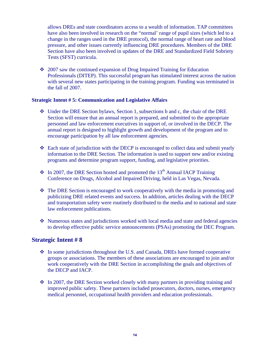allows DREs and state coordinators access to a wealth of information. TAP committees have also been involved in research on the "normal' range of pupil sizes (which led to a change in the ranges used in the DRE protocol), the normal range of heart rate and blood pressure, and other issues currently influencing DRE procedures. Members of the DRE Section have also been involved in updates of the DRE and Standardized Field Sobriety Tests (SFST) curricula.

 $\div$  2007 saw the continued expansion of Drug Impaired Training for Education Professionals (DITEP). This successful program has stimulated interest across the nation with several new states participating in the training program. Funding was terminated in the fall of 2007.

#### **Strategic Intent # 5: Communication and Legislative Affairs**

- Under the DRE Section bylaws, Section 1, subsections b and c, the chair of the DRE Section will ensure that an annual report is prepared, and submitted to the appropriate personnel and law enforcement executives in support of, or involved in the DECP. The annual report is designed to highlight growth and development of the program and to encourage participation by all law enforcement agencies.
- $\div$  Each state of jurisdiction with the DECP is encouraged to collect data and submit yearly information to the DRE Section. The information is used to support new and/or existing programs and determine program support, funding, and legislative priorities.
- $\cdot$  In 2007, the DRE Section hosted and promoted the 13<sup>th</sup> Annual IACP Training Conference on Drugs, Alcohol and Impaired Driving, held in Las Vegas, Nevada.
- The DRE Section is encouraged to work cooperatively with the media in promoting and publicizing DRE related events and success. In addition, articles dealing with the DECP and transportation safety were routinely distributed to the media and to national and state law enforcement publications.
- Numerous states and jurisdictions worked with local media and state and federal agencies to develop effective public service announcements (PSAs) promoting the DEC Program.

#### **Strategic Intent # 8**

- In some jurisdictions throughout the U.S. and Canada, DREs have formed cooperative groups or associations. The members of these associations are encouraged to join and/or work cooperatively with the DRE Section in accomplishing the goals and objectives of the DECP and IACP.
- $\div$  In 2007, the DRE Section worked closely with many partners in providing training and improved public safety. These partners included prosecutors, doctors, nurses, emergency medical personnel, occupational health providers and education professionals.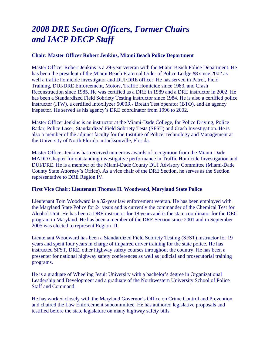# *2008 DRE Section Officers, Former Chairs and IACP DECP Staff*

#### **Chair: Master Officer Robert Jenkins, Miami Beach Police Department**

Master Officer Robert Jenkins is a 29-year veteran with the Miami Beach Police Department. He has been the president of the Miami Beach Fraternal Order of Police Lodge #8 since 2002 as well a traffic homicide investigator and DUI/DRE officer. He has served in Patrol, Field Training, DUI/DRE Enforcement, Motors, Traffic Homicide since 1983, and Crash Reconstruction since 1985. He was certified as a DRE in 1989 and a DRE instructor in 2002. He has been a Standardized Field Sobriety Testing instructor since 1984. He is also a certified police instructor (ITW), a certified Intoxilyzer 5000R / Breath Test operator (BTO), and an agency inspector. He served as his agency's DRE coordinator from 1996 to 2002.

Master Officer Jenkins is an instructor at the Miami-Dade College, for Police Driving, Police Radar, Police Laser, Standardized Field Sobriety Tests (SFST) and Crash Investigation. He is also a member of the adjunct faculty for the Institute of Police Technology and Management at the University of North Florida in Jacksonville, Florida.

Master Officer Jenkins has received numerous awards of recognition from the Miami-Dade MADD Chapter for outstanding investigative performance in Traffic Homicide Investigation and DUI/DRE. He is a member of the Miami-Dade County DUI Advisory Committee (Miami-Dade County State Attorney's Office). As a vice chair of the DRE Section, he serves as the Section representative to DRE Region IV.

#### **First Vice Chair: Lieutenant Thomas H. Woodward, Maryland State Police**

Lieutenant Tom Woodward is a 32-year law enforcement veteran. He has been employed with the Maryland State Police for 24 years and is currently the commander of the Chemical Test for Alcohol Unit. He has been a DRE instructor for 18 years and is the state coordinator for the DEC program in Maryland. He has been a member of the DRE Section since 2001 and in September 2005 was elected to represent Region III.

Lieutenant Woodward has been a Standardized Field Sobriety Testing (SFST) instructor for 19 years and spent four years in charge of impaired driver training for the state police. He has instructed SFST, DRE, other highway safety courses throughout the country. He has been a presenter for national highway safety conferences as well as judicial and prosecutorial training programs.

He is a graduate of Wheeling Jesuit University with a bachelor's degree in Organizational Leadership and Development and a graduate of the Northwestern University School of Police Staff and Command.

He has worked closely with the Maryland Governor's Office on Crime Control and Prevention and chaired the Law Enforcement subcommittee. He has authored legislative proposals and testified before the state legislature on many highway safety bills.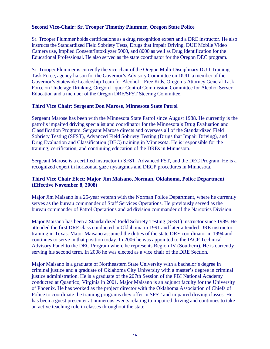#### **Second Vice-Chair: Sr. Trooper Timothy Plummer, Oregon State Police**

Sr. Trooper Plummer holds certifications as a drug recognition expert and a DRE instructor. He also instructs the Standardized Field Sobriety Tests, Drugs that Impair Driving, DUII Mobile Video Camera use, Implied Consent/Intoxilyzer 5000, and 8000 as well as Drug Identification for the Educational Professional. He also served as the state coordinator for the Oregon DEC program.

Sr. Trooper Plummer is currently the vice chair of the Oregon Multi-Disciplinary DUII Training Task Force, agency liaison for the Governor's Advisory Committee on DUII, a member of the Governor's Statewide Leadership Team for Alcohol – Free Kids, Oregon's Attorney General Task Force on Underage Drinking, Oregon Liquor Control Commission Committee for Alcohol Server Education and a member of the Oregon DRE/SFST Steering Committee.

#### **Third Vice Chair: Sergeant Don Marose, Minnesota State Patrol**

Sergeant Marose has been with the Minnesota State Patrol since August 1988. He currently is the patrol's impaired driving specialist and coordinator for the Minnesota's Drug Evaluation and Classification Program. Sergeant Marose directs and oversees all of the Standardized Field Sobriety Testing (SFST), Advanced Field Sobriety Testing (Drugs that Impair Driving), and Drug Evaluation and Classification (DEC) training in Minnesota. He is responsible for the training, certification, and continuing education of the DREs in Minnesota.

Sergeant Marose is a certified instructor in SFST, Advanced FST, and the DEC Program. He is a recognized expert in horizontal gaze nystagmus and DECP procedures in Minnesota.

#### **Third Vice Chair Elect: Major Jim Maisano, Norman, Oklahoma, Police Department (Effective November 8, 2008)**

Major Jim Maisano is a 25-year veteran with the Norman Police Department, where he currently serves as the bureau commander of Staff Services Operations. He previously served as the bureau commander of Patrol Operations and ad division commander of the Narcotics Division.

Major Maisano has been a Standardized Field Sobriety Testing (SFST) instructor since 1989. He attended the first DRE class conducted in Oklahoma in 1991 and later attended DRE instructor training in Texas. Major Maisano assumed the duties of the state DRE coordinator in 1994 and continues to serve in that position today. In 2006 he was appointed to the IACP Technical Advisory Panel to the DEC Program where he represents Region IV (Southern). He is currently serving his second term. In 2008 he was elected as a vice chair of the DRE Section.

Major Maisano is a graduate of Northeastern State University with a bachelor's degree in criminal justice and a graduate of Oklahoma City University with a master's degree in criminal justice administration. He is a graduate of the 207th Session of the FBI National Academy conducted at Quantico, Virginia in 2001. Major Maisano is an adjunct faculty for the University of Phoenix. He has worked as the project director with the Oklahoma Association of Chiefs of Police to coordinate the training programs they offer in SFST and impaired driving classes. He has been a guest presenter at numerous events relating to impaired driving and continues to take an active teaching role in classes throughout the state.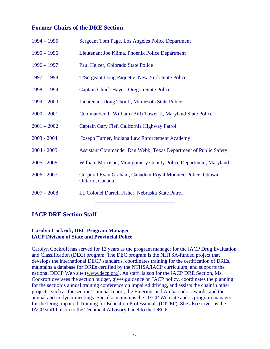#### **Former Chairs of the DRE Section**

| $1994 - 1995$ | Sergeant Tom Page, Los Angeles Police Department                                |
|---------------|---------------------------------------------------------------------------------|
| $1995 - 1996$ | Lieutenant Joe Klima, Phoenix Police Department                                 |
| $1996 - 1997$ | Paul Helzer, Colorado State Police                                              |
| $1997 - 1998$ | T/Sergeant Doug Paquette, New York State Police                                 |
| $1998 - 1999$ | Captain Chuck Hayes, Oregon State Police                                        |
| $1999 - 2000$ | Lieutenant Doug Thooft, Minnesota State Police                                  |
| $2000 - 2001$ | Commander T. William (Bill) Tower II, Maryland State Police                     |
| $2001 - 2002$ | Captain Gary Fief, California Highway Patrol                                    |
| $2003 - 2004$ | Joseph Turner, Indiana Law Enforcement Academy                                  |
| $2004 - 2005$ | Assistant Commander Dan Webb, Texas Department of Public Safety                 |
| $2005 - 2006$ | William Morrison, Montgomery County Police Department, Maryland                 |
| $2006 - 2007$ | Corporal Evan Graham, Canadian Royal Mounted Police, Ottawa,<br>Ontario, Canada |
| $2007 - 2008$ | Lt. Colonel Darrell Fisher, Nebraska State Patrol                               |

#### **IACP DRE Section Staff**

#### **Carolyn Cockroft, DEC Program Manager IACP Division of State and Provincial Police**

Carolyn Cockroft has served for 13 years as the program manager for the IACP Drug Evaluation and Classification (DEC) program. The DEC program is the NHTSA-funded project that develops the international DECP standards, coordinates training for the certification of DREs, maintains a database for DREs certified by the NTHSA/IACP curriculum, and supports the national DECP Web site (www.decp.org). As staff liaison for the IACP DRE Section, Ms. Cockroft oversees the section budget, gives guidance on IACP policy, coordinates the planning for the section's annual training conference on impaired driving, and assists the chair in other projects, such as the section's annual report, the Emeritus and Ambassador awards, and the annual and midyear meetings. She also maintains the DECP Web site and is program manager for the Drug Impaired Training for Education Professionals (DITEP). She also serves as the IACP staff liaison to the Technical Advisory Panel to the DECP.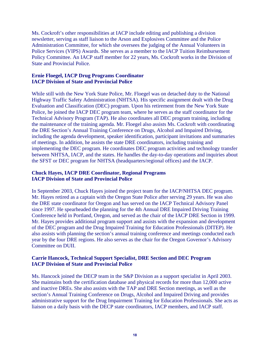Ms. Cockroft's other responsibilities at IACP include editing and publishing a division newsletter, serving as staff liaison to the Arson and Explosives Committee and the Police Administration Committee, for which she oversees the judging of the Annual Volunteers in Police Services (VIPS) Awards. She serves as a member to the IACP Tuition Reimbursement Policy Committee. An IACP staff member for 22 years, Ms. Cockroft works in the Division of State and Provincial Police.

#### **Ernie Floegel, IACP Drug Programs Coordinator IACP Division of State and Provincial Police**

While still with the New York State Police, Mr. Floegel was on detached duty to the National Highway Traffic Safety Administration (NHTSA). His specific assignment dealt with the Drug Evaluation and Classification (DEC) program. Upon his retirement from the New York State Police, he joined the IACP DEC program team, where he serves as the staff coordinator for the Technical Advisory Program (TAP). He also coordinates all DEC program training, including the maintenance of the training agenda. Mr. Floegel also assists Ms. Cockroft with coordinating the DRE Section's Annual Training Conference on Drugs, Alcohol and Impaired Driving, including the agenda development, speaker identification, participant invitations and summaries of meetings. In addition, he assists the state DRE coordinators, including training and implementing the DEC program. He coordinates DEC program activities and technology transfer between NHTSA, IACP, and the states. He handles the day-to-day operations and inquiries about the SFST or DEC program for NHTSA (headquarters/regional offices) and the IACP.

#### **Chuck Hayes, IACP DRE Coordinator, Regional Programs IACP Division of State and Provincial Police**

In September 2003, Chuck Hayes joined the project team for the IACP/NHTSA DEC program. Mr. Hayes retired as a captain with the Oregon State Police after serving 29 years. He was also the DRE state coordinator for Oregon and has served on the IACP Technical Advisory Panel since 1997. He spearheaded the planning for the 4th Annual DRE Impaired Driving Training Conference held in Portland, Oregon, and served as the chair of the IACP DRE Section in 1999. Mr. Hayes provides additional program support and assists with the expansion and development of the DEC program and the Drug Impaired Training for Education Professionals (DITEP). He also assists with planning the section's annual training conference and meetings conducted each year by the four DRE regions. He also serves as the chair for the Oregon Governor's Advisory Committee on DUII.

#### **Carrie Hancock, Technical Support Specialist, DRE Section and DEC Program IACP Division of State and Provincial Police**

Ms. Hancock joined the DECP team in the S&P Division as a support specialist in April 2003. She maintains both the certification database and physical records for more than 12,000 active and inactive DREs. She also assists with the TAP and DRE Section meetings, as well as the section's Annual Training Conference on Drugs, Alcohol and Impaired Driving and provides administrative support for the Drug Impairment Training for Education Professionals. She acts as liaison on a daily basis with the DECP state coordinators, IACP members, and IACP staff.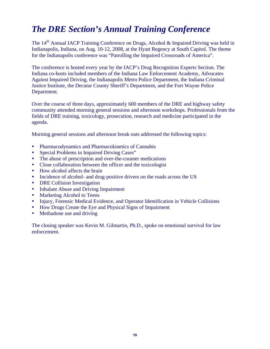# *The DRE Section's Annual Training Conference*

The 14<sup>th</sup> Annual IACP Training Conference on Drugs, Alcohol & Impaired Driving was held in Indianapolis, Indiana, on Aug. 10-12, 2008, at the Hyatt Regency at South Capitol. The theme for the Indianapolis conference was "Patrolling the Impaired Crossroads of America".

The conference is hosted every year by the IACP's Drug Recognition Experts Section. The Indiana co-hosts included members of the Indiana Law Enforcement Academy, Advocates Against Impaired Driving, the Indianapolis Metro Police Department, the Indiana Criminal Justice Institute, the Decatur County Sheriff's Department, and the Fort Wayne Police Department.

Over the course of three days, approximately 600 members of the DRE and highway safety community attended morning general sessions and afternoon workshops. Professionals from the fields of DRE training, toxicology, prosecution, research and medicine participated in the agenda.

Morning general sessions and afternoon break outs addressed the following topics:

- Pharmacodynamics and Pharmacokinetics of Cannabis
- Special Problems in Impaired Driving Cases"
- The abuse of prescription and over-the-counter medications
- Close collaboration between the officer and the toxicologist
- How alcohol affects the brain
- Incidence of alcohol- and drug-positive drivers on the roads across the US
- DRE Collision Investigation
- Inhalant Abuse and Driving Impairment
- Marketing Alcohol to Teens
- Injury, Forensic Medical Evidence, and Operator Identification in Vehicle Collisions
- How Drugs Create the Eye and Physical Signs of Impairment
- Methadone use and driving

The closing speaker was Kevin M. Gilmartin, Ph.D., spoke on emotional survival for law enforcement.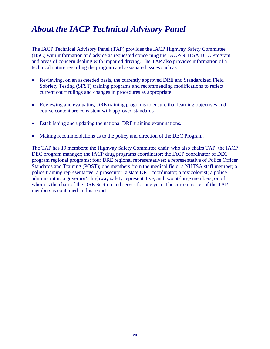# *About the IACP Technical Advisory Panel*

The IACP Technical Advisory Panel (TAP) provides the IACP Highway Safety Committee (HSC) with information and advice as requested concerning the IACP/NHTSA DEC Program and areas of concern dealing with impaired driving. The TAP also provides information of a technical nature regarding the program and associated issues such as

- Reviewing, on an as-needed basis, the currently approved DRE and Standardized Field Sobriety Testing (SFST) training programs and recommending modifications to reflect current court rulings and changes in procedures as appropriate.
- Reviewing and evaluating DRE training programs to ensure that learning objectives and course content are consistent with approved standards
- Establishing and updating the national DRE training examinations.
- Making recommendations as to the policy and direction of the DEC Program.

The TAP has 19 members: the Highway Safety Committee chair, who also chairs TAP; the IACP DEC program manager; the IACP drug programs coordinator; the IACP coordinator of DEC program regional programs; four DRE regional representatives; a representative of Police Officer Standards and Training (POST); one members from the medical field; a NHTSA staff member; a police training representative; a prosecutor; a state DRE coordinator; a toxicologist; a police administrator; a governor's highway safety representative, and two at-large members, on of whom is the chair of the DRE Section and serves for one year. The current roster of the TAP members is contained in this report.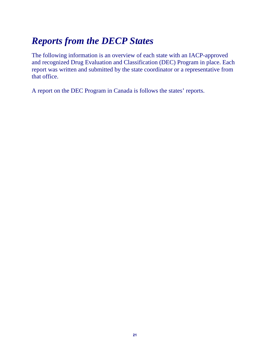# *Reports from the DECP States*

The following information is an overview of each state with an IACP-approved and recognized Drug Evaluation and Classification (DEC) Program in place. Each report was written and submitted by the state coordinator or a representative from that office.

A report on the DEC Program in Canada is follows the states' reports.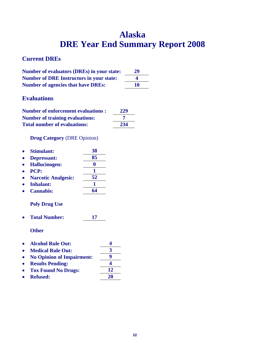# **Alaska DRE Year End Summary Report 2008**

#### **Current DREs**

| <b>Number of evaluators (DREs) in your state:</b> | 29 |
|---------------------------------------------------|----|
| <b>Number of DRE Instructors in your state:</b>   | 4  |
| <b>Number of agencies that have DREs:</b>         | 10 |

### **Evaluations**

| <b>Number of enforcement evaluations :</b> | 229 |
|--------------------------------------------|-----|
| <b>Number of training evaluations:</b>     |     |
| <b>Total number of evaluations:</b>        | 234 |

#### **Drug Category** (DRE Opinion)

| <b>Stimulant:</b>          | 38 |
|----------------------------|----|
| Depressant:                | 85 |
| <b>Hallucinogen:</b>       |    |
| <b>PCP:</b>                |    |
| <b>Narcotic Analgesic:</b> | 52 |
| <b>Inhalant:</b>           |    |
| <b>Cannabis:</b>           | 64 |

#### **Poly Drug Use**

**Total Number: 17** 

**Other** 

- **Alcohol Rule Out: 4**
- Medical Rule Out: 3
- No Opinion of Impairment:  $\frac{9}{4}$
- **• Results Pending:**
- Tox Found No Drugs: 12
- **Refused: 20**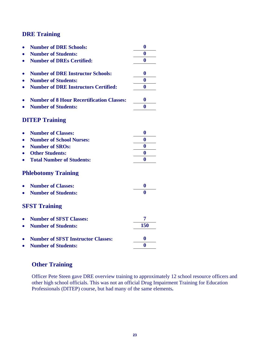#### **DRE Training**

|           | <b>Number of DRE Schools:</b>                    | $\bf{0}$         |
|-----------|--------------------------------------------------|------------------|
|           | <b>Number of Students:</b>                       | $\bf{0}$         |
|           | <b>Number of DREs Certified:</b>                 | $\bf{0}$         |
|           |                                                  |                  |
|           | <b>Number of DRE Instructor Schools:</b>         | $\bf{0}$         |
|           | <b>Number of Students:</b>                       | $\bf{0}$         |
|           | <b>Number of DRE Instructors Certified:</b>      | 0                |
|           | <b>Number of 8 Hour Recertification Classes:</b> | $\bf{0}$         |
|           | <b>Number of Students:</b>                       | 0                |
|           | <b>DITEP Training</b>                            |                  |
|           | <b>Number of Classes:</b>                        | $\boldsymbol{0}$ |
|           | <b>Number of School Nurses:</b>                  | $\bf{0}$         |
|           | <b>Number of SROs:</b>                           | $\bf{0}$         |
|           | <b>Other Students:</b>                           | $\bf{0}$         |
|           | <b>Total Number of Students:</b>                 | 0                |
|           | <b>Phlebotomy Training</b>                       |                  |
|           | <b>Number of Classes:</b>                        | 0                |
|           | <b>Number of Students:</b>                       | 0                |
|           | <b>SFST Training</b>                             |                  |
|           | <b>Number of SFST Classes:</b>                   | 7                |
| $\bullet$ | <b>Number of Students:</b>                       | 150              |
|           | <b>Number of SFST Instructor Classes:</b>        | $\bf{0}$         |
|           | <b>Number of Students:</b>                       | 0                |
|           |                                                  |                  |

#### **Other Training**

Officer Pete Steen gave DRE overview training to approximately 12 school resource officers and other high school officials. This was not an official Drug Impairment Training for Education Professionals (DITEP) course, but had many of the same elements**.**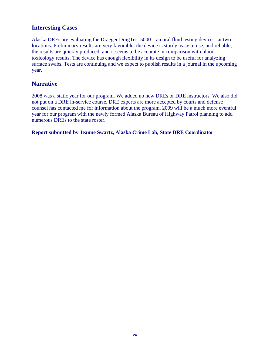#### **Interesting Cases**

Alaska DREs are evaluating the Draeger DrugTest 5000—an oral fluid testing device—at two locations. Preliminary results are very favorable: the device is sturdy, easy to use, and reliable; the results are quickly produced; and it seems to be accurate in comparison with blood toxicology results. The device has enough flexibility in its design to be useful for analyzing surface swabs. Tests are continuing and we expect to publish results in a journal in the upcoming year.

#### **Narrative**

2008 was a static year for our program. We added no new DREs or DRE instructors. We also did not put on a DRE in-service course. DRE experts are more accepted by courts and defense counsel has contacted me for information about the program. 2009 will be a much more eventful year for our program with the newly formed Alaska Bureau of Highway Patrol planning to add numerous DREs to the state roster.

**Report submitted by Jeanne Swartz, Alaska Crime Lab, State DRE Coordinator**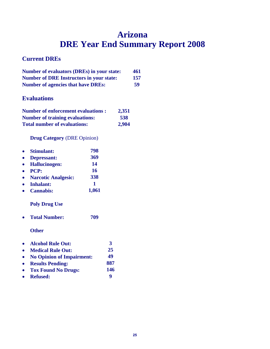# **Arizona DRE Year End Summary Report 2008**

### **Current DREs**

| <b>Number of evaluators (DREs) in your state:</b> | 461 |
|---------------------------------------------------|-----|
| <b>Number of DRE Instructors in your state:</b>   | 157 |
| <b>Number of agencies that have DREs:</b>         | 59  |

### **Evaluations**

| <b>Number of enforcement evaluations:</b> | 2,351 |
|-------------------------------------------|-------|
| <b>Number of training evaluations:</b>    | 538   |
| <b>Total number of evaluations:</b>       | 2,904 |

#### **Drug Category** (DRE Opinion)

|           | <b>Stimulant:</b>                | 798   |      |
|-----------|----------------------------------|-------|------|
|           | Depressant:                      | 369   |      |
|           | <b>Hallucinogen:</b>             | 14    |      |
|           | <b>PCP:</b>                      | 16    |      |
| $\bullet$ | <b>Narcotic Analgesic:</b>       | 338   |      |
| $\bullet$ | Inhalant:                        | 1     |      |
|           | <b>Cannabis:</b>                 | 1,061 |      |
|           | <b>Poly Drug Use</b>             |       |      |
|           | <b>Total Number:</b>             | 709   |      |
|           | <b>Other</b>                     |       |      |
|           | <b>Alcohol Rule Out:</b>         |       | 3    |
|           | <b>Medical Rule Out:</b>         |       | 25   |
|           | <b>No Opinion of Impairment:</b> |       | 49   |
|           |                                  |       | n ni |

- **Results Pending: 887 Tox Found No Drugs: 146**
- **Refused: 9**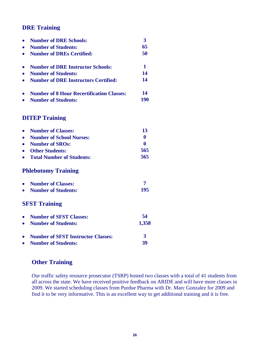### **DRE Training**

| $\bullet$ | <b>Number of DRE Schools:</b>                    | 3              |
|-----------|--------------------------------------------------|----------------|
| $\bullet$ | <b>Number of Students:</b>                       | 65             |
| $\bullet$ | <b>Number of DREs Certified:</b>                 | 50             |
| $\bullet$ | <b>Number of DRE Instructor Schools:</b>         | $\mathbf{1}$   |
| $\bullet$ | <b>Number of Students:</b>                       | 14             |
| $\bullet$ | <b>Number of DRE Instructors Certified:</b>      | 14             |
| $\bullet$ | <b>Number of 8 Hour Recertification Classes:</b> | 14             |
|           | <b>Number of Students:</b>                       | <b>190</b>     |
|           | <b>DITEP Training</b>                            |                |
| $\bullet$ | <b>Number of Classes:</b>                        | 13             |
| $\bullet$ | <b>Number of School Nurses:</b>                  | $\mathbf{0}$   |
| $\bullet$ | <b>Number of SROs:</b>                           | $\bf{0}$       |
|           | <b>Other Students:</b>                           | 565            |
| $\bullet$ | <b>Total Number of Students:</b>                 | 565            |
|           | <b>Phlebotomy Training</b>                       |                |
| $\bullet$ | <b>Number of Classes:</b>                        | $\overline{7}$ |
| $\bullet$ | <b>Number of Students:</b>                       | 195            |
|           | <b>SFST Training</b>                             |                |
| $\bullet$ | <b>Number of SFST Classes:</b>                   | 54             |
|           | <b>Number of Students:</b>                       | 1,358          |
| $\bullet$ | <b>Number of SFST Instructor Classes:</b>        | 3              |
| $\bullet$ | <b>Number of Students:</b>                       | 39             |

# **Other Training**

Our traffic safety resource prosecutor (TSRP) hosted two classes with a total of 41 students from all across the state. We have received positive feedback on ARIDE and will have more classes in 2009. We started scheduling classes from Purdue Pharma with Dr. Marc Gonzalez for 2009 and find it to be very informative. This is an excellent way to get additional training and it is free.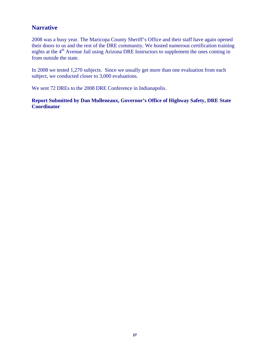#### **Narrative**

2008 was a busy year. The Maricopa County Sheriff's Office and their staff have again opened their doors to us and the rest of the DRE community. We hosted numerous certification training nights at the  $4<sup>th</sup>$  Avenue Jail using Arizona DRE Instructors to supplement the ones coming in from outside the state.

In 2008 we tested 1,270 subjects. Since we usually get more than one evaluation from each subject, we conducted closer to 3,000 evaluations.

We sent 72 DREs to the 2008 DRE Conference in Indianapolis.

**Report Submitted by Dan Mulleneaux, Governor's Office of Highway Safety, DRE State Coordinator**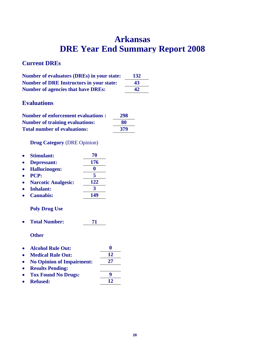# **Arkansas DRE Year End Summary Report 2008**

### **Current DREs**

| <b>Number of evaluators (DREs) in your state:</b> | 132 |
|---------------------------------------------------|-----|
| <b>Number of DRE Instructors in your state:</b>   | 43  |
| <b>Number of agencies that have DREs:</b>         | 42  |

# **Evaluations**

| <b>Number of enforcement evaluations:</b> | 298 |
|-------------------------------------------|-----|
| <b>Number of training evaluations:</b>    | 80  |
| <b>Total number of evaluations:</b>       | 379 |

#### **Drug Category** (DRE Opinion)

| <b>Stimulant:</b>          | 70  |
|----------------------------|-----|
| <b>Depressant:</b>         | 176 |
| <b>Hallucinogen:</b>       |     |
| PCP:                       | 5   |
| <b>Narcotic Analgesic:</b> | 122 |
| <b>Inhalant:</b>           | 3   |
| <b>Cannabis:</b>           | 149 |

#### **Poly Drug Use**

**Total Number: 71** 

**Other** 

| • Alcohol Rule Out:         | o  |
|-----------------------------|----|
| • Medical Rule Out:         | 12 |
| • No Opinion of Impairment: | 27 |
| • Results Pending:          |    |

| . . | Results I chung.      |    |
|-----|-----------------------|----|
|     | • Tox Found No Drugs: | Ч  |
|     | • Refused:            | 12 |
|     |                       |    |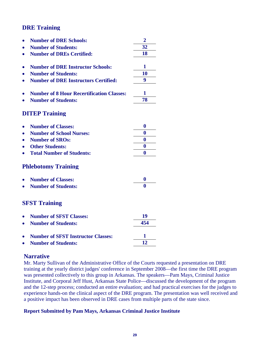### **DRE Training**

|           | <b>Number of DRE Schools:</b>                    | $\overline{2}$ |
|-----------|--------------------------------------------------|----------------|
|           | <b>Number of Students:</b>                       | 32             |
|           | <b>Number of DREs Certified:</b>                 | 18             |
|           |                                                  |                |
|           | <b>Number of DRE Instructor Schools:</b>         | $\mathbf{1}$   |
|           | <b>Number of Students:</b>                       | 10             |
| $\bullet$ | <b>Number of DRE Instructors Certified:</b>      | 9              |
|           |                                                  |                |
|           | <b>Number of 8 Hour Recertification Classes:</b> | 1              |
|           | <b>Number of Students:</b>                       | 78             |
|           | <b>DITEP Training</b>                            |                |
|           | <b>Number of Classes:</b>                        | $\bf{0}$       |
|           | <b>Number of School Nurses:</b>                  | $\bf{0}$       |
|           |                                                  | $\bf{0}$       |
|           | <b>Number of SROs:</b>                           |                |
|           | <b>Other Students:</b>                           | 0              |
|           | <b>Total Number of Students:</b>                 | 0              |
|           | <b>Phlebotomy Training</b>                       |                |
|           | <b>Number of Classes:</b>                        | $\bf{0}$       |
|           | <b>Number of Students:</b>                       | $\mathbf{0}$   |
|           |                                                  |                |
|           | <b>SFST Training</b>                             |                |
|           | <b>Number of SFST Classes:</b>                   | 19             |
|           | <b>Number of Students:</b>                       | 454            |
|           |                                                  |                |
|           | <b>Number of SFST Instructor Classes:</b>        | 1              |
|           | <b>Number of Students:</b>                       | 12             |

#### **Narrative**

Mr. Marty Sullivan of the Administrative Office of the Courts requested a presentation on DRE training at the yearly district judges' conference in September 2008—the first time the DRE program was presented collectively to this group in Arkansas. The speakers—Pam Mays, Criminal Justice Institute, and Corporal Jeff Hust, Arkansas State Police—discussed the development of the program and the 12-step process; conducted an entire evaluation; and had practical exercises for the judges to experience hands-on the clinical aspect of the DRE program. The presentation was well received and a positive impact has been observed in DRE cases from multiple parts of the state since.

#### **Report Submitted by Pam Mays, Arkansas Criminal Justice Institute**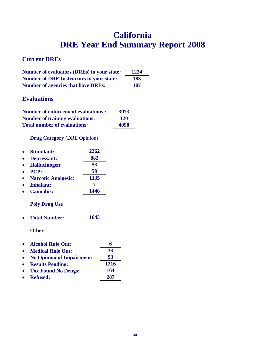# **California DRE Year End Summary Report 2008**

# **Current DREs**

| <b>Number of evaluators (DREs) in your state:</b> | 1224 |
|---------------------------------------------------|------|
| <b>Number of DRE Instructors in your state:</b>   | 183  |
| <b>Number of agencies that have DREs:</b>         | 107  |

### **Evaluations**

| <b>Number of enforcement evaluations:</b> | 3973       |
|-------------------------------------------|------------|
| <b>Number of training evaluations:</b>    | <b>120</b> |
| <b>Total number of evaluations:</b>       | 4098       |

**Drug Category** (DRE Opinion)

| 2262 |
|------|
| 882  |
| 53   |
| 59   |
| 1135 |
|      |
| 1446 |
|      |

#### **Poly Drug Use**

**Total Number: 1643** 

**Other** 

- 
- Alcohol Rule Out: 6<br>• Medical Rule Out: 53 **Medical Rule Out: 33**
- **No Opinion of Impairment: 93**
- **Results Pending: 1216**
- **Tox Found No Drugs: 164**
- **Refused: 287**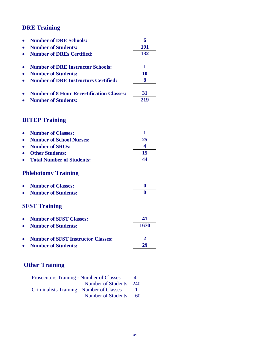# **DRE Training**

| <b>Number of DRE Schools:</b>                    |     |
|--------------------------------------------------|-----|
| <b>Number of Students:</b>                       | 191 |
| <b>Number of DREs Certified:</b>                 | 132 |
| <b>Number of DRE Instructor Schools:</b>         |     |
| <b>Number of Students:</b>                       | 10  |
| <b>Number of DRE Instructors Certified:</b>      |     |
| <b>Number of 8 Hour Recertification Classes:</b> | 31  |
| <b>Number of Students:</b>                       |     |

# **DITEP Training**

| <b>Number of Classes:</b><br>$\bullet$ |    |
|----------------------------------------|----|
| <b>Number of School Nurses:</b>        | 25 |
| Number of SROs:<br>$\bullet$           |    |
| <b>Other Students:</b>                 | 15 |
| <b>Total Number of Students:</b>       |    |
| <b>Phlebotomy Training</b>             |    |

| • Number of Classes:  |  |
|-----------------------|--|
| • Number of Students: |  |

# **SFST Training**

| • Number of SFST Classes:            | 41   |
|--------------------------------------|------|
| • Number of Students:                | 1670 |
| • Number of SFST Instructor Classes: |      |
| • Number of Students:                | 29   |

# **Other Training**

| <b>Prosecutors Training - Number of Classes</b>  | $\Delta$ |
|--------------------------------------------------|----------|
| Number of Students                               | 240      |
| <b>Criminalists Training - Number of Classes</b> |          |
| Number of Students                               | 60       |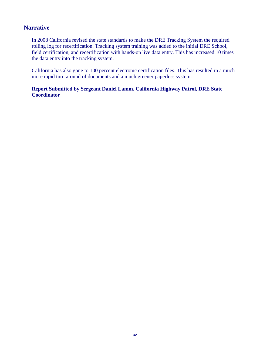#### **Narrative**

In 2008 California revised the state standards to make the DRE Tracking System the required rolling log for recertification. Tracking system training was added to the initial DRE School, field certification, and recertification with hands-on live data entry. This has increased 10 times the data entry into the tracking system.

California has also gone to 100 percent electronic certification files. This has resulted in a much more rapid turn around of documents and a much greener paperless system.

#### **Report Submitted by Sergeant Daniel Lamm, California Highway Patrol, DRE State Coordinator**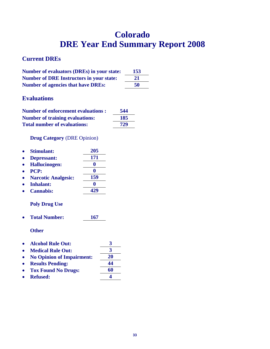# **Colorado DRE Year End Summary Report 2008**

#### **Current DREs**

| Number of evaluators (DREs) in your state:      | 153 |
|-------------------------------------------------|-----|
| <b>Number of DRE Instructors in your state:</b> | 21  |
| <b>Number of agencies that have DREs:</b>       | 50  |

### **Evaluations**

| <b>Number of enforcement evaluations:</b> | 544 |
|-------------------------------------------|-----|
| <b>Number of training evaluations:</b>    | 185 |
| <b>Total number of evaluations:</b>       | 729 |

#### **Drug Category** (DRE Opinion)

| <b>Stimulant:</b>          | 205 |
|----------------------------|-----|
| Depressant:                | 171 |
| <b>Hallucinogen:</b>       |     |
| <b>PCP:</b>                |     |
| <b>Narcotic Analgesic:</b> | 159 |
| <b>Inhalant:</b>           |     |
| <b>Cannabis:</b>           |     |
|                            |     |

#### **Poly Drug Use**

**Total Number: 167** 

**Other** 

- **Alcohol Rule Out: 3**
- Medical Rule Out: 3
- **No Opinion of Impairment: 20**
- **Results Pending: 44**
- **Tox Found No Drugs: 60**
- Refused: 4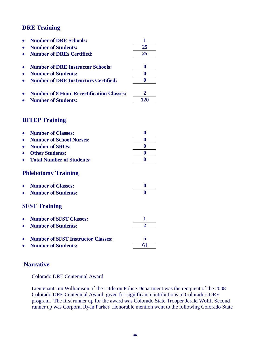### **DRE Training**

| <b>Number of DRE Schools:</b>                    |     |
|--------------------------------------------------|-----|
| <b>Number of Students:</b>                       | 25  |
| <b>Number of DREs Certified:</b>                 | 25  |
| <b>Number of DRE Instructor Schools:</b>         |     |
| <b>Number of Students:</b>                       |     |
| <b>Number of DRE Instructors Certified:</b>      |     |
| <b>Number of 8 Hour Recertification Classes:</b> |     |
| <b>Number of Students:</b>                       | 120 |

### **DITEP Training**

| <b>Number of Classes:</b>                 | 0                |
|-------------------------------------------|------------------|
| <b>Number of School Nurses:</b>           | 0                |
| <b>Number of SROs:</b>                    | 0                |
| <b>Other Students:</b>                    | 0                |
| <b>Total Number of Students:</b>          | $\boldsymbol{0}$ |
| <b>Phlebotomy Training</b>                |                  |
| <b>Number of Classes:</b>                 | 0                |
| <b>Number of Students:</b>                | 0                |
| <b>SFST Training</b>                      |                  |
| <b>Number of SFST Classes:</b>            | 1                |
| <b>Number of Students:</b>                | $\mathbf{2}$     |
| <b>Number of SFST Instructor Classes:</b> | 5                |
| <b>Number of Students:</b>                | 61               |

#### **Narrative**

Colorado DRE Centennial Award

Lieutenant Jim Williamson of the Littleton Police Department was the recipient of the 2008 Colorado DRE Centennial Award, given for significant contributions to Colorado's DRE program. The first runner up for the award was Colorado State Trooper Jerald Wolff. Second runner up was Corporal Ryan Parker. Honorable mention went to the following Colorado State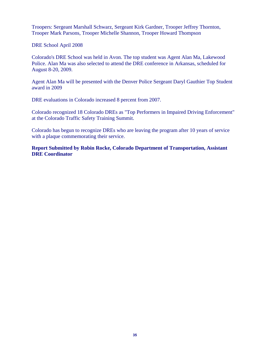Troopers: Sergeant Marshall Schwarz, Sergeant Kirk Gardner, Trooper Jeffrey Thornton, Trooper Mark Parsons, Trooper Michelle Shannon, Trooper Howard Thompson

DRE School April 2008

Colorado's DRE School was held in Avon. The top student was Agent Alan Ma, Lakewood Police. Alan Ma was also selected to attend the DRE conference in Arkansas, scheduled for August 8-20, 2009.

Agent Alan Ma will be presented with the Denver Police Sergeant Daryl Gauthier Top Student award in 2009

DRE evaluations in Colorado increased 8 percent from 2007.

Colorado recognized 18 Colorado DREs as "Top Performers in Impaired Driving Enforcement" at the Colorado Traffic Safety Training Summit.

Colorado has begun to recognize DREs who are leaving the program after 10 years of service with a plaque commemorating their service.

**Report Submitted by Robin Rocke, Colorado Department of Transportation, Assistant DRE Coordinator**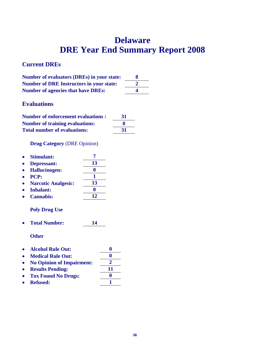# **Delaware DRE Year End Summary Report 2008**

## **Current DREs**

| <b>Number of evaluators (DREs) in your state:</b> |    |
|---------------------------------------------------|----|
| <b>Number of DRE Instructors in your state:</b>   |    |
| <b>Number of agencies that have DREs:</b>         | Δ. |

## **Evaluations**

| <b>Number of enforcement evaluations:</b> | 31           |
|-------------------------------------------|--------------|
| <b>Number of training evaluations:</b>    | $\mathbf{0}$ |
| <b>Total number of evaluations:</b>       | 31           |

**Drug Category** (DRE Opinion)

|           | • Stimulant:         |    |
|-----------|----------------------|----|
|           | • Depressant:        | 13 |
| $\bullet$ | <b>Hallucinogen:</b> |    |
|           | $\bullet$ PCP:       |    |

- **Narcotic Analgesic: 13**
- **Inhalant: 0**
- **Cannabis: 12**

#### **Poly Drug Use**

**Total Number: 14** 

| • Alcohol Rule Out:         | o |
|-----------------------------|---|
| • Medical Rule Out:         | o |
| • No Opinion of Impairment: |   |

- Results Pending: 11 **Tox Found No Drugs: 0**
- **•** Refused: 1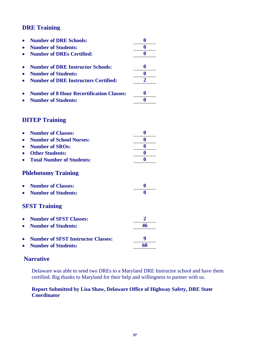| <b>Number of DRE Schools:</b>                      | $\bf{0}$         |
|----------------------------------------------------|------------------|
| <b>Number of Students:</b>                         | $\bf{0}$         |
| <b>Number of DREs Certified:</b>                   | $\bf{0}$         |
| <b>Number of DRE Instructor Schools:</b>           | 0                |
| <b>Number of Students:</b>                         | $\bf{0}$         |
| <b>Number of DRE Instructors Certified:</b>        | $\overline{2}$   |
| <b>Number of 8 Hour Recertification Classes:</b>   | 0                |
| <b>Number of Students:</b>                         | $\bf{0}$         |
| <b>DITEP Training</b><br><b>Number of Classes:</b> | $\boldsymbol{0}$ |
| <b>Number of School Nurses:</b>                    | $\bf{0}$         |
| <b>Number of SROs:</b>                             | $\boldsymbol{0}$ |
| <b>Other Students:</b>                             | $\bf{0}$         |
| <b>Total Number of Students:</b>                   | 0                |
| <b>Phlebotomy Training</b>                         |                  |
| <b>Number of Classes:</b>                          | $\boldsymbol{0}$ |
| <b>Number of Students:</b>                         | 0                |
| <b>SFST Training</b>                               |                  |

| • Number of SFST Classes:            |    |
|--------------------------------------|----|
| • Number of Students:                | 46 |
| • Number of SFST Instructor Classes: | Q  |
| • Number of Students:                | 68 |

## **Narrative**

Delaware was able to send two DREs to a Maryland DRE Instructor school and have them certified. Big thanks to Maryland for their help and willingness to partner with us.

#### **Report Submitted by Lisa Shaw, Delaware Office of Highway Safety, DRE State Coordinator**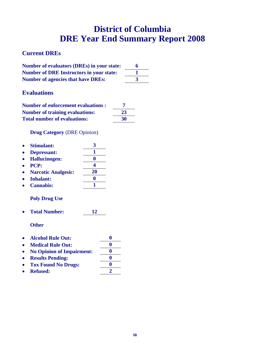# **District of Columbia DRE Year End Summary Report 2008**

## **Current DREs**

| <b>Number of evaluators (DREs) in your state:</b> |  |
|---------------------------------------------------|--|
| <b>Number of DRE Instructors in your state:</b>   |  |
| <b>Number of agencies that have DREs:</b>         |  |

### **Evaluations**

| <b>Number of enforcement evaluations:</b> |    |
|-------------------------------------------|----|
| <b>Number of training evaluations:</b>    | 23 |
| <b>Total number of evaluations:</b>       | 30 |

**Drug Category** (DRE Opinion)

| 20 |
|----|
|    |
|    |
|    |

#### **Poly Drug Use**

**Total Number: 12** 

- **Alcohol Rule Out: 0**
- Medical Rule Out: 0
- **No Opinion of Impairment: 0**
- **e** Results Pending: 0
- Tox Found No Drugs: 0
- **Refused: 2**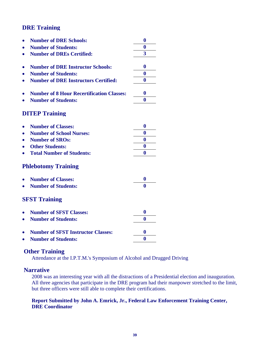|                                                  | $\bf{0}$                |
|--------------------------------------------------|-------------------------|
| <b>Number of DRE Schools:</b>                    |                         |
| <b>Number of Students:</b>                       | $\bf{0}$                |
| <b>Number of DREs Certified:</b>                 | $\overline{\mathbf{3}}$ |
|                                                  |                         |
| <b>Number of DRE Instructor Schools:</b>         | $\bf{0}$                |
| <b>Number of Students:</b>                       | $\bf{0}$                |
| <b>Number of DRE Instructors Certified:</b>      | 0                       |
|                                                  |                         |
| <b>Number of 8 Hour Recertification Classes:</b> | $\boldsymbol{0}$        |
| <b>Number of Students:</b>                       | $\bf{0}$                |
|                                                  |                         |
| <b>DITEP Training</b>                            |                         |
|                                                  |                         |
| <b>Number of Classes:</b>                        | $\bf{0}$                |
| <b>Number of School Nurses:</b>                  | $\bf{0}$                |
| <b>Number of SROs:</b>                           | $\boldsymbol{0}$        |
| <b>Other Students:</b>                           | $\bf{0}$                |
| <b>Total Number of Students:</b>                 | $\bf{0}$                |
| <b>Phlebotomy Training</b>                       |                         |
|                                                  |                         |
| <b>Number of Classes:</b>                        | $\bf{0}$                |
| <b>Number of Students:</b>                       | $\bf{0}$                |
|                                                  |                         |
| <b>SFST Training</b>                             |                         |
|                                                  |                         |
| <b>Number of SFST Classes:</b>                   | $\bf{0}$                |
| <b>Number of Students:</b>                       | $\bf{0}$                |
|                                                  |                         |
| <b>Number of SFST Instructor Classes:</b>        | 0                       |
| <b>Number of Students:</b>                       | $\bf{0}$                |

### **Other Training**

Attendance at the I.P.T.M.'s Symposium of Alcohol and Drugged Driving

#### **Narrative**

2008 was an interesting year with all the distractions of a Presidential election and inauguration. All three agencies that participate in the DRE program had their manpower stretched to the limit, but three officers were still able to complete their certifications.

#### **Report Submitted by John A. Emrick, Jr., Federal Law Enforcement Training Center, DRE Coordinator**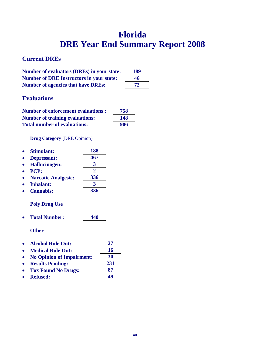# **Florida DRE Year End Summary Report 2008**

## **Current DREs**

| <b>Number of evaluators (DREs) in your state:</b> | 189 |
|---------------------------------------------------|-----|
| <b>Number of DRE Instructors in your state:</b>   | 46  |
| <b>Number of agencies that have DREs:</b>         | 72  |

## **Evaluations**

| <b>Number of enforcement evaluations:</b> | 758 |
|-------------------------------------------|-----|
| <b>Number of training evaluations:</b>    | 148 |
| <b>Total number of evaluations:</b>       | 906 |

**Drug Category** (DRE Opinion)

| 188                   |
|-----------------------|
| 467                   |
| 3                     |
| $\mathcal{D}_{\cdot}$ |
| 336                   |
|                       |
| 336                   |
|                       |

### **Poly Drug Use**

**Total Number: 440** 

- **Alcohol Rule Out: 27**
- Medical Rule Out: 16
- **No Opinion of Impairment: 30**
- **Results Pending: 231**
- **Tox Found No Drugs: 87**
- **Refused: 49**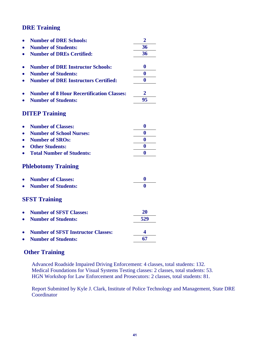| <b>Number of DRE Schools:</b>                    | $\overline{2}$ |
|--------------------------------------------------|----------------|
| <b>Number of Students:</b>                       | 36             |
| <b>Number of DREs Certified:</b>                 | 36             |
|                                                  |                |
| <b>Number of DRE Instructor Schools:</b>         | $\bf{0}$       |
| <b>Number of Students:</b>                       | $\bf{0}$       |
| <b>Number of DRE Instructors Certified:</b>      | $\bf{0}$       |
| <b>Number of 8 Hour Recertification Classes:</b> | $\mathbf 2$    |
| <b>Number of Students:</b>                       | 95             |
| <b>DITEP Training</b>                            |                |
| <b>Number of Classes:</b>                        | $\bf{0}$       |
| <b>Number of School Nurses:</b>                  | $\bf{0}$       |
| <b>Number of SROs:</b>                           | $\bf{0}$       |
| <b>Other Students:</b>                           | $\bf{0}$       |
| <b>Total Number of Students:</b>                 | $\bf{0}$       |
| <b>Phlebotomy Training</b>                       |                |
| <b>Number of Classes:</b>                        | $\bf{0}$       |
| <b>Number of Students:</b>                       | 0              |
| <b>SFST Training</b>                             |                |
| <b>Number of SFST Classes:</b>                   | 20             |
| <b>Number of Students:</b>                       | 529            |
| <b>Number of SFST Instructor Classes:</b>        | 4              |
| <b>Number of Students:</b>                       | 67             |
|                                                  |                |

### **Other Training**

Advanced Roadside Impaired Driving Enforcement: 4 classes, total students: 132. Medical Foundations for Visual Systems Testing classes: 2 classes, total students: 53. HGN Workshop for Law Enforcement and Prosecutors: 2 classes, total students: 81.

Report Submitted by Kyle J. Clark, Institute of Police Technology and Management, State DRE Coordinator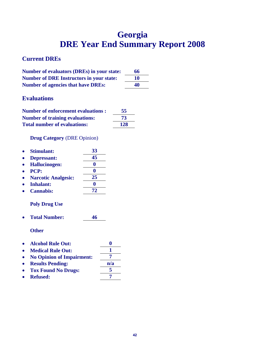# **Georgia DRE Year End Summary Report 2008**

## **Current DREs**

| <b>Number of evaluators (DREs) in your state:</b> | 66 |
|---------------------------------------------------|----|
| <b>Number of DRE Instructors in your state:</b>   | 10 |
| <b>Number of agencies that have DREs:</b>         | 40 |

## **Evaluations**

| <b>Number of enforcement evaluations:</b> | 55  |
|-------------------------------------------|-----|
| <b>Number of training evaluations:</b>    | 73  |
| <b>Total number of evaluations:</b>       | 128 |

#### **Drug Category** (DRE Opinion)

| 33 |
|----|
| 45 |
|    |
|    |
| 25 |
|    |
| 72 |
|    |

## **Poly Drug Use**

**Total Number: 46** 

- **Alcohol Rule Out: 0**
- Medical Rule Out: 1
- No Opinion of Impairment: 7
- Results Pending:  $\frac{n/a}{5}$ <br>• Tox Found No Drugs: 5
- Tox Found No Drugs:  $\frac{5}{7}$
- **•** Refused: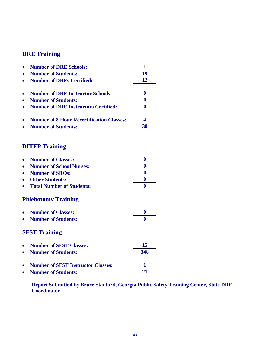| <b>Number of DRE Schools:</b>                    |    |
|--------------------------------------------------|----|
| <b>Number of Students:</b>                       | 19 |
| <b>Number of DREs Certified:</b>                 | 12 |
| <b>Number of DRE Instructor Schools:</b>         | o  |
| <b>Number of Students:</b>                       |    |
| <b>Number of DRE Instructors Certified:</b>      |    |
| <b>Number of 8 Hour Recertification Classes:</b> |    |
| <b>Number of Students:</b>                       | 30 |

## **DITEP Training**

| • Number of Classes:        |  |
|-----------------------------|--|
| • Number of School Nurses:  |  |
| • Number of SROs:           |  |
| • Other Students:           |  |
| • Total Number of Students: |  |

## **Phlebotomy Training**

| • Number of Classes:  |  |
|-----------------------|--|
| • Number of Students: |  |

## **SFST Training**

| • Number of SFST Classes:            | 15  |
|--------------------------------------|-----|
| • Number of Students:                | 348 |
| • Number of SFST Instructor Classes: |     |
| • Number of Students:                | 71  |

**Report Submitted by Bruce Stanford, Georgia Public Safety Training Center, State DRE Coordinator**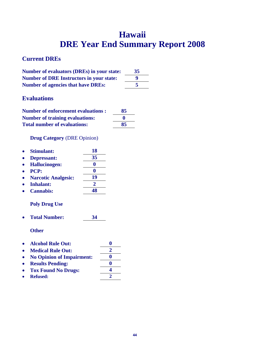# **Hawaii DRE Year End Summary Report 2008**

## **Current DREs**

| <b>Number of evaluators (DREs) in your state:</b> | 35 |
|---------------------------------------------------|----|
| <b>Number of DRE Instructors in your state:</b>   |    |
| <b>Number of agencies that have DREs:</b>         |    |

## **Evaluations**

| <b>Number of enforcement evaluations:</b> | 85 |
|-------------------------------------------|----|
| <b>Number of training evaluations:</b>    |    |
| <b>Total number of evaluations:</b>       | 85 |

**Drug Category** (DRE Opinion)

| <b>Stimulant:</b>          | 18 |
|----------------------------|----|
| Depressant:                | 35 |
| <b>Hallucinogen:</b>       |    |
| PCP:                       |    |
| <b>Narcotic Analgesic:</b> | 19 |
| <b>Inhalant:</b>           | 2. |
| <b>Cannabis:</b>           | 48 |

## **Poly Drug Use**

**Total Number: 34** 

| <b>Alcohol Rule Out:</b> |  |
|--------------------------|--|
|                          |  |

- Medical Rule Out: 2
- No Opinion of Impairment:  $\frac{0}{0}$ <br>• Results Pending:
- **•** Results Pending:
- **Tox Found No Drugs: 4**
- **e** Refused: 2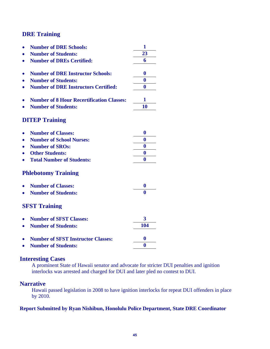| <b>Number of DRE Schools:</b>                            | 1                |
|----------------------------------------------------------|------------------|
| <b>Number of Students:</b>                               | 23               |
| <b>Number of DREs Certified:</b>                         | 6                |
| <b>Number of DRE Instructor Schools:</b>                 | $\bf{0}$         |
| <b>Number of Students:</b>                               | $\bf{0}$         |
| <b>Number of DRE Instructors Certified:</b><br>$\bullet$ | 0                |
| <b>Number of 8 Hour Recertification Classes:</b>         | 1                |
| <b>Number of Students:</b>                               | 10               |
| <b>DITEP Training</b>                                    |                  |
| <b>Number of Classes:</b>                                | $\bf{0}$         |
| <b>Number of School Nurses:</b>                          | $\bf{0}$         |
| <b>Number of SROs:</b>                                   | $\bf{0}$         |
| <b>Other Students:</b>                                   | $\bf{0}$         |
| <b>Total Number of Students:</b>                         | $\bf{0}$         |
| <b>Phlebotomy Training</b>                               |                  |
| <b>Number of Classes:</b>                                | $\bf{0}$         |
| <b>Number of Students:</b>                               | 0                |
| <b>SFST Training</b>                                     |                  |
| <b>Number of SFST Classes:</b>                           | 3                |
| <b>Number of Students:</b>                               | 104              |
| <b>Number of SFST Instructor Classes:</b>                | $\boldsymbol{0}$ |
| <b>Number of Students:</b>                               | $\bf{0}$         |

### **Interesting Cases**

A prominent State of Hawaii senator and advocate for stricter DUI penalties and ignition interlocks was arrested and charged for DUI and later pled no contest to DUI.

### **Narrative**

Hawaii passed legislation in 2008 to have ignition interlocks for repeat DUI offenders in place by 2010.

#### **Report Submitted by Ryan Nishibun, Honolulu Police Department, State DRE Coordinator**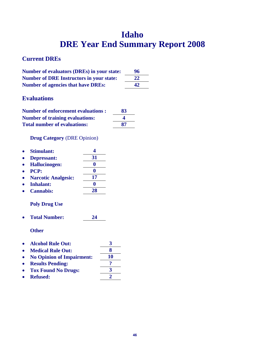# **Idaho DRE Year End Summary Report 2008**

## **Current DREs**

| <b>Number of evaluators (DREs) in your state:</b> | 96 |
|---------------------------------------------------|----|
| <b>Number of DRE Instructors in your state:</b>   | 22 |
| <b>Number of agencies that have DREs:</b>         | 42 |

## **Evaluations**

| <b>Number of enforcement evaluations :</b> | 83 |
|--------------------------------------------|----|
| <b>Number of training evaluations:</b>     |    |
| <b>Total number of evaluations:</b>        | 87 |

**Drug Category** (DRE Opinion)

| <b>Stimulant:</b>          |    |
|----------------------------|----|
| Depressant:                | 31 |
| <b>Hallucinogen:</b>       |    |
| PCP:                       |    |
| <b>Narcotic Analgesic:</b> | 17 |
| <b>Inhalant:</b>           |    |
| <b>Cannabis:</b>           | 28 |

## **Poly Drug Use**

**Total Number: 24** 

| $\bullet$ | <b>Alcohol Rule Out:</b> |  |
|-----------|--------------------------|--|
| $\bullet$ | <b>Medical Rule Out:</b> |  |

- 
- No Opinion of Impairment:  $\frac{10}{2}$
- Results Pending:<br>• Tox Found No Drugs:  $\frac{?}{3}$ • Tox Found No Drugs:  $\frac{3}{2}$
- **•** Refused: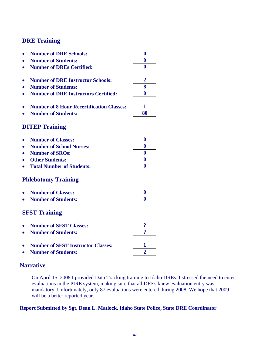| <b>Number of DRE Schools:</b>                            | $\bf{0}$            |
|----------------------------------------------------------|---------------------|
| <b>Number of Students:</b>                               | $\bf{0}$            |
| <b>Number of DREs Certified:</b>                         | $\boldsymbol{0}$    |
| <b>Number of DRE Instructor Schools:</b>                 | $\overline{2}$      |
| <b>Number of Students:</b>                               | 8                   |
| <b>Number of DRE Instructors Certified:</b><br>$\bullet$ | 0                   |
| <b>Number of 8 Hour Recertification Classes:</b>         | 1                   |
| <b>Number of Students:</b>                               | 80                  |
| <b>DITEP Training</b>                                    |                     |
| <b>Number of Classes:</b><br>$\bullet$                   | 0                   |
| <b>Number of School Nurses:</b>                          | $\bf{0}$            |
| <b>Number of SROs:</b>                                   | 0                   |
| <b>Other Students:</b>                                   | $\bf{0}$            |
| <b>Total Number of Students:</b>                         | $\bf{0}$            |
| <b>Phlebotomy Training</b>                               |                     |
| <b>Number of Classes:</b>                                | $\bf{0}$            |
| <b>Number of Students:</b>                               | $\mathbf{0}$        |
| <b>SFST Training</b>                                     |                     |
| <b>Number of SFST Classes:</b>                           | $\ddot{\mathbf{c}}$ |
| <b>Number of Students:</b>                               | $\ddot{\mathbf{z}}$ |
| <b>Number of SFST Instructor Classes:</b>                | 1                   |
| <b>Number of Students:</b><br>$\bullet$                  | $\overline{2}$      |

## **Narrative**

On April 15, 2008 I provided Data Tracking training to Idaho DREs. I stressed the need to enter evaluations in the PIRE system, making sure that all DREs knew evaluation entry was mandatory. Unfortunately, only 87 evaluations were entered during 2008. We hope that 2009 will be a better reported year.

#### **Report Submitted by Sgt. Dean L. Matlock, Idaho State Police, State DRE Coordinator**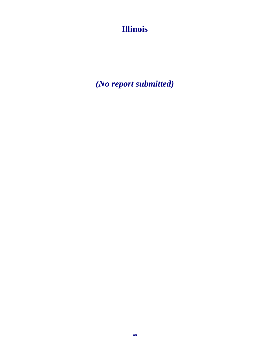**Illinois** 

*(No report submitted)*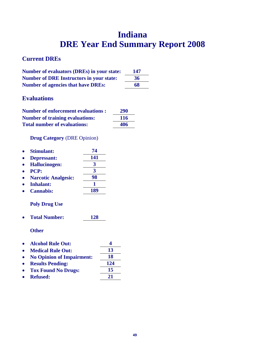# **Indiana DRE Year End Summary Report 2008**

## **Current DREs**

| <b>Number of evaluators (DREs) in your state:</b> | 147 |
|---------------------------------------------------|-----|
| <b>Number of DRE Instructors in your state:</b>   | 36  |
| <b>Number of agencies that have DREs:</b>         | 68  |

## **Evaluations**

| <b>Number of enforcement evaluations:</b> | 290 |
|-------------------------------------------|-----|
| <b>Number of training evaluations:</b>    | 116 |
| <b>Total number of evaluations:</b>       | 406 |

#### **Drug Category** (DRE Opinion)

| <b>Stimulant:</b>          | 74  |
|----------------------------|-----|
| Depressant:                | 141 |
| <b>Hallucinogen:</b>       | 3   |
| <b>PCP:</b>                | 3   |
| <b>Narcotic Analgesic:</b> | 98  |
| <b>Inhalant:</b>           |     |
| <b>Cannabis:</b>           | 189 |

### **Poly Drug Use**

**Total Number: 128** 

- **Alcohol Rule Out: 4**
- Medical Rule Out: 13
- **No Opinion of Impairment: 18**
- Results Pending: 124<br>• Tox Found No Drugs: 15
- **Tox Found No Drugs:**
- Refused: 21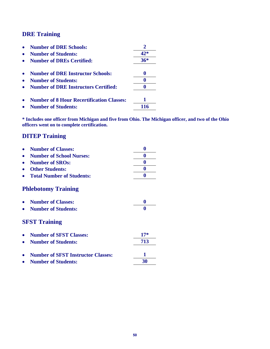| <b>Number of DRE Schools:</b>                    |       |
|--------------------------------------------------|-------|
| <b>Number of Students:</b>                       | $42*$ |
| <b>Number of DREs Certified:</b>                 | $36*$ |
| <b>Number of DRE Instructor Schools:</b>         | O     |
| <b>Number of Students:</b>                       |       |
| <b>Number of DRE Instructors Certified:</b>      |       |
| <b>Number of 8 Hour Recertification Classes:</b> |       |
| <b>Number of Students:</b>                       |       |

**\* Includes one officer from Michigan and five from Ohio. The Michigan officer, and two of the Ohio officers went on to complete certification.** 

## **DITEP Training**

|                            | <b>Number of Classes:</b>                 |       |  |
|----------------------------|-------------------------------------------|-------|--|
|                            | <b>Number of School Nurses:</b>           | 0     |  |
|                            | <b>Number of SROs:</b>                    | 0     |  |
|                            | <b>Other Students:</b>                    | 0     |  |
|                            | <b>Total Number of Students:</b>          | 0     |  |
| <b>Phlebotomy Training</b> |                                           |       |  |
|                            | <b>Number of Classes:</b>                 | 0     |  |
|                            | <b>Number of Students:</b>                | 0     |  |
| <b>SFST Training</b>       |                                           |       |  |
|                            | <b>Number of SFST Classes:</b>            | $17*$ |  |
|                            | <b>Number of Students:</b>                | 713   |  |
|                            | <b>Number of SFST Instructor Classes:</b> |       |  |
|                            | <b>Number of Students:</b>                | 30    |  |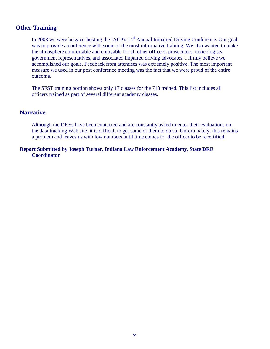## **Other Training**

In 2008 we were busy co-hosting the IACP's 14<sup>th</sup> Annual Impaired Driving Conference. Our goal was to provide a conference with some of the most informative training. We also wanted to make the atmosphere comfortable and enjoyable for all other officers, prosecutors, toxicologists, government representatives, and associated impaired driving advocates. I firmly believe we accomplished our goals. Feedback from attendees was extremely positive. The most important measure we used in our post conference meeting was the fact that we were proud of the entire outcome.

The SFST training portion shows only 17 classes for the 713 trained. This list includes all officers trained as part of several different academy classes.

#### **Narrative**

Although the DREs have been contacted and are constantly asked to enter their evaluations on the data tracking Web site, it is difficult to get some of them to do so. Unfortunately, this remains a problem and leaves us with low numbers until time comes for the officer to be recertified.

#### **Report Submitted by Joseph Turner, Indiana Law Enforcement Academy, State DRE Coordinator**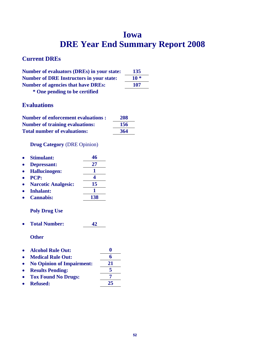# **Iowa DRE Year End Summary Report 2008**

## **Current DREs**

| <b>Number of evaluators (DREs) in your state:</b> | 135   |
|---------------------------------------------------|-------|
| <b>Number of DRE Instructors in your state:</b>   | $10*$ |
| <b>Number of agencies that have DREs:</b>         | 107   |
|                                                   |       |

 **\* One pending to be certified** 

## **Evaluations**

| <b>Number of enforcement evaluations:</b> | 208 |
|-------------------------------------------|-----|
| <b>Number of training evaluations:</b>    | 156 |
| <b>Total number of evaluations:</b>       | 364 |

### **Drug Category** (DRE Opinion)

| Stimulant:                                                   | 46  |    |
|--------------------------------------------------------------|-----|----|
| Depressant:                                                  | 27  |    |
| <b>Hallucinogen:</b>                                         | 1   |    |
| <b>PCP:</b>                                                  | 4   |    |
| <b>Narcotic Analgesic:</b>                                   | 15  |    |
| Inhalant:                                                    | 1   |    |
| <b>Cannabis:</b>                                             | 138 |    |
| <b>Poly Drug Use</b><br><b>Total Number:</b><br><b>Other</b> | 42  |    |
| <b>Alcohol Rule Out:</b>                                     |     | 0  |
| <b>Medical Rule Out:</b>                                     |     | 6  |
| <b>No Opinion of Impairment:</b>                             |     | 21 |
|                                                              |     |    |

- Results Pending: 5<br>• Tox Found No Drugs: 7 • Tox Found No Drugs:  $\frac{7}{25}$
- **•** Refused: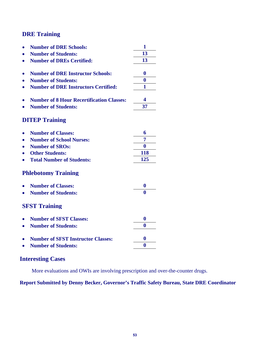|           | <b>Number of DRE Schools:</b>                    | 1                |
|-----------|--------------------------------------------------|------------------|
|           | <b>Number of Students:</b>                       | 13               |
|           | <b>Number of DREs Certified:</b>                 | 13               |
|           |                                                  |                  |
|           | <b>Number of DRE Instructor Schools:</b>         | $\bf{0}$         |
|           | <b>Number of Students:</b>                       | $\bf{0}$         |
|           | <b>Number of DRE Instructors Certified:</b>      | 1                |
|           | <b>Number of 8 Hour Recertification Classes:</b> | 4                |
|           | <b>Number of Students:</b>                       | 37               |
|           | <b>DITEP Training</b>                            |                  |
|           | <b>Number of Classes:</b>                        | 6                |
|           | <b>Number of School Nurses:</b>                  | 7                |
|           | <b>Number of SROs:</b>                           | $\bf{0}$         |
|           | <b>Other Students:</b>                           | <b>118</b>       |
|           | <b>Total Number of Students:</b>                 | 125              |
|           | <b>Phlebotomy Training</b>                       |                  |
|           | <b>Number of Classes:</b>                        | 0                |
|           | <b>Number of Students:</b>                       | 0                |
|           | <b>SFST Training</b>                             |                  |
|           | <b>Number of SFST Classes:</b>                   | $\boldsymbol{0}$ |
| $\bullet$ | <b>Number of Students:</b>                       | 0                |
|           | <b>Number of SFST Instructor Classes:</b>        | $\bf{0}$         |
|           | <b>Number of Students:</b>                       | $\bf{0}$         |
|           |                                                  |                  |

## **Interesting Cases**

More evaluations and OWIs are involving prescription and over-the-counter drugs.

### **Report Submitted by Denny Becker, Governor's Traffic Safety Bureau, State DRE Coordinator**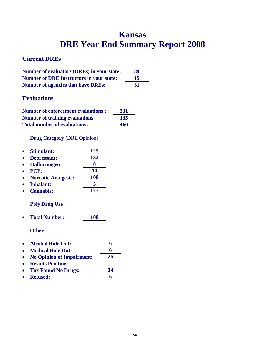# **Kansas DRE Year End Summary Report 2008**

## **Current DREs**

| <b>Number of evaluators (DREs) in your state:</b> | 89  |
|---------------------------------------------------|-----|
| <b>Number of DRE Instructors in your state:</b>   | 15  |
| <b>Number of agencies that have DREs:</b>         | -31 |

## **Evaluations**

| <b>Number of enforcement evaluations:</b> | 331 |
|-------------------------------------------|-----|
| <b>Number of training evaluations:</b>    | 135 |
| <b>Total number of evaluations:</b>       | 466 |

#### **Drug Category** (DRE Opinion)

| <b>Stimulant:</b>          | 125 |
|----------------------------|-----|
| Depressant:                | 132 |
| <b>Hallucinogen:</b>       | 8   |
| <b>PCP:</b>                | 10  |
| <b>Narcotic Analgesic:</b> | 108 |
| <b>Inhalant:</b>           | 5   |
| <b>Cannabis:</b>           | 177 |
|                            |     |

### **Poly Drug Use**

**Total Number: 108** 

- **Alcohol Rule Out: 6**
- Medical Rule Out: 6
- **No Opinion of Impairment: 26**
- **Results Pending:**
- Tox Found No Drugs: 14
- Refused: 6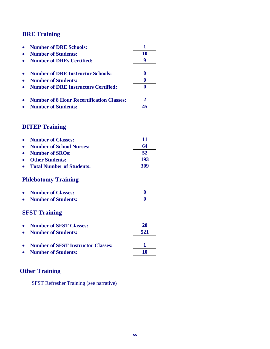| <b>Number of DRE Schools:</b>                    |  |
|--------------------------------------------------|--|
| <b>Number of Students:</b>                       |  |
| <b>Number of DREs Certified:</b>                 |  |
| <b>Number of DRE Instructor Schools:</b>         |  |
| <b>Number of Students:</b>                       |  |
| <b>Number of DRE Instructors Certified:</b>      |  |
| <b>Number of 8 Hour Recertification Classes:</b> |  |
| <b>Number of Students:</b>                       |  |

## **DITEP Training**

| <b>Number of Classes:</b>        | 11       |
|----------------------------------|----------|
| <b>Number of School Nurses:</b>  | 64       |
| <b>Number of SROs:</b>           | 52       |
| <b>Other Students:</b>           | 193      |
| <b>Total Number of Students:</b> | 309      |
| <b>Phlebotomy Training</b>       |          |
| <b>Number of Classes:</b>        | $\bf{0}$ |
| <b>Number of Students:</b>       |          |
| <b>SFST Training</b>             |          |
| <b>Number of SFST Classes:</b>   | 20       |
| <b>Number of Students:</b>       | 521      |

| • Number of SFST Instructor Classes: |    |
|--------------------------------------|----|
| • Number of Students:                | 10 |

# **Other Training**

SFST Refresher Training (see narrative)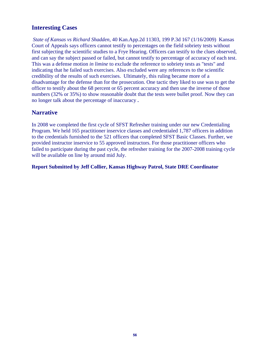## **Interesting Cases**

*State of Kansas vs Richard Shadden,* 40 Kan.App.2d 11303, 199 P.3d 167 (1/16/2009) Kansas Court of Appeals says officers cannot testify to percentages on the field sobriety tests without first subjecting the scientific studies to a Frye Hearing. Officers can testify to the clues observed, and can say the subject passed or failed, but cannot testify to percentage of accuracy of each test. This was a defense motion *in limine* to exclude the reference to sobriety tests as "tests" and indicating that he failed such exercises. Also excluded were any references to the scientific credibility of the results of such exercises. Ultimately, this ruling became more of a disadvantage for the defense than for the prosecution. One tactic they liked to use was to get the officer to testify about the 68 percent or 65 percent accuracy and then use the inverse of those numbers (32% or 35%) to show reasonable doubt that the tests were bullet proof. Now they can no longer talk about the percentage of inaccuracy **.** 

#### **Narrative**

In 2008 we completed the first cycle of SFST Refresher training under our new Credentialing Program. We held 165 practitioner inservice classes and credentialed 1,787 officers in addition to the credentials furnished to the 521 officers that completed SFST Basic Classes. Further, we provided instructor inservice to 55 approved instructors. For those practitioner officers who failed to participate during the past cycle, the refresher training for the 2007-2008 training cycle will be available on line by around mid July.

#### **Report Submitted by Jeff Collier, Kansas Highway Patrol, State DRE Coordinator**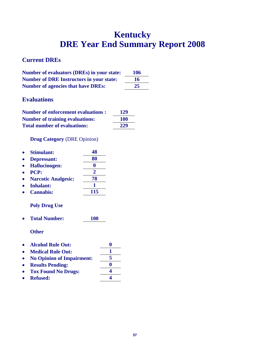# **Kentucky DRE Year End Summary Report 2008**

## **Current DREs**

| <b>Number of evaluators (DREs) in your state:</b> | 106 |
|---------------------------------------------------|-----|
| <b>Number of DRE Instructors in your state:</b>   | 16  |
| <b>Number of agencies that have DREs:</b>         | 25  |

## **Evaluations**

| <b>Number of enforcement evaluations :</b> | 129 |
|--------------------------------------------|-----|
| <b>Number of training evaluations:</b>     | 100 |
| <b>Total number of evaluations:</b>        | 229 |

**Drug Category** (DRE Opinion)

| <b>Stimulant:</b>          |     |
|----------------------------|-----|
| Depressant:                | 80  |
| <b>Hallucinogen:</b>       |     |
| <b>PCP:</b>                | 2   |
| <b>Narcotic Analgesic:</b> | 78  |
| <b>Inhalant:</b>           |     |
| <b>Cannabis:</b>           | 115 |

#### **Poly Drug Use**

**Total Number: 100** 

- **Alcohol Rule Out: 0**
- Medical Rule Out: 1
- **No Opinion of Impairment: 5**
- **Results Pending: 0**
- **Tox Found No Drugs: 4**
- **Refused: 4**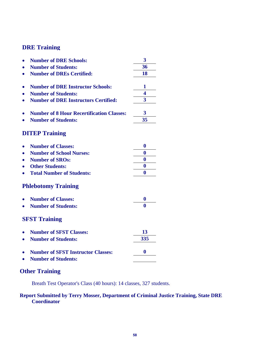|           | <b>Number of DRE Schools:</b>                    | 3                |
|-----------|--------------------------------------------------|------------------|
|           | <b>Number of Students:</b>                       | 36               |
|           | <b>Number of DREs Certified:</b>                 | 18               |
|           |                                                  |                  |
|           | <b>Number of DRE Instructor Schools:</b>         | 1                |
|           | <b>Number of Students:</b>                       | 4                |
|           | <b>Number of DRE Instructors Certified:</b>      | 3                |
|           |                                                  |                  |
|           | <b>Number of 8 Hour Recertification Classes:</b> | 3                |
|           | <b>Number of Students:</b>                       | 35               |
|           | <b>DITEP Training</b>                            |                  |
|           |                                                  |                  |
|           | <b>Number of Classes:</b>                        | $\bf{0}$         |
| $\bullet$ | <b>Number of School Nurses:</b>                  | $\bf{0}$         |
|           | <b>Number of SROs:</b>                           | $\bf{0}$         |
|           | <b>Other Students:</b>                           | $\boldsymbol{0}$ |
|           | <b>Total Number of Students:</b>                 | $\mathbf{0}$     |
|           | <b>Phlebotomy Training</b>                       |                  |
|           | <b>Number of Classes:</b>                        | 0                |
|           | <b>Number of Students:</b>                       | $\mathbf{0}$     |
|           | <b>SFST Training</b>                             |                  |
|           | <b>Number of SFST Classes:</b>                   | 13               |
| $\bullet$ | <b>Number of Students:</b>                       | 335              |
|           |                                                  |                  |
|           | <b>Number of SFST Instructor Classes:</b>        | $\bf{0}$         |
|           | <b>Number of Students:</b>                       |                  |
|           |                                                  |                  |

## **Other Training**

Breath Test Operator's Class (40 hours): 14 classes, 327 students.

#### **Report Submitted by Terry Mosser, Department of Criminal Justice Training, State DRE Coordinator**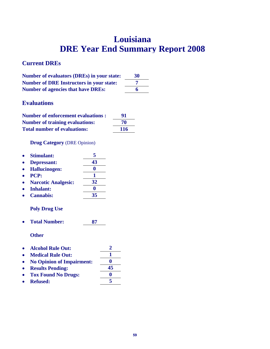# **Louisiana DRE Year End Summary Report 2008**

### **Current DREs**

| <b>Number of evaluators (DREs) in your state:</b> | 30 |
|---------------------------------------------------|----|
| <b>Number of DRE Instructors in your state:</b>   |    |
| <b>Number of agencies that have DREs:</b>         | 6  |

## **Evaluations**

| <b>Number of enforcement evaluations:</b> | 91  |
|-------------------------------------------|-----|
| <b>Number of training evaluations:</b>    | 70  |
| <b>Total number of evaluations:</b>       | 116 |

**Drug Category** (DRE Opinion)

|           | • Stimulant:         |    |
|-----------|----------------------|----|
|           | • Depressant:        | 43 |
| $\bullet$ | <b>Hallucinogen:</b> | o  |

| $\bullet$ | PCP: |  |
|-----------|------|--|
|           |      |  |

- **Narcotic Analgesic: 32**
- **Inhalant: 0**
- **Cannabis: 35**

#### **Poly Drug Use**

**Total Number: 87** 

- **Alcohol Rule Out: 2**
- Medical Rule Out: 1
- **No Opinion of Impairment: 0**
- **Results Pending: 45 Tox Found No Drugs: 0 Refused: 5**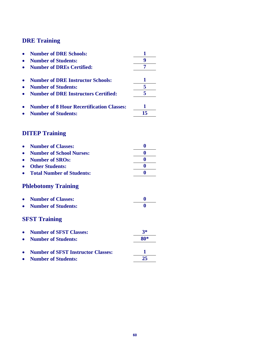| <b>Number of DRE Schools:</b>                    |    |
|--------------------------------------------------|----|
| <b>Number of Students:</b>                       |    |
| <b>Number of DREs Certified:</b>                 |    |
| <b>Number of DRE Instructor Schools:</b>         |    |
| <b>Number of Students:</b>                       |    |
| <b>Number of DRE Instructors Certified:</b>      |    |
| <b>Number of 8 Hour Recertification Classes:</b> |    |
| <b>Number of Students:</b>                       | 15 |

# **DITEP Training**

| <b>Number of Classes:</b>                 | 0    |
|-------------------------------------------|------|
| <b>Number of School Nurses:</b>           | 0    |
| <b>Number of SROs:</b>                    | 0    |
| <b>Other Students:</b>                    | 0    |
| <b>Total Number of Students:</b>          | 0    |
| <b>Phlebotomy Training</b>                |      |
| <b>Number of Classes:</b>                 | 0    |
| <b>Number of Students:</b>                | 0    |
| <b>SFST Training</b>                      |      |
| <b>Number of SFST Classes:</b>            | $3*$ |
| <b>Number of Students:</b>                | 80*  |
| <b>Number of SFST Instructor Classes:</b> | 1    |
| <b>Number of Students:</b>                | 25   |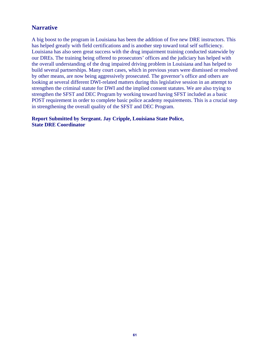### **Narrative**

A big boost to the program in Louisiana has been the addition of five new DRE instructors. This has helped greatly with field certifications and is another step toward total self sufficiency. Louisiana has also seen great success with the drug impairment training conducted statewide by our DREs. The training being offered to prosecutors' offices and the judiciary has helped with the overall understanding of the drug impaired driving problem in Louisiana and has helped to build several partnerships. Many court cases, which in previous years were dismissed or resolved by other means, are now being aggressively prosecuted. The governor's office and others are looking at several different DWI-related matters during this legislative session in an attempt to strengthen the criminal statute for DWI and the implied consent statutes. We are also trying to strengthen the SFST and DEC Program by working toward having SFST included as a basic POST requirement in order to complete basic police academy requirements. This is a crucial step in strengthening the overall quality of the SFST and DEC Program.

**Report Submitted by Sergeant. Jay Cripple, Louisiana State Police, State DRE Coordinator**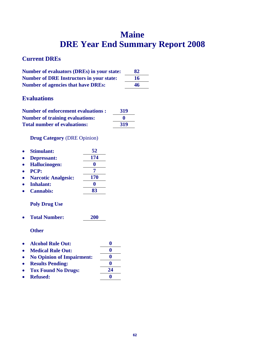# **Maine DRE Year End Summary Report 2008**

## **Current DREs**

| <b>Number of evaluators (DREs) in your state:</b> | 82 |
|---------------------------------------------------|----|
| <b>Number of DRE Instructors in your state:</b>   | 16 |
| <b>Number of agencies that have DREs:</b>         | 46 |

## **Evaluations**

| <b>Number of enforcement evaluations :</b> | 319          |
|--------------------------------------------|--------------|
| <b>Number of training evaluations:</b>     | $\mathbf{0}$ |
| <b>Total number of evaluations:</b>        | 319          |

#### **Drug Category** (DRE Opinion)

| <b>Stimulant:</b>          | 52  |
|----------------------------|-----|
| Depressant:                | 174 |
| <b>Hallucinogen:</b>       |     |
| PCP:                       | 7   |
| <b>Narcotic Analgesic:</b> | 170 |
| <b>Inhalant:</b>           |     |
| <b>Cannabis:</b>           | 83  |
|                            |     |

### **Poly Drug Use**

**Total Number: 200** 

- **Alcohol Rule Out: 0**
- Medical Rule Out: 0
- **No Opinion of Impairment: 0**
- **e** Results Pending: 0
- **Tox Found No Drugs: 24**
- Refused: 0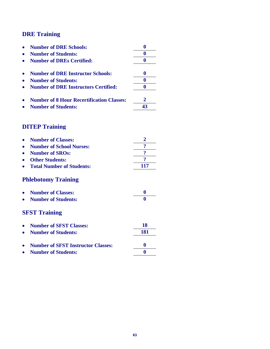| <b>Number of DRE Schools:</b>                    |   |
|--------------------------------------------------|---|
| <b>Number of Students:</b>                       |   |
| <b>Number of DREs Certified:</b>                 |   |
| <b>Number of DRE Instructor Schools:</b>         |   |
| <b>Number of Students:</b>                       |   |
| <b>Number of DRE Instructors Certified:</b>      |   |
| <b>Number of 8 Hour Recertification Classes:</b> | 2 |
| <b>Number of Students:</b>                       |   |

## **DITEP Training**

| <b>Number of Classes:</b><br><b>Number of School Nurses:</b><br><b>Number of SROs:</b><br><b>Other Students:</b> | 9<br>9   |
|------------------------------------------------------------------------------------------------------------------|----------|
| <b>Total Number of Students:</b>                                                                                 | 117      |
| <b>Phlebotomy Training</b>                                                                                       |          |
| <b>Number of Classes:</b>                                                                                        | $\bf{0}$ |
| <b>Number of Students:</b>                                                                                       | 0        |
| <b>SFST Training</b>                                                                                             |          |
| <b>Number of SFST Classes:</b>                                                                                   | 18       |
| <b>Number of Students:</b>                                                                                       | 181      |
| <b>Number of SFST Instructor Classes:</b>                                                                        | $\bf{0}$ |
| <b>Number of Students:</b>                                                                                       |          |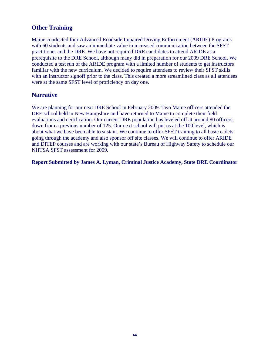## **Other Training**

Maine conducted four Advanced Roadside Impaired Driving Enforcement (ARIDE) Programs with 60 students and saw an immediate value in increased communication between the SFST practitioner and the DRE. We have not required DRE candidates to attend ARIDE as a prerequisite to the DRE School, although many did in preparation for our 2009 DRE School. We conducted a test run of the ARIDE program with a limited number of students to get instructors familiar with the new curriculum. We decided to require attendees to review their SFST skills with an instructor signoff prior to the class. This created a more streamlined class as all attendees were at the same SFST level of proficiency on day one.

### **Narrative**

We are planning for our next DRE School in February 2009. Two Maine officers attended the DRE school held in New Hampshire and have returned to Maine to complete their field evaluations and certification. Our current DRE population has leveled off at around 80 officers, down from a previous number of 125. Our next school will put us at the 100 level, which is about what we have been able to sustain. We continue to offer SFST training to all basic cadets going through the academy and also sponsor off site classes. We will continue to offer ARIDE and DITEP courses and are working with our state's Bureau of Highway Safety to schedule our NHTSA SFST assessment for 2009.

**Report Submitted by James A. Lyman, Criminal Justice Academy, State DRE Coordinator**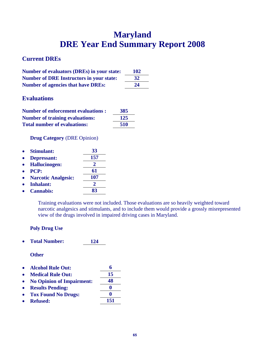# **Maryland DRE Year End Summary Report 2008**

## **Current DREs**

| <b>Number of evaluators (DREs) in your state:</b> | <b>102</b> |
|---------------------------------------------------|------------|
| <b>Number of DRE Instructors in your state:</b>   | 32         |
| <b>Number of agencies that have DREs:</b>         | 24         |

### **Evaluations**

| <b>Number of enforcement evaluations :</b> | 385 |
|--------------------------------------------|-----|
| <b>Number of training evaluations:</b>     | 125 |
| <b>Total number of evaluations:</b>        | 510 |

**Drug Category** (DRE Opinion)

| $\bullet$ | <b>Stimulant:</b>          | 33  |
|-----------|----------------------------|-----|
| $\bullet$ | <b>Depressant:</b>         | 157 |
| $\bullet$ | <b>Hallucinogen:</b>       |     |
| $\bullet$ | <b>PCP:</b>                | 61  |
| $\bullet$ | <b>Narcotic Analgesic:</b> | 107 |
| $\bullet$ | <b>Inhalant:</b>           |     |
| $\bullet$ | <b>Cannabis:</b>           |     |

Training evaluations were not included. Those evaluations are so heavily weighted toward narcotic analgesics and stimulants, and to include them would provide a grossly misrepresented view of the drugs involved in impaired driving cases in Maryland.

#### **Poly Drug Use**

**Total Number: 124** 

- **Alcohol Rule Out: 6**
- Medical Rule Out: 15
- **No Opinion of Impairment: 48**
- **Results Pending: 0**
- Tox Found No Drugs: 0
- **Refused: 151**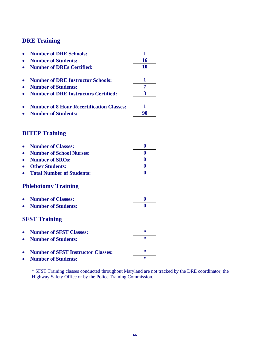|           | <b>Number of DRE Schools:</b>                    | 1              |
|-----------|--------------------------------------------------|----------------|
|           | <b>Number of Students:</b>                       | 16             |
|           | <b>Number of DREs Certified:</b>                 | 10             |
|           | <b>Number of DRE Instructor Schools:</b>         | 1              |
|           | <b>Number of Students:</b>                       | $\overline{7}$ |
|           | <b>Number of DRE Instructors Certified:</b>      | 3              |
|           |                                                  |                |
|           | <b>Number of 8 Hour Recertification Classes:</b> | 1              |
|           | <b>Number of Students:</b>                       | 90             |
|           | <b>DITEP Training</b>                            |                |
|           |                                                  |                |
|           | <b>Number of Classes:</b>                        | $\bf{0}$       |
|           | <b>Number of School Nurses:</b>                  | 0              |
|           | <b>Number of SROs:</b>                           | $\bf{0}$       |
|           | <b>Other Students:</b>                           | $\bf{0}$       |
| $\bullet$ | <b>Total Number of Students:</b>                 | 0              |
|           | <b>Phlebotomy Training</b>                       |                |
|           | <b>Number of Classes:</b>                        | $\bf{0}$       |
|           | <b>Number of Students:</b>                       | 0              |
|           | <b>SFST Training</b>                             |                |
|           | <b>Number of SFST Classes:</b>                   | ∗              |
|           | <b>Number of Students:</b>                       | $\ast$         |
|           | <b>Number of SFST Instructor Classes:</b>        | ∗              |
|           | <b>Number of Students:</b>                       | $\ast$         |
|           |                                                  |                |

\* SFST Training classes conducted throughout Maryland are not tracked by the DRE coordinator, the Highway Safety Office or by the Police Training Commission.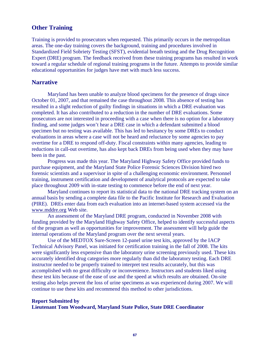#### **Other Training**

Training is provided to prosecutors when requested. This primarily occurs in the metropolitan areas. The one-day training covers the background, training and procedures involved in Standardized Field Sobriety Testing (SFST), evidential breath testing and the Drug Recognition Expert (DRE) program. The feedback received from these training programs has resulted in work toward a regular schedule of regional training programs in the future. Attempts to provide similar educational opportunities for judges have met with much less success.

#### **Narrative**

Maryland has been unable to analyze blood specimens for the presence of drugs since October 01, 2007, and that remained the case throughout 2008. This absence of testing has resulted in a slight reduction of guilty findings in situations in which a DRE evaluation was completed. It has also contributed to a reduction in the number of DRE evaluations. Some prosecutors are not interested in proceeding with a case when there is no option for a laboratory finding, and some judges won't hear a DRE case in which a defendant submitted a blood specimen but no testing was available. This has led to hesitancy by some DREs to conduct evaluations in areas where a case will not be heard and reluctance by some agencies to pay overtime for a DRE to respond off-duty. Fiscal constraints within many agencies, leading to reductions in call-out overtime, has also kept back DREs from being used when they may have been in the past.

 Progress was made this year. The Maryland Highway Safety Office provided funds to purchase equipment, and the Maryland State Police Forensic Sciences Division hired two forensic scientists and a supervisor in spite of a challenging economic environment. Personnel training, instrument certification and development of analytical protocols are expected to take place throughout 2009 with in-state testing to commence before the end of next year.

 Maryland continues to report its statistical data to the national DRE tracking system on an annual basis by sending a complete data file to the Pacific Institute for Research and Evaluation (PIRE). DREs enter data from each evaluation into an internet-based system accessed via the www.mddre.org Web site.

 An assessment of the Maryland DRE program, conducted in November 2008 with funding provided by the Maryland Highway Safety Office, helped to identify successful aspects of the program as well as opportunities for improvement. The assessment will help guide the internal operations of the Maryland program over the next several years.

 Use of the MEDTOX Sure-Screen 12-panel urine test kits, approved by the IACP Technical Advisory Panel, was initiated for certification training in the fall of 2008. The kits were significantly less expensive than the laboratory urine screening previously used. These kits accurately identified drug categories more regularly than did the laboratory testing. Each DRE instructor needed to be properly trained to interpret test results accurately, but this was accomplished with no great difficulty or inconvenience. Instructors and students liked using these test kits because of the ease of use and the speed at which results are obtained. On-site testing also helps prevent the loss of urine specimens as was experienced during 2007. We will continue to use these kits and recommend this method to other jurisdictions.

#### **Report Submitted by Lieutenant Tom Woodward, Maryland State Police, State DRE Coordinator**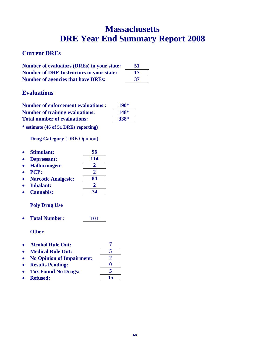# **Massachusetts DRE Year End Summary Report 2008**

#### **Current DREs**

| Number of evaluators (DREs) in your state:      | 51 |
|-------------------------------------------------|----|
| <b>Number of DRE Instructors in your state:</b> | 17 |
| <b>Number of agencies that have DREs:</b>       | 37 |

### **Evaluations**

| <b>Number of enforcement evaluations:</b> | $190*$      |
|-------------------------------------------|-------------|
| <b>Number of training evaluations:</b>    | <b>148*</b> |
| <b>Total number of evaluations:</b>       | 338*        |

**\* estimate (46 of 51 DREs reporting)** 

**Drug Category** (DRE Opinion)

| 96  |
|-----|
| 114 |
| Ζ.  |
| 2   |
| 84  |
|     |
| 74  |
|     |

#### **Poly Drug Use**

**Total Number: 101** 

- Alcohol Rule Out: 7<br>• Medical Rule Out: 5
- **Medical Rule Out: 5**
- **No Opinion of Impairment: 2**
- **e** Results Pending: 0 **Tox Found No Drugs: 5**
- 
- Refused: 15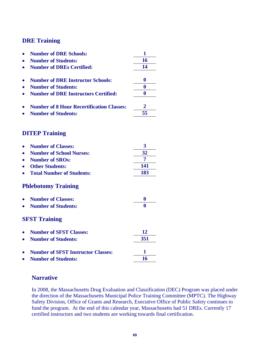| <b>Number of DRE Schools:</b>                    | 1                |
|--------------------------------------------------|------------------|
| <b>Number of Students:</b>                       | 16               |
| <b>Number of DREs Certified:</b>                 | 14               |
| <b>Number of DRE Instructor Schools:</b>         | $\boldsymbol{0}$ |
| <b>Number of Students:</b>                       | $\bf{0}$         |
| <b>Number of DRE Instructors Certified:</b>      | 0                |
|                                                  |                  |
| <b>Number of 8 Hour Recertification Classes:</b> | 2                |
| <b>Number of Students:</b>                       | 55               |
| <b>DITEP Training</b>                            |                  |
|                                                  |                  |
| <b>Number of Classes:</b>                        | 3                |
| <b>Number of School Nurses:</b>                  | 32               |
| <b>Number of SROs:</b>                           | 7                |
| <b>Other Students:</b>                           | 141              |
| <b>Total Number of Students:</b>                 | 183              |
| <b>Phlebotomy Training</b>                       |                  |
| <b>Number of Classes:</b>                        | $\boldsymbol{0}$ |
| <b>Number of Students:</b>                       | 0                |
| <b>SFST Training</b>                             |                  |
| <b>Number of SFST Classes:</b>                   | 12               |
| <b>Number of Students:</b>                       | 351              |
|                                                  |                  |
| <b>Number of SFST Instructor Classes:</b>        | 1                |
| <b>Number of Students:</b>                       | 16               |

#### **Narrative**

In 2008, the Massachusetts Drug Evaluation and Classification (DEC) Program was placed under the direction of the Massachusetts Municipal Police Training Committee (MPTC). The Highway Safety Division, Office of Grants and Research, Executive Office of Public Safety continues to fund the program. At the end of this calendar year, Massachusetts had 51 DREs. Currently 17 certified instructors and two students are working towards final certification.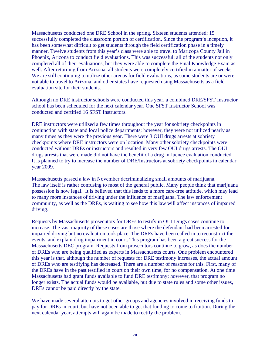Massachusetts conducted one DRE School in the spring. Sixteen students attended; 15 successfully completed the classroom portion of certification. Since the program's inception, it has been somewhat difficult to get students through the field certification phase in a timely manner. Twelve students from this year's class were able to travel to Maricopa County Jail in Phoenix, Arizona to conduct field evaluations. This was successful: all of the students not only completed all of their evaluations, but they were able to complete the Final Knowledge Exam as well. After returning from Arizona, all students were completely certified in a matter of weeks. We are still continuing to utilize other arenas for field evaluations, as some students are or were not able to travel to Arizona, and other states have requested using Massachusetts as a field evaluation site for their students.

Although no DRE instructor schools were conducted this year, a combined DRE/SFST Instructor school has been scheduled for the next calendar year. One SFST Instructor School was conducted and certified 16 SFST Instructors.

DRE instructors were utilized a few times throughout the year for sobriety checkpoints in conjunction with state and local police departments; however, they were not utilized nearly as many times as they were the previous year. There were 3 OUI drugs arrests at sobriety checkpoints where DRE instructors were on location. Many other sobriety checkpoints were conducted without DREs or instructors and resulted in very few OUI drugs arrests. The OUI drugs arrests that were made did not have the benefit of a drug influence evaluation conducted. It is planned to try to increase the number of DRE/Instructors at sobriety checkpoints in calendar year 2009.

Massachusetts passed a law in November decriminalizing small amounts of marijuana. The law itself is rather confusing to most of the general public. Many people think that marijuana possession is now legal. It is believed that this leads to a more care-free attitude, which may lead to many more instances of driving under the influence of marijuana. The law enforcement community, as well as the DREs, is waiting to see how this law will affect instances of impaired driving.

Requests by Massachusetts prosecutors for DREs to testify in OUI Drugs cases continue to increase. The vast majority of these cases are those where the defendant had been arrested for impaired driving but no evaluation took place. The DREs have been called in to reconstruct the events, and explain drug impairment in court. This program has been a great success for the Massachusetts DEC program. Requests from prosecutors continue to grow, as does the number of DREs who are being qualified as experts in Massachusetts courts. One problem encountered this year is that, although the number of requests for DRE testimony increases, the actual amount of DREs who are testifying has decreased. There are a number of reasons for this. First, many of the DREs have in the past testified in court on their own time, for no compensation. At one time Massachusetts had grant funds available to fund DRE testimony; however, that program no longer exists. The actual funds would be available, but due to state rules and some other issues, DREs cannot be paid directly by the state.

We have made several attempts to get other groups and agencies involved in receiving funds to pay for DREs in court, but have not been able to get that funding to come to fruition. During the next calendar year, attempts will again be made to rectify the problem.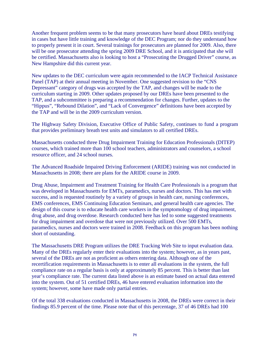Another frequent problem seems to be that many prosecutors have heard about DREs testifying in cases but have little training and knowledge of the DEC Program; nor do they understand how to properly present it in court. Several trainings for prosecutors are planned for 2009. Also, there will be one prosecutor attending the spring 2009 DRE School, and it is anticipated that she will be certified. Massachusetts also is looking to host a "Prosecuting the Drugged Driver" course, as New Hampshire did this current year.

New updates to the DEC curriculum were again recommended to the IACP Technical Assistance Panel (TAP) at their annual meeting in November. One suggested revision to the "CNS Depressant" category of drugs was accepted by the TAP, and changes will be made to the curriculum starting in 2009. Other updates proposed by our DREs have been presented to the TAP, and a subcommittee is preparing a recommendation for changes. Further, updates to the "Hippus", "Rebound Dilation", and "Lack of Convergence" definitions have been accepted by the TAP and will be in the 2009 curriculum version.

The Highway Safety Division, Executive Office of Public Safety, continues to fund a program that provides preliminary breath test units and simulators to all certified DREs.

Massachusetts conducted three Drug Impairment Training for Education Professionals (DITEP) courses, which trained more than 100 school teachers, administrators and counselors, a school resource officer, and 24 school nurses.

The Advanced Roadside Impaired Driving Enforcement (ARIDE) training was not conducted in Massachusetts in 2008; there are plans for the ARIDE course in 2009.

Drug Abuse, Impairment and Treatment Training for Health Care Professionals is a program that was developed in Massachusetts for EMTs, paramedics, nurses and doctors. This has met with success, and is requested routinely by a variety of groups in health care, nursing conferences, EMS conferences, EMS Continuing Education Seminars, and general health care agencies. The design of this course is to educate health care workers in the symptomology of drug impairment, drug abuse, and drug overdose. Research conducted here has led to some suggested treatments for drug impairment and overdose that were not previously utilized. Over 500 EMTs, paramedics, nurses and doctors were trained in 2008. Feedback on this program has been nothing short of outstanding.

The Massachusetts DRE Program utilizes the DRE Tracking Web Site to input evaluation data. Many of the DREs regularly enter their evaluations into the system; however, as in years past, several of the DREs are not as proficient as others entering data. Although one of the recertification requirements in Massachusetts is to enter all evaluations in the system, the full compliance rate on a regular basis is only at approximately 85 percent. This is better than last year's compliance rate. The current data listed above is an estimate based on actual data entered into the system. Out of 51 certified DREs, 46 have entered evaluation information into the system; however, some have made only partial entries.

Of the total 338 evaluations conducted in Massachusetts in 2008, the DREs were correct in their findings 85.9 percent of the time. Please note that of this percentage, 37 of 46 DREs had 100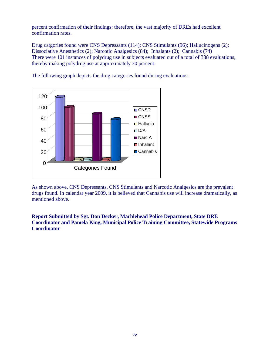percent confirmation of their findings; therefore, the vast majority of DREs had excellent confirmation rates.

Drug catgories found were CNS Depressants (114); CNS Stimulants (96); Hallucinogens (2); Dissociative Anesthetics (2); Narcotic Analgesics (84); Inhalants (2); Cannabis (74) There were 101 instances of polydrug use in subjects evaluated out of a total of 338 evaluations, thereby making polydrug use at approximately 30 percent.

The following graph depicts the drug categories found during evaluations:



As shown above, CNS Depressants, CNS Stimulants and Narcotic Analgesics are the prevalent drugs found. In calendar year 2009, it is believed that Cannabis use will increase dramatically, as mentioned above.

#### **Report Submitted by Sgt. Don Decker, Marblehead Police Department, State DRE Coordinator and Pamela King, Municipal Police Training Committee, Statewide Programs Coordinator**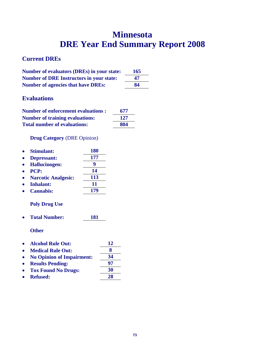## **Minnesota DRE Year End Summary Report 2008**

### **Current DREs**

| <b>Number of evaluators (DREs) in your state:</b> | <b>165</b> |
|---------------------------------------------------|------------|
| <b>Number of DRE Instructors in your state:</b>   | 47         |
| <b>Number of agencies that have DREs:</b>         | 84         |

### **Evaluations**

| <b>Number of enforcement evaluations:</b> | 677 |
|-------------------------------------------|-----|
| <b>Number of training evaluations:</b>    | 127 |
| <b>Total number of evaluations:</b>       | 804 |

### **Drug Category** (DRE Opinion)

| <b>180</b> |
|------------|
| 177        |
| g          |
| 14         |
| 113        |
| 11         |
| 179        |
|            |

### **Poly Drug Use**

**Total Number: 181** 

- **Alcohol Rule Out: 12**
- **Medical Rule Out: 8**
- No Opinion of Impairment:  $\frac{34}{97}$
- **• Results Pending:**
- Tox Found No Drugs: 30
- **Refused: 28**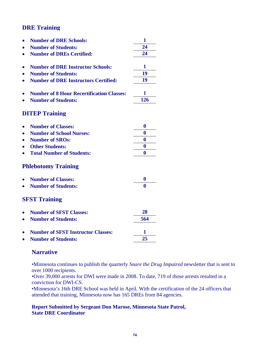|                            | <b>Number of DRE Schools:</b>                    | 1                |  |
|----------------------------|--------------------------------------------------|------------------|--|
|                            | <b>Number of Students:</b>                       | 24               |  |
|                            | <b>Number of DREs Certified:</b>                 | 24               |  |
|                            | <b>Number of DRE Instructor Schools:</b>         | 1                |  |
|                            | <b>Number of Students:</b>                       | 19               |  |
|                            | <b>Number of DRE Instructors Certified:</b>      | 19               |  |
|                            |                                                  |                  |  |
|                            | <b>Number of 8 Hour Recertification Classes:</b> | 1                |  |
|                            | <b>Number of Students:</b>                       | 126              |  |
|                            | <b>DITEP Training</b>                            |                  |  |
|                            | <b>Number of Classes:</b>                        | $\bf{0}$         |  |
|                            | <b>Number of School Nurses:</b>                  | $\boldsymbol{0}$ |  |
|                            | <b>Number of SROs:</b>                           | $\bf{0}$         |  |
|                            | <b>Other Students:</b>                           | $\bf{0}$         |  |
|                            | <b>Total Number of Students:</b>                 | $\bf{0}$         |  |
| <b>Phlebotomy Training</b> |                                                  |                  |  |
|                            | <b>Number of Classes:</b>                        | $\boldsymbol{0}$ |  |
|                            | <b>Number of Students:</b>                       | $\mathbf{0}$     |  |
| <b>SFST Training</b>       |                                                  |                  |  |
|                            | <b>Number of SFST Classes:</b>                   | 28               |  |
|                            | <b>Number of Students:</b>                       | 564              |  |
|                            | <b>Number of SFST Instructor Classes:</b>        | 1                |  |
|                            | <b>Number of Students:</b>                       | 25               |  |
|                            |                                                  |                  |  |

### **Narrative**

•Minnesota continues to publish the quarterly *Snare the Drug Impaired* newsletter that is sent to over 1000 recipients.

•Over 39,000 arrests for DWI were made in 2008. To date, 719 of those arrests resulted in a conviction for DWI-CS.

•Minnesota's 16th DRE School was held in April. With the certification of the 24 officers that attended that training, Minnesota now has 165 DREs from 84 agencies.

#### **Report Submitted by Sergeant Don Marose, Minnesota State Patrol, State DRE Coordinator**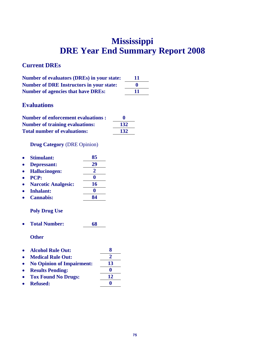## **Mississippi DRE Year End Summary Report 2008**

### **Current DREs**

| <b>Number of evaluators (DREs) in your state:</b> | -11 |
|---------------------------------------------------|-----|
| <b>Number of DRE Instructors in your state:</b>   | o   |
| <b>Number of agencies that have DREs:</b>         | 11  |

### **Evaluations**

| <b>Number of enforcement evaluations:</b> | $\mathbf{0}$ |
|-------------------------------------------|--------------|
| <b>Number of training evaluations:</b>    | 132          |
| <b>Total number of evaluations:</b>       | 132          |

**Drug Category** (DRE Opinion)

| <b>Stimulant:</b>          | 85 |
|----------------------------|----|
| Depressant:                | 29 |
| <b>Hallucinogen:</b>       |    |
| PCP:                       |    |
| <b>Narcotic Analgesic:</b> | 16 |
| <b>Inhalant:</b>           |    |
| <b>Cannabis:</b>           | QΔ |

### **Poly Drug Use**

**Total Number: 68** 

|           | • Alcohol Rule Out:              | x   |
|-----------|----------------------------------|-----|
| $\bullet$ | <b>Medical Rule Out:</b>         |     |
| $\bullet$ | <b>No Opinion of Impairment:</b> | 13  |
| $\bullet$ | <b>Results Pending:</b>          | o   |
|           |                                  | 1 A |

- **Tox Found No Drugs: 12**
- Refused: 0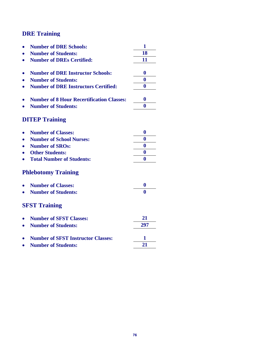|           | <b>Number of DRE Schools:</b>                    | 1        |
|-----------|--------------------------------------------------|----------|
|           | <b>Number of Students:</b>                       | 18       |
|           | <b>Number of DREs Certified:</b>                 | 11       |
|           |                                                  |          |
|           | <b>Number of DRE Instructor Schools:</b>         | $\bf{0}$ |
|           | <b>Number of Students:</b>                       | $\bf{0}$ |
|           | <b>Number of DRE Instructors Certified:</b>      | 0        |
|           | <b>Number of 8 Hour Recertification Classes:</b> | $\bf{0}$ |
|           | <b>Number of Students:</b>                       | 0        |
|           |                                                  |          |
|           | <b>DITEP Training</b>                            |          |
|           | <b>Number of Classes:</b>                        | $\bf{0}$ |
|           | <b>Number of School Nurses:</b>                  | 0        |
|           | <b>Number of SROs:</b>                           | $\bf{0}$ |
|           | <b>Other Students:</b>                           | $\bf{0}$ |
|           | <b>Total Number of Students:</b>                 | $\bf{0}$ |
|           | <b>Phlebotomy Training</b>                       |          |
|           | <b>Number of Classes:</b>                        | 0        |
|           | <b>Number of Students:</b>                       | 0        |
|           | <b>SFST Training</b>                             |          |
| $\bullet$ | <b>Number of SFST Classes:</b>                   | 21       |
|           | <b>Number of Students:</b>                       | 297      |
|           |                                                  |          |
|           | <b>Number of SFST Instructor Classes:</b>        | 1        |
|           | <b>Number of Students:</b>                       | 21       |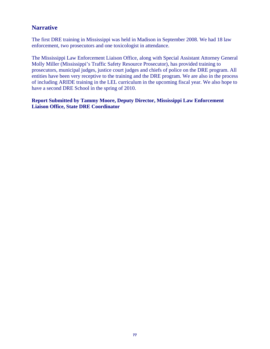### **Narrative**

The first DRE training in Mississippi was held in Madison in September 2008. We had 18 law enforcement, two prosecutors and one toxicologist in attendance.

The Mississippi Law Enforcement Liaison Office, along with Special Assistant Attorney General Molly Miller (Mississippi's Traffic Safety Resource Prosecutor), has provided training to prosecutors, municipal judges, justice court judges and chiefs of police on the DRE program. All entities have been very receptive to the training and the DRE program. We are also in the process of including ARIDE training in the LEL curriculum in the upcoming fiscal year. We also hope to have a second DRE School in the spring of 2010.

**Report Submitted by Tammy Moore, Deputy Director, Mississippi Law Enforcement Liaison Office, State DRE Coordinator**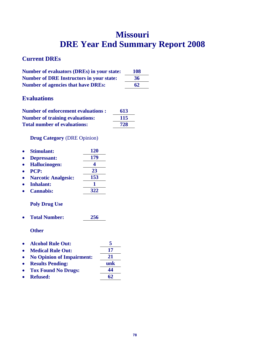## **Missouri DRE Year End Summary Report 2008**

### **Current DREs**

| <b>Number of evaluators (DREs) in your state:</b> | <b>108</b> |
|---------------------------------------------------|------------|
| <b>Number of DRE Instructors in your state:</b>   | 36         |
| <b>Number of agencies that have DREs:</b>         | 62         |

### **Evaluations**

| <b>Number of enforcement evaluations:</b> | 613 |
|-------------------------------------------|-----|
| <b>Number of training evaluations:</b>    | 115 |
| <b>Total number of evaluations:</b>       | 728 |

### **Drug Category** (DRE Opinion)

| <b>Stimulant:</b>          | <b>120</b> |
|----------------------------|------------|
| Depressant:                | 179        |
| <b>Hallucinogen:</b>       |            |
| PCP:                       | 23         |
| <b>Narcotic Analgesic:</b> | 153        |
| <b>Inhalant:</b>           |            |
| <b>Cannabis:</b>           | 322        |
|                            |            |

### **Poly Drug Use**

**Total Number: 256** 

- **Alcohol Rule Out: 5**
- Medical Rule Out: 17
- **No Opinion of Impairment: 21**
- **Results Pending: unk**
- **Tox Found No Drugs: 44**
- **Refused: 62**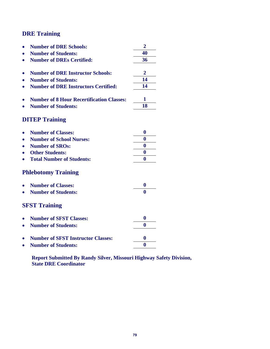|           | <b>Number of DRE Schools:</b>                    | $\overline{2}$   |
|-----------|--------------------------------------------------|------------------|
|           | <b>Number of Students:</b>                       | 40               |
|           | <b>Number of DREs Certified:</b>                 | 36               |
|           |                                                  |                  |
|           | <b>Number of DRE Instructor Schools:</b>         | $\overline{2}$   |
|           | <b>Number of Students:</b>                       | 14               |
| $\bullet$ | <b>Number of DRE Instructors Certified:</b>      | 14               |
|           | <b>Number of 8 Hour Recertification Classes:</b> | 1                |
|           | <b>Number of Students:</b>                       | 18               |
|           |                                                  |                  |
|           | <b>DITEP Training</b>                            |                  |
|           | <b>Number of Classes:</b>                        | $\boldsymbol{0}$ |
| $\bullet$ | <b>Number of School Nurses:</b>                  | $\bf{0}$         |
|           | <b>Number of SROs:</b>                           | $\bf{0}$         |
|           | <b>Other Students:</b>                           | $\bf{0}$         |
|           | <b>Total Number of Students:</b>                 | 0                |
|           | <b>Phlebotomy Training</b>                       |                  |
|           | <b>Number of Classes:</b>                        | $\bf{0}$         |
|           | <b>Number of Students:</b>                       | $\bf{0}$         |
|           | <b>SFST Training</b>                             |                  |
|           | <b>Number of SFST Classes:</b>                   | 0                |
| $\bullet$ | <b>Number of Students:</b>                       | 0                |
|           |                                                  |                  |
|           | <b>Number of SFST Instructor Classes:</b>        | $\bf{0}$         |
|           | <b>Number of Students:</b>                       | 0                |

**Report Submitted By Randy Silver, Missouri Highway Safety Division, State DRE Coordinator**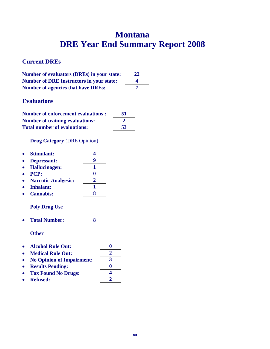## **Montana DRE Year End Summary Report 2008**

### **Current DREs**

| <b>Number of evaluators (DREs) in your state:</b> | 22 |
|---------------------------------------------------|----|
| <b>Number of DRE Instructors in your state:</b>   |    |
| <b>Number of agencies that have DREs:</b>         |    |

### **Evaluations**

| <b>Number of enforcement evaluations:</b> | 51 |
|-------------------------------------------|----|
| <b>Number of training evaluations:</b>    |    |
| <b>Total number of evaluations:</b>       | 53 |

**Drug Category** (DRE Opinion)

| $\bullet$ | <b>Stimulant:</b>    |  |
|-----------|----------------------|--|
|           | • Depressant:        |  |
| $\bullet$ | <b>Hallucinogen:</b> |  |

- **PCP: 0**
- **•** Narcotic Analgesic:
- Inhalant: 1
- **Cannabis: 8**

### **Poly Drug Use**

**Total Number: 8** 

- Alcohol Rule Out: 0<br>• Medical Rule Out: 2
- Medical Rule Out:  $\frac{2}{\sqrt{3}}$ **No Opinion of Impairment: 3**
- **Results Pending: 0**
- **Tox Found No Drugs: 4**
- Refused: 2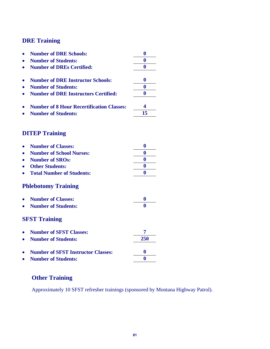|           | <b>Number of DRE Schools:</b>                    | $\bf{0}$         |
|-----------|--------------------------------------------------|------------------|
|           | <b>Number of Students:</b>                       | $\bf{0}$         |
|           | <b>Number of DREs Certified:</b>                 | $\bf{0}$         |
|           | <b>Number of DRE Instructor Schools:</b>         | $\bf{0}$         |
|           | <b>Number of Students:</b>                       | $\bf{0}$         |
|           | <b>Number of DRE Instructors Certified:</b>      | $\bf{0}$         |
|           |                                                  |                  |
|           | <b>Number of 8 Hour Recertification Classes:</b> | 4                |
|           | <b>Number of Students:</b>                       | 15               |
|           | <b>DITEP Training</b>                            |                  |
|           |                                                  |                  |
|           | <b>Number of Classes:</b>                        | $\bf{0}$         |
| $\bullet$ | <b>Number of School Nurses:</b>                  | $\bf{0}$         |
|           | <b>Number of SROs:</b>                           | $\bf{0}$         |
|           | <b>Other Students:</b>                           | $\bf{0}$         |
|           | <b>Total Number of Students:</b>                 | $\bf{0}$         |
|           | <b>Phlebotomy Training</b>                       |                  |
|           | <b>Number of Classes:</b>                        | $\boldsymbol{0}$ |
|           | <b>Number of Students:</b>                       | 0                |
|           | <b>SFST Training</b>                             |                  |
|           | <b>Number of SFST Classes:</b>                   | 7                |
|           | <b>Number of Students:</b>                       | 250              |
|           | <b>Number of SFST Instructor Classes:</b>        | $\bf{0}$         |
|           |                                                  | 0                |
|           | <b>Number of Students:</b>                       |                  |

### **Other Training**

Approximately 10 SFST refresher trainings (sponsored by Montana Highway Patrol).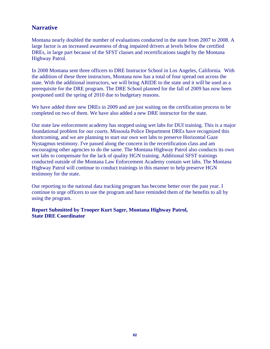### **Narrative**

Montana nearly doubled the number of evaluations conducted in the state from 2007 to 2008. A large factor is an increased awareness of drug impaired drivers at levels below the certified DREs, in large part because of the SFST classes and recertifications taught by the Montana Highway Patrol.

In 2008 Montana sent three officers to DRE Instructor School in Los Angeles, California. With the addition of these three instructors, Montana now has a total of four spread out across the state. With the additional instructors, we will bring ARIDE to the state and it will be used as a prerequisite for the DRE program. The DRE School planned for the fall of 2009 has now been postponed until the spring of 2010 due to budgetary reasons.

We have added three new DREs in 2009 and are just waiting on the certification process to be completed on two of them. We have also added a new DRE instructor for the state.

Our state law enforcement academy has stopped using wet labs for DUI training. This is a major foundational problem for our courts. Missoula Police Department DREs have recognized this shortcoming, and we are planning to start our own wet labs to preserve Horizontal Gaze Nystagmus testimony. I've passed along the concern in the recertification class and am encouraging other agencies to do the same. The Montana Highway Patrol also conducts its own wet labs to compensate for the lack of quality HGN training. Additional SFST trainings conducted outside of the Montana Law Enforcement Academy contain wet labs. The Montana Highway Patrol will continue to conduct trainings in this manner to help preserve HGN testimony for the state.

Our reporting to the national data tracking program has become better over the past year. I continue to urge officers to use the program and have reminded them of the benefits to all by using the program.

**Report Submitted by Trooper Kurt Sager, Montana Highway Patrol, State DRE Coordinator**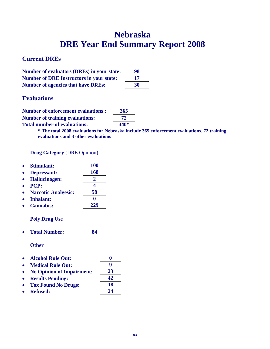## **Nebraska DRE Year End Summary Report 2008**

### **Current DREs**

| <b>Number of evaluators (DREs) in your state:</b> | 98  |
|---------------------------------------------------|-----|
| <b>Number of DRE Instructors in your state:</b>   | -17 |
| <b>Number of agencies that have DREs:</b>         | 30  |

### **Evaluations**

| <b>Number of enforcement evaluations:</b> | 365  |
|-------------------------------------------|------|
| <b>Number of training evaluations:</b>    | 72   |
| <b>Total number of evaluations:</b>       | 440* |

**\* The total 2008 evaluations for Nebraska include 365 enforcement evaluations, 72 training evaluations and 3 other evaluations** 

#### **Drug Category** (DRE Opinion)

|           | <b>Stimulant:</b>                | <b>100</b> |          |
|-----------|----------------------------------|------------|----------|
| $\bullet$ | <b>Depressant:</b>               | 168        |          |
| $\bullet$ | <b>Hallucinogen:</b>             | 2          |          |
|           | <b>PCP:</b>                      | 4          |          |
| $\bullet$ | <b>Narcotic Analgesic:</b>       | 58         |          |
|           | <b>Inhalant:</b>                 | 0          |          |
|           | <b>Cannabis:</b>                 | 229        |          |
|           | <b>Poly Drug Use</b>             |            |          |
|           | <b>Total Number:</b>             | 84         |          |
|           | <b>Other</b>                     |            |          |
|           | <b>Alcohol Rule Out:</b>         |            | $\bf{0}$ |
|           | <b>Medical Rule Out:</b>         |            | 9        |
|           | <b>No Opinion of Impairment:</b> |            | 23       |
| $\bullet$ | <b>Results Pending:</b>          |            | 42       |
|           | <b>Tox Found No Drugs:</b>       |            | 18       |
|           | <b>Refused:</b>                  |            | 24       |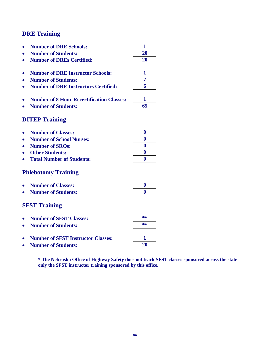|           | <b>Number of DRE Schools:</b>                    | 1            |
|-----------|--------------------------------------------------|--------------|
|           | <b>Number of Students:</b>                       | 20           |
|           | <b>Number of DREs Certified:</b>                 | 20           |
|           |                                                  |              |
|           | <b>Number of DRE Instructor Schools:</b>         | 1            |
|           | <b>Number of Students:</b>                       | 7            |
| $\bullet$ | <b>Number of DRE Instructors Certified:</b>      | 6            |
|           | <b>Number of 8 Hour Recertification Classes:</b> | 1            |
|           | <b>Number of Students:</b>                       | 65           |
|           | <b>DITEP Training</b>                            |              |
|           | <b>Number of Classes:</b>                        | $\bf{0}$     |
|           | <b>Number of School Nurses:</b>                  | $\bf{0}$     |
|           | <b>Number of SROs:</b>                           | $\bf{0}$     |
|           | <b>Other Students:</b>                           | $\bf{0}$     |
|           | <b>Total Number of Students:</b>                 | $\bf{0}$     |
|           | <b>Phlebotomy Training</b>                       |              |
|           | <b>Number of Classes:</b>                        | 0            |
|           | <b>Number of Students:</b>                       | $\mathbf{0}$ |
|           | <b>SFST Training</b>                             |              |
|           | <b>Number of SFST Classes:</b>                   | **           |
|           | <b>Number of Students:</b>                       | **           |
|           | <b>Number of SFST Instructor Classes:</b>        | 1            |
|           |                                                  | 20           |
| $\bullet$ | <b>Number of Students:</b>                       |              |

**\* The Nebraska Office of Highway Safety does not track SFST classes sponsored across the state only the SFST instructor training sponsored by this office.**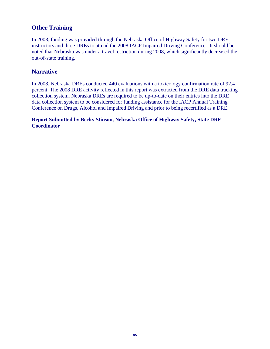### **Other Training**

In 2008, funding was provided through the Nebraska Office of Highway Safety for two DRE instructors and three DREs to attend the 2008 IACP Impaired Driving Conference. It should be noted that Nebraska was under a travel restriction during 2008, which significantly decreased the out-of-state training.

### **Narrative**

In 2008, Nebraska DREs conducted 440 evaluations with a toxicology confirmation rate of 92.4 percent. The 2008 DRE activity reflected in this report was extracted from the DRE data tracking collection system. Nebraska DREs are required to be up-to-date on their entries into the DRE data collection system to be considered for funding assistance for the IACP Annual Training Conference on Drugs, Alcohol and Impaired Driving and prior to being recertified as a DRE.

#### **Report Submitted by Becky Stinson, Nebraska Office of Highway Safety, State DRE Coordinator**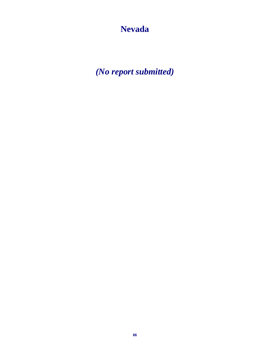**Nevada** 

*(No report submitted)*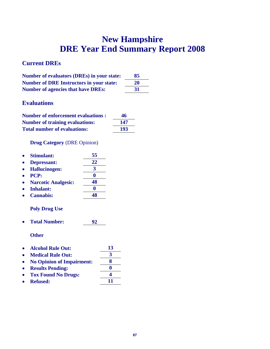## **New Hampshire DRE Year End Summary Report 2008**

### **Current DREs**

| <b>Number of evaluators (DREs) in your state:</b> | 85 |
|---------------------------------------------------|----|
| <b>Number of DRE Instructors in your state:</b>   | 20 |
| <b>Number of agencies that have DREs:</b>         | 31 |

### **Evaluations**

| <b>Number of enforcement evaluations:</b> | 46  |
|-------------------------------------------|-----|
| <b>Number of training evaluations:</b>    | 147 |
| <b>Total number of evaluations:</b>       | 193 |

**Drug Category** (DRE Opinion)

| $\bullet$ | <b>Stimulant:</b>          | 55 |
|-----------|----------------------------|----|
| $\bullet$ | Depressant:                | 22 |
| $\bullet$ | <b>Hallucinogen:</b>       |    |
| $\bullet$ | <b>PCP:</b>                |    |
| $\bullet$ | <b>Narcotic Analgesic:</b> | IХ |
|           |                            |    |

 **Inhalant: 0 Cannabis: 48** 

### **Poly Drug Use**

**Total Number: 92** 

- **Alcohol Rule Out: 13**
- **Medical Rule Out: 3**
- **No Opinion of Impairment: 8**
- **Results Pending: 0 Tox Found No Drugs: 4**
- **•** Refused: 11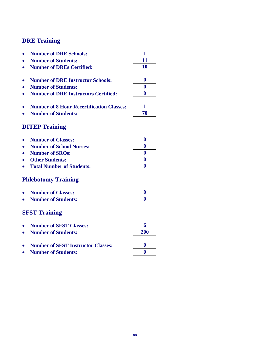|           | <b>Number of DRE Schools:</b>                    | 1            |
|-----------|--------------------------------------------------|--------------|
|           | <b>Number of Students:</b>                       | 11           |
|           | <b>Number of DREs Certified:</b>                 | 10           |
|           |                                                  |              |
|           | <b>Number of DRE Instructor Schools:</b>         | $\bf{0}$     |
|           | <b>Number of Students:</b>                       | $\bf{0}$     |
| $\bullet$ | <b>Number of DRE Instructors Certified:</b>      | $\bf{0}$     |
|           | <b>Number of 8 Hour Recertification Classes:</b> | 1            |
|           | <b>Number of Students:</b>                       | 70           |
|           |                                                  |              |
|           | <b>DITEP Training</b>                            |              |
|           | <b>Number of Classes:</b>                        | $\bf{0}$     |
| $\bullet$ | <b>Number of School Nurses:</b>                  | $\bf{0}$     |
|           | <b>Number of SROs:</b>                           | $\bf{0}$     |
|           | <b>Other Students:</b>                           | $\bf{0}$     |
|           | <b>Total Number of Students:</b>                 | $\mathbf{0}$ |
|           | <b>Phlebotomy Training</b>                       |              |
|           | <b>Number of Classes:</b>                        | $\bf{0}$     |
|           | <b>Number of Students:</b>                       | 0            |
|           | <b>SFST Training</b>                             |              |
|           | <b>Number of SFST Classes:</b>                   | 6            |
| $\bullet$ | <b>Number of Students:</b>                       | 200          |
|           | <b>Number of SFST Instructor Classes:</b>        | $\bf{0}$     |
|           | <b>Number of Students:</b>                       | $\bf{0}$     |
|           |                                                  |              |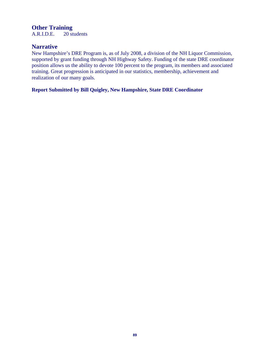# **Other Training**<br>A.R.I.D.E. 20 st

20 students

### **Narrative**

New Hampshire's DRE Program is, as of July 2008, a division of the NH Liquor Commission, supported by grant funding through NH Highway Safety. Funding of the state DRE coordinator position allows us the ability to devote 100 percent to the program, its members and associated training. Great progression is anticipated in our statistics, membership, achievement and realization of our many goals.

**Report Submitted by Bill Quigley, New Hampshire, State DRE Coordinator**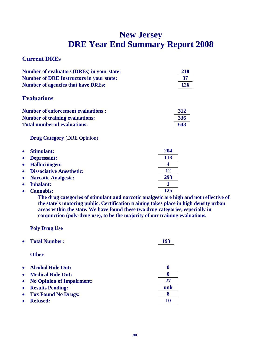## **New Jersey DRE Year End Summary Report 2008**

### **Current DREs**

| Number of evaluators (DREs) in your state:      | 218 |
|-------------------------------------------------|-----|
| <b>Number of DRE Instructors in your state:</b> | 37  |
| <b>Number of agencies that have DREs:</b>       | 126 |
| <b>Evaluations</b>                              |     |
| <b>Number of enforcement evaluations:</b>       | 312 |
| <b>Number of training evaluations:</b>          | 336 |
| <b>Total number of evaluations:</b>             | 648 |

**Drug Category** (DRE Opinion)

| <b>Stimulant:</b><br>$\bullet$               | 204 |
|----------------------------------------------|-----|
| <b>Depressant:</b><br>$\bullet$              | 113 |
| <b>Hallucinogen:</b><br>$\bullet$            |     |
| <b>Dissociative Anesthetic:</b><br>$\bullet$ | 12  |
| <b>Narcotic Analgesic:</b><br>$\bullet$      | 293 |
| <b>Inhalant:</b>                             |     |
| <b>Cannabis:</b>                             | 125 |

**The drug categories of stimulant and narcotic analgesic are high and not reflective of the state's motoring public. Certification training takes place in high density urban areas within the state. We have found these two drug categories, especially in conjunction (poly-drug use), to be the majority of our training evaluations.** 

**Poly Drug Use** 

|           | <b>Total Number:</b>             | 193 |
|-----------|----------------------------------|-----|
|           | <b>Other</b>                     |     |
| $\bullet$ | <b>Alcohol Rule Out:</b>         | 0   |
| $\bullet$ | <b>Medical Rule Out:</b>         | 0   |
| $\bullet$ | <b>No Opinion of Impairment:</b> | 27  |
| $\bullet$ | <b>Results Pending:</b>          | unk |
| $\bullet$ | <b>Tox Found No Drugs:</b>       | 8   |
|           | <b>Refused:</b>                  | 10  |
|           |                                  |     |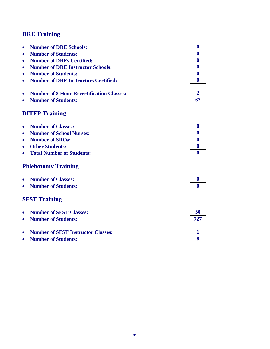| $\bullet$ | <b>Number of DRE Schools:</b>                    | $\bf{0}$       |
|-----------|--------------------------------------------------|----------------|
| $\bullet$ | <b>Number of Students:</b>                       | $\bf{0}$       |
| $\bullet$ | <b>Number of DREs Certified:</b>                 | $\bf{0}$       |
| ٠         | <b>Number of DRE Instructor Schools:</b>         | $\bf{0}$       |
| $\bullet$ | <b>Number of Students:</b>                       | $\bf{0}$       |
| $\bullet$ | <b>Number of DRE Instructors Certified:</b>      | $\bf{0}$       |
|           |                                                  |                |
|           | <b>Number of 8 Hour Recertification Classes:</b> | $\overline{2}$ |
| $\bullet$ | <b>Number of Students:</b>                       | 67             |
|           | <b>DITEP Training</b>                            |                |
|           |                                                  |                |
| $\bullet$ | <b>Number of Classes:</b>                        | $\bf{0}$       |
| $\bullet$ | <b>Number of School Nurses:</b>                  | $\bf{0}$       |
| ٠         | <b>Number of SROs:</b>                           | $\mathbf{0}$   |
| $\bullet$ | <b>Other Students:</b>                           | $\bf{0}$       |
| $\bullet$ | <b>Total Number of Students:</b>                 | $\mathbf{0}$   |
|           | <b>Phlebotomy Training</b>                       |                |
| $\bullet$ | <b>Number of Classes:</b>                        | 0              |
| $\bullet$ | <b>Number of Students:</b>                       | 0              |
|           | <b>SFST Training</b>                             |                |
| $\bullet$ | <b>Number of SFST Classes:</b>                   | 30             |
|           | <b>Number of Students:</b>                       | 727            |
|           |                                                  |                |
| $\bullet$ | <b>Number of SFST Instructor Classes:</b>        | 1              |
| ٠         | <b>Number of Students:</b>                       | 8              |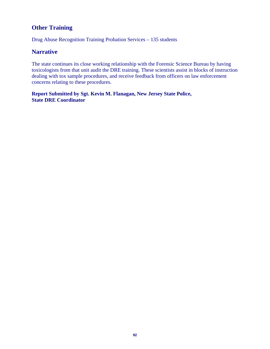### **Other Training**

Drug Abuse Recognition Training Probation Services – 135 students

### **Narrative**

The state continues its close working relationship with the Forensic Science Bureau by having toxicologists from that unit audit the DRE training. These scientists assist in blocks of instruction dealing with tox sample procedures, and receive feedback from officers on law enforcement concerns relating to these procedures.

**Report Submitted by Sgt. Kevin M. Flanagan, New Jersey State Police, State DRE Coordinator**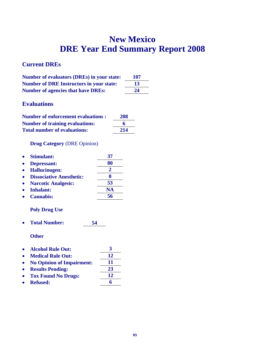## **New Mexico DRE Year End Summary Report 2008**

### **Current DREs**

| <b>Number of evaluators (DREs) in your state:</b> | 107 |
|---------------------------------------------------|-----|
| <b>Number of DRE Instructors in your state:</b>   | 13  |
| <b>Number of agencies that have DREs:</b>         | 24  |

### **Evaluations**

| <b>Number of enforcement evaluations:</b> | 208 |
|-------------------------------------------|-----|
| <b>Number of training evaluations:</b>    | 6   |
| <b>Total number of evaluations:</b>       | 214 |

### **Drug Category** (DRE Opinion)

| <b>Stimulant:</b>               | 37        |
|---------------------------------|-----------|
| Depressant:                     | 80        |
| • Hallucinogen:                 |           |
| <b>Dissociative Anesthetic:</b> |           |
| <b>Narcotic Analgesic:</b>      | 53        |
| Inhalant:                       | <b>NA</b> |
| <b>Cannabis:</b>                | 56        |

### **Poly Drug Use**

**Total Number: 54** 

| <b>Alcohol Rule Out:</b>         | 3  |
|----------------------------------|----|
| <b>Medical Rule Out:</b>         | 12 |
| <b>No Opinion of Impairment:</b> | 11 |
| <b>Results Pending:</b>          | 23 |
| <b>Tox Found No Drugs:</b>       | 12 |
| <b>Refused:</b>                  |    |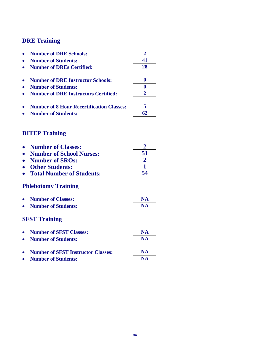| <b>Number of DRE Schools:</b>                    | $\overline{2}$ |
|--------------------------------------------------|----------------|
| <b>Number of Students:</b>                       | 41             |
| <b>Number of DREs Certified:</b>                 | 28             |
|                                                  |                |
| <b>Number of DRE Instructor Schools:</b>         | $\bf{0}$       |
| <b>Number of Students:</b>                       | $\bf{0}$       |
| <b>Number of DRE Instructors Certified:</b>      | $\overline{2}$ |
| <b>Number of 8 Hour Recertification Classes:</b> | 5              |
| <b>Number of Students:</b>                       | 62             |
| <b>DITEP Training</b>                            |                |
|                                                  |                |
| <b>Number of Classes:</b>                        |                |
| <b>Number of School Nurses:</b>                  | 51             |
| <b>Number of SROs:</b>                           |                |
| <b>Other Students:</b>                           |                |
| <b>Total Number of Students:</b>                 | 54             |
| <b>Phlebotomy Training</b>                       |                |
| <b>Number of Classes:</b>                        | <b>NA</b>      |
| <b>Number of Students:</b>                       | <b>NA</b>      |
| <b>SFST Training</b>                             |                |
| <b>Number of SFST Classes:</b>                   | <b>NA</b>      |
| <b>Number of Students:</b>                       | <b>NA</b>      |
|                                                  |                |
| <b>Number of SFST Instructor Classes:</b>        | <b>NA</b>      |
| <b>Number of Students:</b>                       | <b>NA</b>      |
|                                                  |                |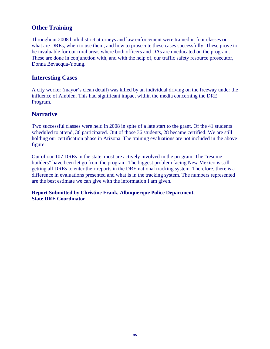### **Other Training**

Throughout 2008 both district attorneys and law enforcement were trained in four classes on what are DREs, when to use them, and how to prosecute these cases successfully. These prove to be invaluable for our rural areas where both officers and DAs are uneducated on the program. These are done in conjunction with, and with the help of, our traffic safety resource prosecutor, Donna Bevacqua-Young.

### **Interesting Cases**

A city worker (mayor's clean detail) was killed by an individual driving on the freeway under the influence of Ambien. This had significant impact within the media concerning the DRE Program.

### **Narrative**

Two successful classes were held in 2008 in spite of a late start to the grant. Of the 41 students scheduled to attend, 36 participated. Out of those 36 students, 28 became certified. We are still holding our certification phase in Arizona. The training evaluations are not included in the above figure.

Out of our 107 DREs in the state, most are actively involved in the program. The "resume builders" have been let go from the program. The biggest problem facing New Mexico is still getting all DREs to enter their reports in the DRE national tracking system. Therefore, there is a difference in evaluations presented and what is in the tracking system. The numbers represented are the best estimate we can give with the information I am given.

**Report Submitted by Christine Frank, Albuquerque Police Department, State DRE Coordinator**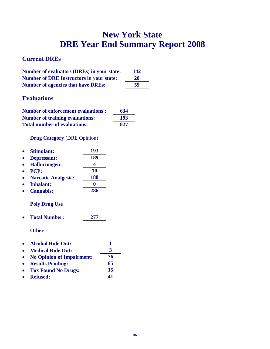## **New York State DRE Year End Summary Report 2008**

### **Current DREs**

| <b>Number of evaluators (DREs) in your state:</b> | 142 |
|---------------------------------------------------|-----|
| <b>Number of DRE Instructors in your state:</b>   | 20  |
| <b>Number of agencies that have DREs:</b>         | 59  |

### **Evaluations**

| <b>Number of enforcement evaluations:</b> | 634 |
|-------------------------------------------|-----|
| <b>Number of training evaluations:</b>    | 193 |
| <b>Total number of evaluations:</b>       | 827 |

### **Drug Category** (DRE Opinion)

| <b>Stimulant:</b>          | 193       |
|----------------------------|-----------|
| Depressant:                | 189       |
| <b>Hallucinogen:</b>       |           |
| PCP:                       | <b>10</b> |
| <b>Narcotic Analgesic:</b> | 188       |
| <b>Inhalant:</b>           |           |
| <b>Cannabis:</b>           | 286       |
|                            |           |

### **Poly Drug Use**

**Total Number: 277** 

- **Alcohol Rule Out: 1**
- Medical Rule Out: 3
- No Opinion of Impairment:  $\frac{76}{65}$
- **• Results Pending:**
- Tox Found No Drugs: 15
- Refused: 41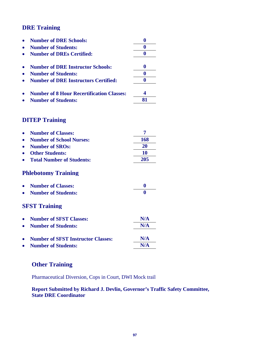| <b>Number of DRE Schools:</b>                    |  |
|--------------------------------------------------|--|
| <b>Number of Students:</b>                       |  |
| <b>Number of DREs Certified:</b>                 |  |
| <b>Number of DRE Instructor Schools:</b>         |  |
| <b>Number of Students:</b>                       |  |
| <b>Number of DRE Instructors Certified:</b>      |  |
| <b>Number of 8 Hour Recertification Classes:</b> |  |
| <b>Number of Students:</b>                       |  |

### **DITEP Training**

| <b>Number of Classes:</b>                 |          |
|-------------------------------------------|----------|
| <b>Number of School Nurses:</b>           | 168      |
| <b>Number of SROs:</b>                    | 20       |
| <b>Other Students:</b>                    | 10       |
| <b>Total Number of Students:</b>          | 205      |
| <b>Phlebotomy Training</b>                |          |
| <b>Number of Classes:</b>                 | $\bf{0}$ |
| <b>Number of Students:</b>                | 0        |
| <b>SFST Training</b>                      |          |
| <b>Number of SFST Classes:</b>            | N/A      |
| <b>Number of Students:</b>                | N/A      |
| <b>Number of SFST Instructor Classes:</b> | N/A      |
| <b>Number of Students:</b>                | N/A      |

### **Other Training**

Pharmaceutical Diversion, Cops in Court, DWI Mock trail

### **Report Submitted by Richard J. Devlin, Governor's Traffic Safety Committee, State DRE Coordinator**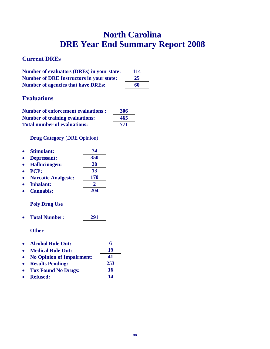## **North Carolina DRE Year End Summary Report 2008**

### **Current DREs**

| Number of evaluators (DREs) in your state:      | 114 |
|-------------------------------------------------|-----|
| <b>Number of DRE Instructors in your state:</b> | 25  |
| <b>Number of agencies that have DREs:</b>       | 60  |

### **Evaluations**

| <b>Number of enforcement evaluations:</b> | 306 |
|-------------------------------------------|-----|
| <b>Number of training evaluations:</b>    | 465 |
| <b>Total number of evaluations:</b>       | 771 |

### **Drug Category** (DRE Opinion)

| <b>Stimulant:</b>          | 74         |
|----------------------------|------------|
| Depressant:                | 350        |
| <b>Hallucinogen:</b>       | 20         |
| <b>PCP:</b>                | 13         |
| <b>Narcotic Analgesic:</b> | <b>170</b> |
| <b>Inhalant:</b>           | 2          |
| <b>Cannabis:</b>           | 204        |
|                            |            |

### **Poly Drug Use**

**Total Number: 291** 

- **Alcohol Rule Out: 6**
- Medical Rule Out: 19
- **No Opinion of Impairment: 41**
- **Results Pending: 253**
- Tox Found No Drugs: 16
- Refused: 14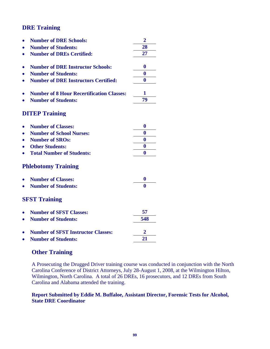|                            | <b>Number of DRE Schools:</b>                    | $\overline{2}$   |
|----------------------------|--------------------------------------------------|------------------|
|                            | <b>Number of Students:</b>                       | 28               |
|                            | <b>Number of DREs Certified:</b>                 | 27               |
|                            |                                                  |                  |
|                            | <b>Number of DRE Instructor Schools:</b>         | $\bf{0}$         |
|                            | <b>Number of Students:</b>                       | $\bf{0}$         |
| $\bullet$                  | <b>Number of DRE Instructors Certified:</b>      | 0                |
|                            |                                                  |                  |
|                            | <b>Number of 8 Hour Recertification Classes:</b> | 1                |
|                            | <b>Number of Students:</b>                       | 79               |
|                            |                                                  |                  |
|                            | <b>DITEP Training</b>                            |                  |
|                            | <b>Number of Classes:</b>                        | $\bf{0}$         |
|                            | <b>Number of School Nurses:</b>                  | $\bf{0}$         |
|                            | <b>Number of SROs:</b>                           | $\bf{0}$         |
|                            | <b>Other Students:</b>                           | $\boldsymbol{0}$ |
|                            | <b>Total Number of Students:</b>                 | $\mathbf{0}$     |
| <b>Phlebotomy Training</b> |                                                  |                  |
|                            | <b>Number of Classes:</b>                        | $\boldsymbol{0}$ |
|                            | <b>Number of Students:</b>                       | 0                |
|                            |                                                  |                  |
|                            | <b>SFST Training</b>                             |                  |
|                            | <b>Number of SFST Classes:</b>                   | 57               |
| $\bullet$                  | <b>Number of Students:</b>                       | 548              |
|                            |                                                  |                  |
|                            | <b>Number of SFST Instructor Classes:</b>        | $\mathbf{2}$     |
|                            | <b>Number of Students:</b>                       | 21               |
|                            |                                                  |                  |

### **Other Training**

A Prosecuting the Drugged Driver training course was conducted in conjunction with the North Carolina Conference of District Attorneys, July 28-August 1, 2008, at the Wilmington Hilton, Wilmington, North Carolina. A total of 26 DREs, 16 prosecutors, and 12 DREs from South Carolina and Alabama attended the training.

#### **Report Submitted by Eddie M. Buffaloe, Assistant Director, Forensic Tests for Alcohol, State DRE Coordinator**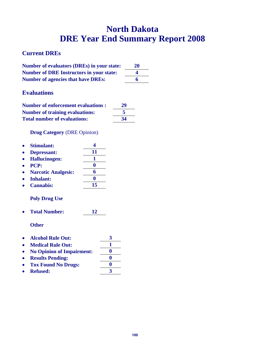## **North Dakota DRE Year End Summary Report 2008**

### **Current DREs**

| Number of evaluators (DREs) in your state:      | 20 |
|-------------------------------------------------|----|
| <b>Number of DRE Instructors in your state:</b> |    |
| <b>Number of agencies that have DREs:</b>       |    |

### **Evaluations**

| <b>Number of enforcement evaluations:</b> | 29 |
|-------------------------------------------|----|
| <b>Number of training evaluations:</b>    |    |
| <b>Total number of evaluations:</b>       | 34 |

**Drug Category** (DRE Opinion)

| Depressant: | 11                                                                                                 |
|-------------|----------------------------------------------------------------------------------------------------|
|             |                                                                                                    |
|             |                                                                                                    |
|             |                                                                                                    |
|             | 6                                                                                                  |
|             |                                                                                                    |
|             | 15                                                                                                 |
|             | <b>Hallucinogen:</b><br>PCP:<br><b>Narcotic Analgesic:</b><br><b>Inhalant:</b><br><b>Cannabis:</b> |

**Total Number: 12** 

- **Alcohol Rule Out: 3**
- Medical Rule Out: 1
- **No Opinion of Impairment: 0**
- Results Pending: **1976**<br>• Tox Found No Drugs: **1986**
- **Tox Found No Drugs:**
- **Refused: 3**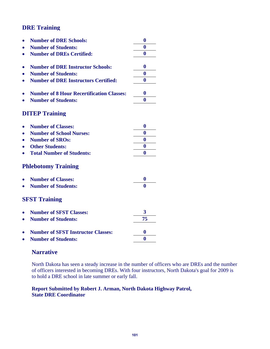|           | <b>Number of DRE Schools:</b>                    | $\bf{0}$     |
|-----------|--------------------------------------------------|--------------|
|           | <b>Number of Students:</b>                       | $\bf{0}$     |
|           | <b>Number of DREs Certified:</b>                 | $\bf{0}$     |
|           |                                                  |              |
|           | <b>Number of DRE Instructor Schools:</b>         | $\bf{0}$     |
|           | <b>Number of Students:</b>                       | 0            |
| $\bullet$ | <b>Number of DRE Instructors Certified:</b>      | $\bf{0}$     |
|           |                                                  |              |
|           | <b>Number of 8 Hour Recertification Classes:</b> | $\mathbf{0}$ |
|           | <b>Number of Students:</b>                       | $\mathbf{0}$ |
|           |                                                  |              |
|           | <b>DITEP Training</b>                            |              |
|           | <b>Number of Classes:</b>                        | $\bf{0}$     |
|           | <b>Number of School Nurses:</b>                  | $\bf{0}$     |
|           | <b>Number of SROs:</b>                           | $\bf{0}$     |
|           | <b>Other Students:</b>                           | $\bf{0}$     |
|           | <b>Total Number of Students:</b>                 | $\bf{0}$     |
|           | <b>Phlebotomy Training</b>                       |              |
|           |                                                  |              |
|           | <b>Number of Classes:</b>                        | 0            |
|           | <b>Number of Students:</b>                       | $\mathbf{0}$ |
|           | <b>SFST Training</b>                             |              |
|           |                                                  |              |
|           | <b>Number of SFST Classes:</b>                   | 3            |
|           | <b>Number of Students:</b>                       | 75           |
|           | <b>Number of SFST Instructor Classes:</b>        | $\bf{0}$     |
|           | <b>Number of Students:</b>                       | $\bf{0}$     |
|           |                                                  |              |

### **Narrative**

North Dakota has seen a steady increase in the number of officers who are DREs and the number of officers interested in becoming DREs. With four instructors, North Dakota's goal for 2009 is to hold a DRE school in late summer or early fall.

#### **Report Submitted by Robert J. Arman, North Dakota Highway Patrol, State DRE Coordinator**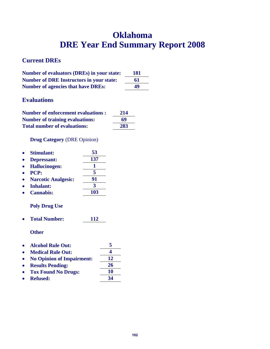## **Oklahoma DRE Year End Summary Report 2008**

### **Current DREs**

| Number of evaluators (DREs) in your state:      | 181 |
|-------------------------------------------------|-----|
| <b>Number of DRE Instructors in your state:</b> | 61  |
| <b>Number of agencies that have DREs:</b>       | 49  |

### **Evaluations**

| <b>Number of enforcement evaluations :</b> | 214 |
|--------------------------------------------|-----|
| <b>Number of training evaluations:</b>     | 69  |
| <b>Total number of evaluations:</b>        | 283 |

**Drug Category** (DRE Opinion)

| <b>Stimulant:</b>          | 53  |
|----------------------------|-----|
| Depressant:                | 137 |
| <b>Hallucinogen:</b>       |     |
| <b>PCP:</b>                | 5   |
| <b>Narcotic Analgesic:</b> | 91  |
| <b>Inhalant:</b>           | 3   |
| <b>Cannabis:</b>           | 103 |
| <b>Poly Drug Use</b>       |     |

**Total Number: 112** 

- **Alcohol Rule Out: 5**
- **Medical Rule Out: 4**
- No Opinion of Impairment: 12
- **Results Pending: 26**
- Tox Found No Drugs: 10<br>• Refused: 34
- **•** Refused: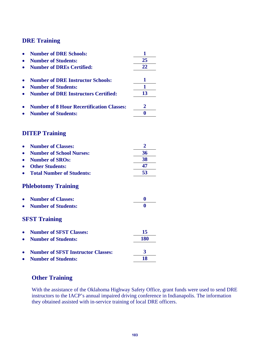| <b>Number of DRE Schools:</b>                    | 1              |
|--------------------------------------------------|----------------|
| <b>Number of Students:</b>                       | 25             |
| <b>Number of DREs Certified:</b>                 | 22             |
|                                                  |                |
| <b>Number of DRE Instructor Schools:</b>         | 1              |
| <b>Number of Students:</b>                       | $\mathbf{1}$   |
| <b>Number of DRE Instructors Certified:</b>      | 13             |
| <b>Number of 8 Hour Recertification Classes:</b> | $\overline{2}$ |
| <b>Number of Students:</b>                       | $\bf{0}$       |
| <b>DITEP Training</b>                            |                |
|                                                  |                |
| <b>Number of Classes:</b>                        | $\overline{2}$ |
| <b>Number of School Nurses:</b>                  | 36             |
| <b>Number of SROs:</b>                           | 38             |
| <b>Other Students:</b>                           | 47             |
| <b>Total Number of Students:</b>                 | 53             |
| <b>Phlebotomy Training</b>                       |                |
| <b>Number of Classes:</b>                        | $\bf{0}$       |
| <b>Number of Students:</b>                       | 0              |
| <b>SFST Training</b>                             |                |
| <b>Number of SFST Classes:</b>                   | 15             |
| <b>Number of Students:</b>                       | 180            |
| <b>Number of SFST Instructor Classes:</b>        | 3              |
| <b>Number of Students:</b>                       | 18             |
|                                                  |                |

### **Other Training**

With the assistance of the Oklahoma Highway Safety Office, grant funds were used to send DRE instructors to the IACP's annual impaired driving conference in Indianapolis. The information they obtained assisted with in-service training of local DRE officers.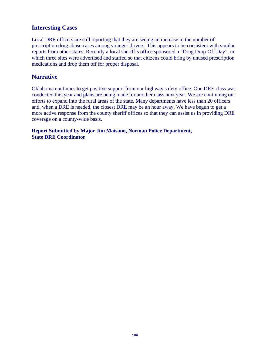### **Interesting Cases**

Local DRE officers are still reporting that they are seeing an increase in the number of prescription drug abuse cases among younger drivers. This appears to be consistent with similar reports from other states. Recently a local sheriff's office sponsored a "Drug Drop-Off Day", in which three sites were advertised and staffed so that citizens could bring by unused prescription medications and drop them off for proper disposal.

### **Narrative**

Oklahoma continues to get positive support from our highway safety office. One DRE class was conducted this year and plans are being made for another class next year. We are continuing our efforts to expand into the rural areas of the state. Many departments have less than 20 officers and, when a DRE is needed, the closest DRE may be an hour away. We have begun to get a more active response from the county sheriff offices so that they can assist us in providing DRE coverage on a county-wide basis.

**Report Submitted by Major Jim Maisano, Norman Police Department, State DRE Coordinator**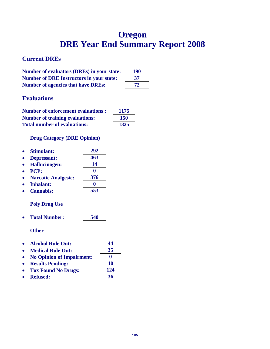## **Oregon DRE Year End Summary Report 2008**

### **Current DREs**

| <b>Number of evaluators (DREs) in your state:</b> | 190 |
|---------------------------------------------------|-----|
| <b>Number of DRE Instructors in your state:</b>   | 37  |
| <b>Number of agencies that have DREs:</b>         | 72  |

### **Evaluations**

| <b>Number of enforcement evaluations:</b> | 1175 |
|-------------------------------------------|------|
| <b>Number of training evaluations:</b>    | 150  |
| <b>Total number of evaluations:</b>       | 1325 |

### **Drug Category (DRE Opinion)**

| <b>Stimulant:</b>          | 292 |
|----------------------------|-----|
| Depressant:                | 463 |
| <b>Hallucinogen:</b>       | 14  |
| PCP:                       |     |
| <b>Narcotic Analgesic:</b> | 376 |
| <b>Inhalant:</b>           |     |
| <b>Cannabis:</b>           | 553 |
|                            |     |

### **Poly Drug Use**

**Total Number: 540** 

- **Alcohol Rule Out: 44**
- Medical Rule Out: 35
- **No Opinion of Impairment: 0**
- **e** Results Pending: 10
- Tox Found No Drugs: 124
- **Refused: 36**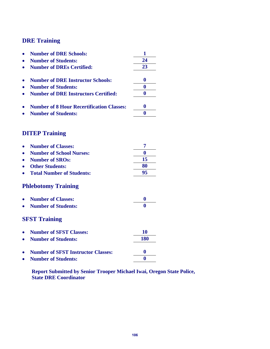| <b>Number of DRE Schools:</b>                    | 1        |
|--------------------------------------------------|----------|
| <b>Number of Students:</b>                       | 24       |
| <b>Number of DREs Certified:</b>                 | 23       |
|                                                  |          |
| <b>Number of DRE Instructor Schools:</b>         | $\bf{0}$ |
| <b>Number of Students:</b>                       | $\bf{0}$ |
| <b>Number of DRE Instructors Certified:</b>      | $\bf{0}$ |
| <b>Number of 8 Hour Recertification Classes:</b> | $\bf{0}$ |
| <b>Number of Students:</b>                       | $\bf{0}$ |
| <b>DITEP Training</b>                            |          |
|                                                  |          |
| <b>Number of Classes:</b>                        | 7        |
| <b>Number of School Nurses:</b>                  | $\bf{0}$ |
| <b>Number of SROs:</b>                           | 15       |
| <b>Other Students:</b>                           | 80       |
| <b>Total Number of Students:</b>                 | 95       |
| <b>Phlebotomy Training</b>                       |          |
| <b>Number of Classes:</b>                        | $\bf{0}$ |
| <b>Number of Students:</b>                       | 0        |
| <b>SFST Training</b>                             |          |
| <b>Number of SFST Classes:</b>                   | 10       |
| <b>Number of Students:</b>                       | 180      |
|                                                  |          |
| <b>Number of SFST Instructor Classes:</b>        | $\bf{0}$ |
| <b>Number of Students:</b>                       | $\bf{0}$ |

**Report Submitted by Senior Trooper Michael Iwai, Oregon State Police, State DRE Coordinator**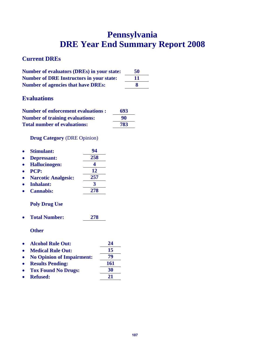## **Pennsylvania DRE Year End Summary Report 2008**

### **Current DREs**

| <b>Number of evaluators (DREs) in your state:</b> | 50 |
|---------------------------------------------------|----|
| <b>Number of DRE Instructors in your state:</b>   | 11 |
| <b>Number of agencies that have DREs:</b>         | x  |

### **Evaluations**

| <b>Number of enforcement evaluations :</b> | 693 |
|--------------------------------------------|-----|
| <b>Number of training evaluations:</b>     | 90  |
| <b>Total number of evaluations:</b>        | 783 |

### **Drug Category** (DRE Opinion)

| <b>Stimulant:</b>          | 94  |
|----------------------------|-----|
| Depressant:                | 258 |
| <b>Hallucinogen:</b>       |     |
| <b>PCP:</b>                | 12  |
| <b>Narcotic Analgesic:</b> | 257 |
| <b>Inhalant:</b>           |     |
| <b>Cannabis:</b>           | 278 |

### **Poly Drug Use**

**Total Number: 278** 

- **Alcohol Rule Out: 24**
- Medical Rule Out: 15
- No Opinion of Impairment: 79
- Results Pending: 161
- Tox Found No Drugs: 30
- Refused: 21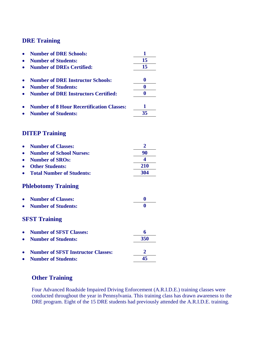|           | <b>Number of DRE Schools:</b>                    | 1                |
|-----------|--------------------------------------------------|------------------|
|           | <b>Number of Students:</b>                       | 15               |
|           | <b>Number of DREs Certified:</b>                 | 15               |
|           |                                                  |                  |
| $\bullet$ | <b>Number of DRE Instructor Schools:</b>         | $\bf{0}$         |
|           | <b>Number of Students:</b>                       | $\bf{0}$         |
|           | <b>Number of DRE Instructors Certified:</b>      | $\bf{0}$         |
|           | <b>Number of 8 Hour Recertification Classes:</b> | 1                |
|           | <b>Number of Students:</b>                       | 35               |
|           | <b>DITEP Training</b>                            |                  |
|           |                                                  |                  |
|           | <b>Number of Classes:</b>                        | $\overline{2}$   |
|           | <b>Number of School Nurses:</b>                  | 90               |
|           | <b>Number of SROs:</b>                           | 4                |
|           | <b>Other Students:</b>                           | 210              |
|           | <b>Total Number of Students:</b>                 | 304              |
|           | <b>Phlebotomy Training</b>                       |                  |
|           | <b>Number of Classes:</b>                        | $\boldsymbol{0}$ |
|           | <b>Number of Students:</b>                       |                  |
|           | <b>SFST Training</b>                             |                  |
|           | <b>Number of SFST Classes:</b>                   | 6                |
|           | <b>Number of Students:</b>                       | 350              |
|           |                                                  |                  |
|           | <b>Number of SFST Instructor Classes:</b>        |                  |
|           | <b>Number of Students:</b>                       | 45               |

# **Other Training**

Four Advanced Roadside Impaired Driving Enforcement (A.R.I.D.E.) training classes were conducted throughout the year in Pennsylvania. This training class has drawn awareness to the DRE program. Eight of the 15 DRE students had previously attended the A.R.I.D.E. training.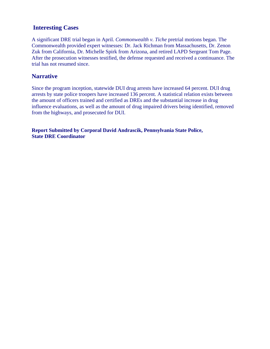## **Interesting Cases**

A significant DRE trial began in April. *Commonwealth v. Tiche* pretrial motions began. The Commonwealth provided expert witnesses: Dr. Jack Richman from Massachusetts, Dr. Zenon Zuk from California, Dr. Michelle Spirk from Arizona, and retired LAPD Sergeant Tom Page. After the prosecution witnesses testified, the defense requested and received a continuance. The trial has not resumed since.

## **Narrative**

Since the program inception, statewide DUI drug arrests have increased 64 percent. DUI drug arrests by state police troopers have increased 136 percent. A statistical relation exists between the amount of officers trained and certified as DREs and the substantial increase in drug influence evaluations, as well as the amount of drug impaired drivers being identified, removed from the highways, and prosecuted for DUI.

**Report Submitted by Corporal David Andrascik, Pennsylvania State Police, State DRE Coordinator**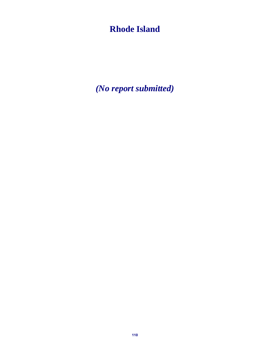# **Rhode Island**

*(No report submitted)*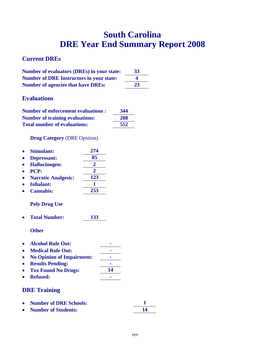# **South Carolina DRE Year End Summary Report 2008**

# **Current DREs**

| <b>Number of evaluators (DREs) in your state:</b> | 33 |
|---------------------------------------------------|----|
| <b>Number of DRE Instructors in your state:</b>   | 4  |
| <b>Number of agencies that have DREs:</b>         | 23 |

# **Evaluations**

| <b>Number of enforcement evaluations:</b> | 344 |
|-------------------------------------------|-----|
| <b>Number of training evaluations:</b>    | 208 |
| <b>Total number of evaluations:</b>       | 552 |

## **Drug Category** (DRE Opinion)

| Stimulant:                 | 274                   |
|----------------------------|-----------------------|
| Depressant:                | 85                    |
| <b>Hallucinogen:</b>       | $\mathbf{2}$          |
| PCP:                       | $\mathcal{D}_{\cdot}$ |
| <b>Narcotic Analgesic:</b> | 123                   |
| <b>Inhalant:</b>           |                       |
| <b>Cannabis:</b>           | 253                   |

# **Poly Drug Use**

**Total Number: 133** 

**Other** 

- Alcohol Rule Out:
- Medical Rule Out:
- No Opinion of Impairment:
- **e** Results Pending:
- Tox Found No Drugs: 14
- **•** Refused: **1988**

## **DRE Training**

| • Number of DRE Schools: |  |
|--------------------------|--|
| • Number of Students:    |  |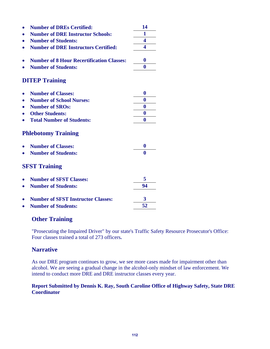|                            | <b>Number of DREs Certified:</b>                                        | 14               |  |  |
|----------------------------|-------------------------------------------------------------------------|------------------|--|--|
|                            | <b>Number of DRE Instructor Schools:</b>                                | 1                |  |  |
|                            | <b>Number of Students:</b>                                              | 4                |  |  |
|                            | <b>Number of DRE Instructors Certified:</b>                             | 4                |  |  |
|                            |                                                                         |                  |  |  |
|                            | <b>Number of 8 Hour Recertification Classes:</b>                        | $\bf{0}$         |  |  |
|                            | <b>Number of Students:</b>                                              | $\bf{0}$         |  |  |
| <b>DITEP Training</b>      |                                                                         |                  |  |  |
| $\bullet$                  | <b>Number of Classes:</b>                                               | $\bf{0}$         |  |  |
|                            | <b>Number of School Nurses:</b>                                         | 0                |  |  |
|                            | <b>Number of SROs:</b>                                                  | $\bf{0}$         |  |  |
|                            | <b>Other Students:</b>                                                  | $\bf{0}$         |  |  |
|                            | <b>Total Number of Students:</b>                                        | $\bf{0}$         |  |  |
| <b>Phlebotomy Training</b> |                                                                         |                  |  |  |
|                            | <b>Number of Classes:</b>                                               | $\boldsymbol{0}$ |  |  |
|                            | <b>Number of Students:</b>                                              | 0                |  |  |
| <b>SFST Training</b>       |                                                                         |                  |  |  |
|                            | <b>Number of SFST Classes:</b>                                          | 5                |  |  |
|                            | <b>Number of Students:</b>                                              | 94               |  |  |
|                            | <b>Number of SFST Instructor Classes:</b><br><b>Number of Students:</b> | 3<br>52          |  |  |

# **Other Training**

"Prosecuting the Impaired Driver" by our state's Traffic Safety Resource Prosecutor's Office: Four classes trained a total of 273 officers**.** 

## **Narrative**

As our DRE program continues to grow, we see more cases made for impairment other than alcohol. We are seeing a gradual change in the alcohol-only mindset of law enforcement. We intend to conduct more DRE and DRE instructor classes every year.

### **Report Submitted by Dennis K. Ray, South Caroline Office of Highway Safety, State DRE Coordinator**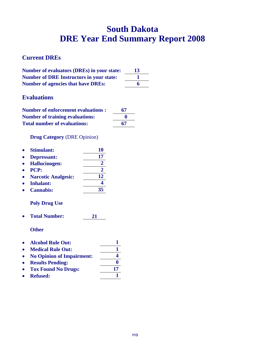# **South Dakota DRE Year End Summary Report 2008**

# **Current DREs**

| <b>Number of evaluators (DREs) in your state:</b> | 13 |
|---------------------------------------------------|----|
| <b>Number of DRE Instructors in your state:</b>   |    |
| <b>Number of agencies that have DREs:</b>         |    |

# **Evaluations**

| <b>Number of enforcement evaluations:</b> | 67           |
|-------------------------------------------|--------------|
| <b>Number of training evaluations:</b>    | $\mathbf{0}$ |
| <b>Total number of evaluations:</b>       | 67           |

**Drug Category** (DRE Opinion)

| $\bullet$ | <b>Stimulant:</b>          | 10 |
|-----------|----------------------------|----|
| $\bullet$ | Depressant:                | 17 |
|           | • Hallucinogen:            |    |
| $\bullet$ | <b>PCP:</b>                |    |
| $\bullet$ | <b>Narcotic Analgesic:</b> | 12 |
|           | Inhalant:                  |    |

**Cannabis: 35** 

# **Poly Drug Use**

**Total Number: 21** 

|           | • Alcohol Rule Out:         |    |
|-----------|-----------------------------|----|
| $\bullet$ | <b>Medical Rule Out:</b>    |    |
|           | • No Opinion of Impairment: |    |
|           | • Results Pending:          |    |
|           | • Tox Found No Drugs:       | 17 |
|           | • Refused:                  |    |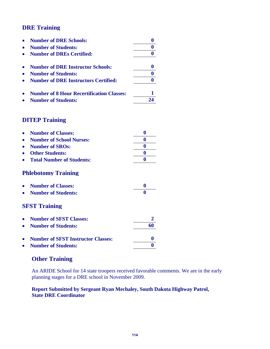| <b>Number of DRE Schools:</b>                    |  |
|--------------------------------------------------|--|
| <b>Number of Students:</b>                       |  |
| <b>Number of DREs Certified:</b>                 |  |
| <b>Number of DRE Instructor Schools:</b>         |  |
| <b>Number of Students:</b>                       |  |
| <b>Number of DRE Instructors Certified:</b>      |  |
| <b>Number of 8 Hour Recertification Classes:</b> |  |
| <b>Number of Students:</b>                       |  |

# **DITEP Training**

| <b>Number of Classes:</b>                 | 0           |
|-------------------------------------------|-------------|
| <b>Number of School Nurses:</b>           | o           |
| <b>Number of SROs:</b>                    | $\bf{0}$    |
| <b>Other Students:</b>                    | $\mathbf 0$ |
| <b>Total Number of Students:</b>          | 0           |
| <b>Phlebotomy Training</b>                |             |
| <b>Number of Classes:</b>                 | $\bf{0}$    |
| <b>Number of Students:</b>                | 0           |
| <b>SFST Training</b>                      |             |
| <b>Number of SFST Classes:</b>            |             |
| <b>Number of Students:</b>                | 60          |
| <b>Number of SFST Instructor Classes:</b> |             |
| <b>Number of Students:</b>                |             |

# **Other Training**

An ARIDE School for 14 state troopers received favorable comments. We are in the early planning stages for a DRE school in November 2009.

## **Report Submitted by Sergeant Ryan Mechaley, South Dakota Highway Patrol, State DRE Coordinator**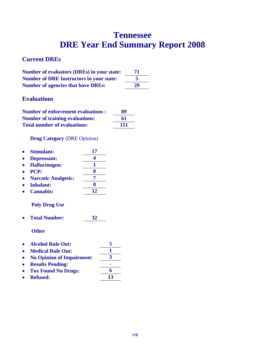# **Tennessee DRE Year End Summary Report 2008**

# **Current DREs**

| <b>Number of evaluators (DREs) in your state:</b> | 71 |
|---------------------------------------------------|----|
| <b>Number of DRE Instructors in your state:</b>   |    |
| <b>Number of agencies that have DREs:</b>         | 29 |

# **Evaluations**

| <b>Number of enforcement evaluations :</b> | 89  |
|--------------------------------------------|-----|
| <b>Number of training evaluations:</b>     | 61  |
| <b>Total number of evaluations:</b>        | 151 |

**Drug Category** (DRE Opinion)

| Stimulant:                 | 17 |
|----------------------------|----|
| Depressant:                |    |
| <b>Hallucinogen:</b>       |    |
| <b>PCP:</b>                |    |
| <b>Narcotic Analgesic:</b> |    |
| <b>Inhalant:</b>           |    |
| <b>Cannabis:</b>           | 12 |
| <b>Poly Drug Use</b>       |    |

**Total Number: 32** 

- **Alcohol Rule Out: 5**
- Medical Rule Out: 1
- **No Opinion of Impairment: 3**
- **e** Results Pending: **Tox Found No Drugs: 6**
- **Refused: 13**
-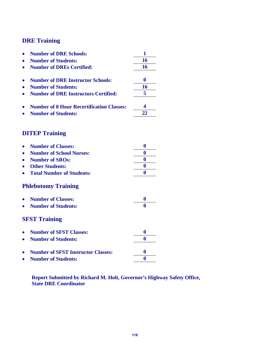|   | <b>Number of DRE Schools:</b>                    | 1        |
|---|--------------------------------------------------|----------|
|   | <b>Number of Students:</b>                       | 16       |
|   | <b>Number of DREs Certified:</b>                 | 16       |
| ۰ | <b>Number of DRE Instructor Schools:</b>         | $\bf{0}$ |
|   | <b>Number of Students:</b>                       | 16       |
|   | <b>Number of DRE Instructors Certified:</b>      | 5        |
|   | <b>Number of 8 Hour Recertification Classes:</b> | 4        |
|   | <b>Number of Students:</b>                       | 22       |
|   | <b>DITEP Training</b>                            |          |
|   |                                                  |          |
|   | <b>Number of Classes:</b>                        | $\bf{0}$ |
|   | <b>Number of School Nurses:</b>                  | $\bf{0}$ |
|   | <b>Number of SROs:</b>                           | $\bf{0}$ |
|   | <b>Other Students:</b>                           | $\bf{0}$ |
|   | <b>Total Number of Students:</b>                 | $\bf{0}$ |
|   | <b>Phlebotomy Training</b>                       |          |
|   | <b>Number of Classes:</b>                        | $\bf{0}$ |
|   | <b>Number of Students:</b>                       | 0        |
|   | <b>SFST Training</b>                             |          |
|   | <b>Number of SFST Classes:</b>                   | $\bf{0}$ |
|   | <b>Number of Students:</b>                       | 0        |
|   | <b>Number of SFST Instructor Classes:</b>        | 0        |
|   | <b>Number of Students:</b>                       | $\bf{0}$ |
|   |                                                  |          |

**Report Submitted by Richard M. Holt, Governor's Highway Safety Office, State DRE Coordinator**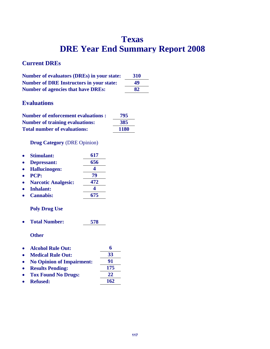# **Texas DRE Year End Summary Report 2008**

# **Current DREs**

| <b>Number of evaluators (DREs) in your state:</b> | <b>310</b> |
|---------------------------------------------------|------------|
| <b>Number of DRE Instructors in your state:</b>   | 49         |
| <b>Number of agencies that have DREs:</b>         | 82         |

# **Evaluations**

| <b>Number of enforcement evaluations:</b> | 795         |
|-------------------------------------------|-------------|
| <b>Number of training evaluations:</b>    | 385         |
| <b>Total number of evaluations:</b>       | <b>1180</b> |

## **Drug Category** (DRE Opinion)

| <b>Stimulant:</b>          | 617 |
|----------------------------|-----|
| <b>Depressant:</b>         | 656 |
| <b>Hallucinogen:</b>       |     |
| <b>PCP:</b>                | 79  |
| <b>Narcotic Analgesic:</b> | 472 |
| <b>Inhalant:</b>           |     |
|                            |     |

# **Cannabis: 675**

## **Poly Drug Use**

**Total Number: 578** 

| • Alcohol Rule Out:         | 6   |
|-----------------------------|-----|
| • Medical Rule Out:         | 33  |
| • No Opinion of Impairment: | 91  |
| <b>A</b> Doculto Dondina    | 175 |

| • Results Pending:    | -175       |
|-----------------------|------------|
| • Tox Found No Drugs: | 22         |
| • Refused:            | <b>162</b> |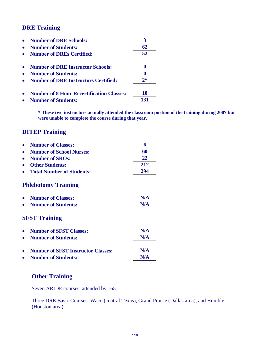| <b>Number of DRE Schools:</b>                    |      |
|--------------------------------------------------|------|
| <b>Number of Students:</b>                       | 62   |
| <b>Number of DREs Certified:</b>                 | 52   |
| <b>Number of DRE Instructor Schools:</b>         |      |
| <b>Number of Students:</b>                       |      |
| <b>Number of DRE Instructors Certified:</b>      | $2*$ |
| <b>Number of 8 Hour Recertification Classes:</b> | 10   |
| <b>Number of Students:</b>                       |      |

**\* These two instructors actually attended the classroom portion of the training during 2007 but were unable to complete the course during that year.** 

# **DITEP Training**

| <b>Number of Classes:</b>                 | 6   |
|-------------------------------------------|-----|
| <b>Number of School Nurses:</b>           | 60  |
| <b>Number of SROs:</b>                    | 22  |
| <b>Other Students:</b>                    | 212 |
| <b>Total Number of Students:</b>          | 294 |
| <b>Phlebotomy Training</b>                |     |
| <b>Number of Classes:</b>                 | N/A |
| <b>Number of Students:</b>                | N/A |
| <b>SFST Training</b>                      |     |
| <b>Number of SFST Classes:</b>            | N/A |
| <b>Number of Students:</b>                | N/A |
| <b>Number of SFST Instructor Classes:</b> | N/A |
| <b>Number of Students:</b>                | N/A |

## **Other Training**

Seven ARIDE courses, attended by 165

Three DRE Basic Courses: Waco (central Texas), Grand Prairie (Dallas area), and Humble (Houston area)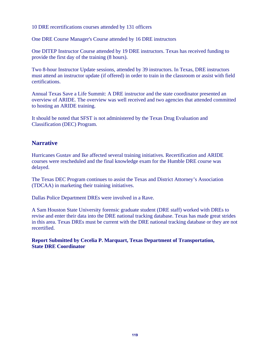10 DRE recertifications courses attended by 131 officers

One DRE Course Manager's Course attended by 16 DRE instructors

One DITEP Instructor Course attended by 19 DRE instructors. Texas has received funding to provide the first day of the training (8 hours).

Two 8-hour Instructor Update sessions, attended by 39 instructors. In Texas, DRE instructors must attend an instructor update (if offered) in order to train in the classroom or assist with field certifications.

Annual Texas Save a Life Summit: A DRE instructor and the state coordinator presented an overview of ARIDE. The overview was well received and two agencies that attended committed to hosting an ARIDE training.

It should be noted that SFST is not administered by the Texas Drug Evaluation and Classification (DEC) Program.

## **Narrative**

Hurricanes Gustav and Ike affected several training initiatives. Recertification and ARIDE courses were rescheduled and the final knowledge exam for the Humble DRE course was delayed.

The Texas DEC Program continues to assist the Texas and District Attorney's Association (TDCAA) in marketing their training initiatives.

Dallas Police Department DREs were involved in a Rave.

A Sam Houston State University forensic graduate student (DRE staff) worked with DREs to revise and enter their data into the DRE national tracking database. Texas has made great strides in this area. Texas DREs must be current with the DRE national tracking database or they are not recertified.

**Report Submitted by Cecelia P. Marquart, Texas Department of Transportation, State DRE Coordinator**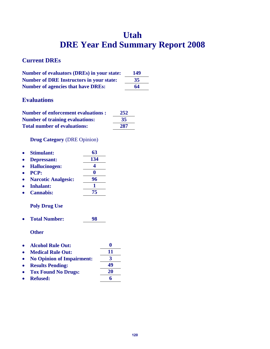# **Utah DRE Year End Summary Report 2008**

# **Current DREs**

| <b>Number of evaluators (DREs) in your state:</b> | 149 |
|---------------------------------------------------|-----|
| <b>Number of DRE Instructors in your state:</b>   | 35  |
| <b>Number of agencies that have DREs:</b>         | 64  |

## **Evaluations**

| <b>Number of enforcement evaluations :</b> | 252 |
|--------------------------------------------|-----|
| <b>Number of training evaluations:</b>     | 35  |
| <b>Total number of evaluations:</b>        | 287 |

**Drug Category** (DRE Opinion)

| <b>Stimulant:</b>          | 63  |
|----------------------------|-----|
| Depressant:                | 134 |
| <b>Hallucinogen:</b>       |     |
| <b>PCP:</b>                |     |
| <b>Narcotic Analgesic:</b> | 96  |
| <b>Inhalant:</b>           |     |
| <b>Cannabis:</b>           | 75  |

### **Poly Drug Use**

**Total Number: 98** 

- **Alcohol Rule Out: 0**
- 
- Medical Rule Out: 11<br>• No Opinion of Impairment:  $\frac{11}{3}$ • No Opinion of Impairment:
- **Results Pending: 49**
- **Tox Found No Drugs: 20**
- **Refused: 6**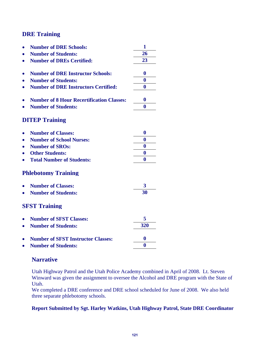| <b>Number of DRE Schools:</b>                    | 1                |
|--------------------------------------------------|------------------|
| <b>Number of Students:</b>                       | 26               |
| <b>Number of DREs Certified:</b>                 | 23               |
| <b>Number of DRE Instructor Schools:</b>         | $\bf{0}$         |
| <b>Number of Students:</b>                       | $\bf{0}$         |
| <b>Number of DRE Instructors Certified:</b>      | 0                |
| <b>Number of 8 Hour Recertification Classes:</b> | $\bf{0}$         |
| <b>Number of Students:</b>                       | $\mathbf{0}$     |
| <b>DITEP Training</b>                            |                  |
| <b>Number of Classes:</b>                        | $\boldsymbol{0}$ |
| <b>Number of School Nurses:</b>                  | $\bf{0}$         |
| <b>Number of SROs:</b>                           | $\boldsymbol{0}$ |
| <b>Other Students:</b>                           | $\bf{0}$         |
| <b>Total Number of Students:</b>                 | $\bf{0}$         |
| <b>Phlebotomy Training</b>                       |                  |
| <b>Number of Classes:</b>                        | 3                |
| <b>Number of Students:</b>                       | 30               |
| <b>SFST Training</b>                             |                  |
| <b>Number of SFST Classes:</b>                   | 5                |
| <b>Number of Students:</b>                       | 320              |
| <b>Number of SFST Instructor Classes:</b>        | $\bf{0}$         |
| <b>Number of Students:</b>                       | $\bf{0}$         |
|                                                  |                  |

## **Narrative**

Utah Highway Patrol and the Utah Police Academy combined in April of 2008. Lt. Steven Winward was given the assignment to oversee the Alcohol and DRE program with the State of Utah.

We completed a DRE conference and DRE school scheduled for June of 2008. We also held three separate phlebotomy schools.

### **Report Submitted by Sgt. Harley Watkins, Utah Highway Patrol, State DRE Coordinator**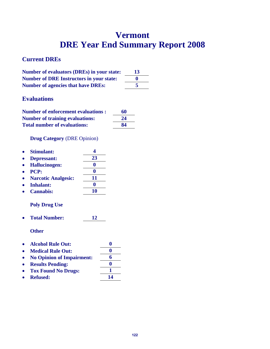# **Vermont DRE Year End Summary Report 2008**

# **Current DREs**

| <b>Number of evaluators (DREs) in your state:</b> | 13 |
|---------------------------------------------------|----|
| <b>Number of DRE Instructors in your state:</b>   |    |
| <b>Number of agencies that have DREs:</b>         |    |

# **Evaluations**

| <b>Number of enforcement evaluations:</b> | 60 |
|-------------------------------------------|----|
| <b>Number of training evaluations:</b>    | 24 |
| <b>Total number of evaluations:</b>       | 84 |

**Drug Category** (DRE Opinion)

| <b>Stimulant:</b>          |    |
|----------------------------|----|
| Depressant:                | 23 |
| <b>Hallucinogen:</b>       |    |
| PCP:                       |    |
| <b>Narcotic Analgesic:</b> | 11 |
| <b>Inhalant:</b>           |    |
| <b>Cannabis:</b>           |    |

## **Poly Drug Use**

**Total Number: 12** 

- **Alcohol Rule Out: 0**
- Medical Rule Out: 0 **No Opinion of Impairment: 6**
- **Results Pending: 0**
- **Tox Found No Drugs: 1**
- **Refused: 14**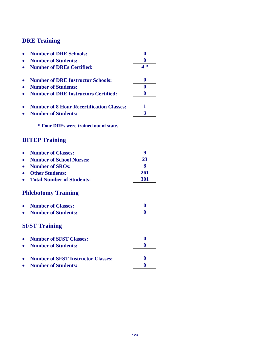| <b>Number of DRE Schools:</b>                    |      |
|--------------------------------------------------|------|
| <b>Number of Students:</b>                       |      |
| <b>Number of DREs Certified:</b>                 | $4*$ |
| <b>Number of DRE Instructor Schools:</b>         | 0    |
| <b>Number of Students:</b>                       | 0    |
| <b>Number of DRE Instructors Certified:</b>      | 0    |
| <b>Number of 8 Hour Recertification Classes:</b> |      |
| <b>Number of Students:</b>                       | 3    |
| * Four DREs were trained out of state.           |      |
| <b>DITEP Training</b>                            |      |
| <b>Number of Classes:</b>                        | q    |
| <b>Number of School Nurses:</b>                  | 23   |

• Other Students: <u>261</u><br>• Total Number of Students: 201 **• Total Number of Students:** 

# **Phlebotomy Training**

| • Number of Classes:  |  |
|-----------------------|--|
| • Number of Students: |  |

**Number of SROs: 8** 

# **SFST Training**

| • Number of SFST Classes:            |              |
|--------------------------------------|--------------|
| • Number of Students:                |              |
| • Number of SFST Instructor Classes: | $\mathbf{0}$ |
| • Number of Students:                |              |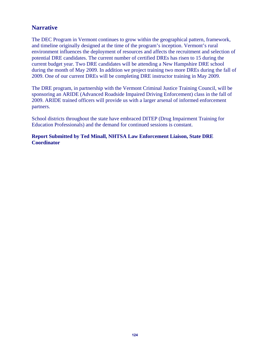## **Narrative**

The DEC Program in Vermont continues to grow within the geographical pattern, framework, and timeline originally designed at the time of the program's inception. Vermont's rural environment influences the deployment of resources and affects the recruitment and selection of potential DRE candidates. The current number of certified DREs has risen to 15 during the current budget year. Two DRE candidates will be attending a New Hampshire DRE school during the month of May 2009. In addition we project training two more DREs during the fall of 2009. One of our current DREs will be completing DRE instructor training in May 2009.

The DRE program, in partnership with the Vermont Criminal Justice Training Council, will be sponsoring an ARIDE (Advanced Roadside Impaired Driving Enforcement) class in the fall of 2009. ARIDE trained officers will provide us with a larger arsenal of informed enforcement partners.

School districts throughout the state have embraced DITEP (Drug Impairment Training for Education Professionals) and the demand for continued sessions is constant.

#### **Report Submitted by Ted Minall, NHTSA Law Enforcement Liaison, State DRE Coordinator**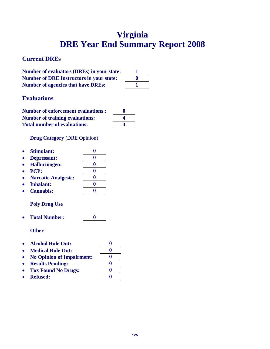# **Virginia DRE Year End Summary Report 2008**

# **Current DREs**

| <b>Number of evaluators (DREs) in your state:</b> |              |
|---------------------------------------------------|--------------|
| <b>Number of DRE Instructors in your state:</b>   | $\mathbf{0}$ |
| <b>Number of agencies that have DREs:</b>         |              |

# **Evaluations**

| <b>Number of enforcement evaluations:</b> | $\bf{0}$ |
|-------------------------------------------|----------|
| <b>Number of training evaluations:</b>    |          |
| <b>Total number of evaluations:</b>       |          |

**Drug Category** (DRE Opinion)

| $\bullet$ | <b>Stimulant:</b>          |            |
|-----------|----------------------------|------------|
|           | Depressant:                |            |
|           | <b>Hallucinogen:</b>       |            |
|           | <b>PCP:</b>                |            |
|           | <b>Narcotic Analgesic:</b> |            |
|           | <b>Inhalant:</b>           |            |
|           |                            | $\sqrt{2}$ |

**Cannabis: 0** 

## **Poly Drug Use**

**Total Number: 0** 

- **Alcohol Rule Out: 0**
- Medical Rule Out: 0
- **No Opinion of Impairment: 0**
- **e** Results Pending: 0
- Tox Found No Drugs: 0
- Refused: 0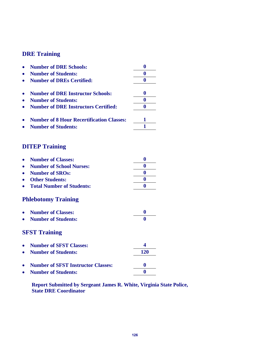| <b>Number of DRE Schools:</b>                    |   |
|--------------------------------------------------|---|
| <b>Number of Students:</b>                       |   |
| <b>Number of DREs Certified:</b>                 |   |
| <b>Number of DRE Instructor Schools:</b>         | o |
| <b>Number of Students:</b>                       |   |
| <b>Number of DRE Instructors Certified:</b>      |   |
| <b>Number of 8 Hour Recertification Classes:</b> |   |
| <b>Number of Students:</b>                       |   |
|                                                  |   |

# **DITEP Training**

| • Number of Classes:        |  |
|-----------------------------|--|
| • Number of School Nurses:  |  |
| • Number of SROs:           |  |
| • Other Students:           |  |
| • Total Number of Students: |  |

# **Phlebotomy Training**

| • Number of Classes:  |  |
|-----------------------|--|
| • Number of Students: |  |

# **SFST Training**

| • Number of SFST Classes:            |     |
|--------------------------------------|-----|
| • Number of Students:                | 120 |
| • Number of SFST Instructor Classes: |     |
| • Number of Students:                |     |

**Report Submitted by Sergeant James R. White, Virginia State Police, State DRE Coordinator**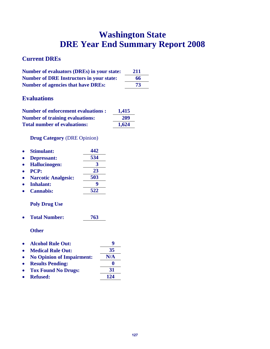# **Washington State DRE Year End Summary Report 2008**

# **Current DREs**

| <b>Number of evaluators (DREs) in your state:</b> | 211 |
|---------------------------------------------------|-----|
| <b>Number of DRE Instructors in your state:</b>   | 66  |
| <b>Number of agencies that have DREs:</b>         | 73  |

# **Evaluations**

| <b>Number of enforcement evaluations :</b> | 1,415 |
|--------------------------------------------|-------|
| <b>Number of training evaluations:</b>     | 209   |
| <b>Total number of evaluations:</b>        | 1,624 |

## **Drug Category** (DRE Opinion)

| <b>Stimulant:</b>          | 442 |
|----------------------------|-----|
| Depressant:                | 534 |
| <b>Hallucinogen:</b>       | 3   |
| <b>PCP:</b>                | 23  |
| <b>Narcotic Analgesic:</b> | 503 |
| <b>Inhalant:</b>           |     |
| <b>Cannabis:</b>           | 522 |
|                            |     |

## **Poly Drug Use**

**Total Number: 763** 

- **Alcohol Rule Out: 9**
- **Medical Rule Out: 35**
- **No Opinion of Impairment: N/A**
- **Results Pending: 0**
- Tox Found No Drugs: 31
- Refused: 124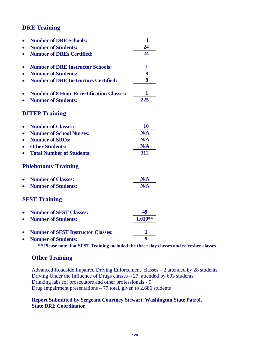|           | <b>Number of DRE Schools:</b>                    | 1       |
|-----------|--------------------------------------------------|---------|
|           | <b>Number of Students:</b>                       | 24      |
|           | <b>Number of DREs Certified:</b>                 | 24      |
|           | <b>Number of DRE Instructor Schools:</b>         | 1       |
|           | <b>Number of Students:</b>                       | 8       |
|           | <b>Number of DRE Instructors Certified:</b>      | 8       |
|           | <b>Number of 8 Hour Recertification Classes:</b> | 1       |
|           | <b>Number of Students:</b>                       | 225     |
|           |                                                  |         |
|           | <b>DITEP Training</b>                            |         |
| $\bullet$ | <b>Number of Classes:</b>                        | 10      |
|           | <b>Number of School Nurses:</b>                  | N/A     |
|           | <b>Number of SROs:</b>                           | N/A     |
|           | <b>Other Students:</b>                           | N/A     |
|           | <b>Total Number of Students:</b>                 | 312     |
|           | <b>Phlebotomy Training</b>                       |         |
|           | <b>Number of Classes:</b>                        | N/A     |
|           | <b>Number of Students:</b>                       | N/A     |
|           | <b>SFST Training</b>                             |         |
|           | <b>Number of SFST Classes:</b>                   | 49      |
|           | <b>Number of Students:</b>                       | 1,010** |
|           | <b>Number of SFST Instructor Classes:</b>        | 1       |
|           | <b>Number of Students:</b>                       | 9       |
|           |                                                  |         |

**\*\* Please note that SFST Training included the three-day classes and refresher classes.** 

# **Other Training**

Advanced Roadside Impaired Driving Enforcement classes – 2 attended by 28 students Driving Under the Influence of Drugs classes – 27, attended by 693 students Drinking labs for prosecutors and other professionals - 9 Drug Impairment presentations – 77 total, given to 2,686 students

#### **Report Submitted by Sergeant Courtney Stewart, Washington State Patrol, State DRE Coordinator**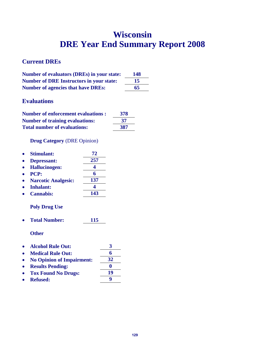# **Wisconsin DRE Year End Summary Report 2008**

# **Current DREs**

| <b>Number of evaluators (DREs) in your state:</b> | 148 |
|---------------------------------------------------|-----|
| <b>Number of DRE Instructors in your state:</b>   | 15  |
| <b>Number of agencies that have DREs:</b>         | 65  |

# **Evaluations**

| <b>Number of enforcement evaluations:</b> | 378 |
|-------------------------------------------|-----|
| <b>Number of training evaluations:</b>    | 37  |
| <b>Total number of evaluations:</b>       | 387 |

**Drug Category** (DRE Opinion)

| $\bullet$ | <b>Stimulant:</b>          | 72  |
|-----------|----------------------------|-----|
|           | <b>Depressant:</b>         | 257 |
|           | <b>Hallucinogen:</b>       |     |
|           | <b>PCP:</b>                |     |
|           | <b>Narcotic Analgesic:</b> | 137 |
|           | <b>Inhalant:</b>           |     |

**Cannabis: 143** 

## **Poly Drug Use**

**Total Number: 115** 

- Alcohol Rule Out:  $\frac{3}{6}$ **Medical Rule Out: 6**
- **No Opinion of Impairment: 32**
- 
- Results Pending: 0<br>• Tox Found No Drugs: 19 **• Tox Found No Drugs:**
- Refused: 9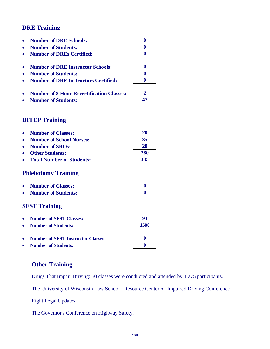| <b>Number of DRE Schools:</b>                    |    |
|--------------------------------------------------|----|
| <b>Number of Students:</b>                       |    |
| <b>Number of DREs Certified:</b>                 |    |
| <b>Number of DRE Instructor Schools:</b>         |    |
| <b>Number of Students:</b>                       |    |
| <b>Number of DRE Instructors Certified:</b>      |    |
| <b>Number of 8 Hour Recertification Classes:</b> |    |
| <b>Number of Students:</b>                       | 47 |

# **DITEP Training**

| <b>Number of Classes:</b>                 | 20          |
|-------------------------------------------|-------------|
| <b>Number of School Nurses:</b>           | 35          |
| <b>Number of SROs:</b>                    | 20          |
| <b>Other Students:</b>                    | <b>280</b>  |
| <b>Total Number of Students:</b>          | 335         |
| <b>Phlebotomy Training</b>                |             |
| <b>Number of Classes:</b>                 | $\mathbf 0$ |
| <b>Number of Students:</b>                | 0           |
| <b>SFST Training</b>                      |             |
| <b>Number of SFST Classes:</b>            | 93          |
| <b>Number of Students:</b>                | 1500        |
| <b>Number of SFST Instructor Classes:</b> | 0           |
| <b>Number of Students:</b>                | 0           |

## **Other Training**

Drugs That Impair Driving: 50 classes were conducted and attended by 1,275 participants.

The University of Wisconsin Law School - Resource Center on Impaired Driving Conference

Eight Legal Updates

The Governor's Conference on Highway Safety.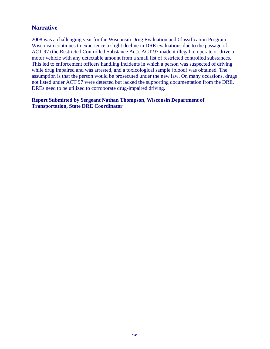## **Narrative**

2008 was a challenging year for the Wisconsin Drug Evaluation and Classification Program. Wisconsin continues to experience a slight decline in DRE evaluations due to the passage of ACT 97 (the Restricted Controlled Substance Act). ACT 97 made it illegal to operate or drive a motor vehicle with any detectable amount from a small list of restricted controlled substances. This led to enforcement officers handling incidents in which a person was suspected of driving while drug impaired and was arrested, and a toxicological sample (blood) was obtained. The assumption is that the person would be prosecuted under the new law. On many occasions, drugs not listed under ACT 97 were detected but lacked the supporting documentation from the DRE. DREs need to be utilized to corroborate drug-impaired driving.

#### **Report Submitted by Sergeant Nathan Thompson, Wisconsin Department of Transportation, State DRE Coordinator**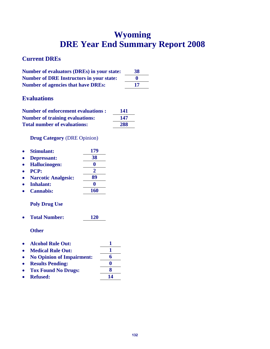# **Wyoming DRE Year End Summary Report 2008**

# **Current DREs**

| <b>Number of evaluators (DREs) in your state:</b> | 38        |
|---------------------------------------------------|-----------|
| <b>Number of DRE Instructors in your state:</b>   | $\bullet$ |
| <b>Number of agencies that have DREs:</b>         | 17        |

# **Evaluations**

| <b>Number of enforcement evaluations:</b> | 141 |
|-------------------------------------------|-----|
| <b>Number of training evaluations:</b>    | 147 |
| <b>Total number of evaluations:</b>       | 288 |

## **Drug Category** (DRE Opinion)

|             | <b>Stimulant:</b>          | 179 |
|-------------|----------------------------|-----|
|             | Depressant:                | 38  |
|             | <b>Hallucinogen:</b>       |     |
| <b>PCP:</b> |                            | 2   |
|             | <b>Narcotic Analgesic:</b> | 89  |
|             | <b>Inhalant:</b>           |     |
|             | <b>Cannabis:</b>           | 160 |
|             |                            |     |

## **Poly Drug Use**

**Total Number: 120** 

- **Alcohol Rule Out: 1**
- Medical Rule Out: 1
- **No Opinion of Impairment: 6**
- **e** Results Pending: 0
- **Tox Found No Drugs: 8**
- Refused: 14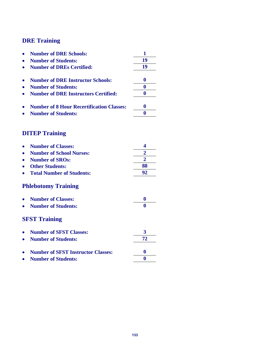|           | <b>Number of DRE Schools:</b>                    | 1              |
|-----------|--------------------------------------------------|----------------|
|           | <b>Number of Students:</b>                       | 19             |
|           | <b>Number of DREs Certified:</b>                 | 19             |
|           |                                                  |                |
| $\bullet$ | <b>Number of DRE Instructor Schools:</b>         | $\bf{0}$       |
|           | <b>Number of Students:</b>                       | $\bf{0}$       |
|           | <b>Number of DRE Instructors Certified:</b>      | $\bf{0}$       |
|           | <b>Number of 8 Hour Recertification Classes:</b> | $\bf{0}$       |
|           | <b>Number of Students:</b>                       | $\bf{0}$       |
|           | <b>DITEP Training</b>                            |                |
|           | <b>Number of Classes:</b>                        | 4              |
|           |                                                  | $\overline{2}$ |
|           | <b>Number of School Nurses:</b>                  | $\overline{2}$ |
|           | <b>Number of SROs:</b>                           |                |
|           | <b>Other Students:</b>                           | 88             |
|           | <b>Total Number of Students:</b>                 | 92             |
|           | <b>Phlebotomy Training</b>                       |                |
|           | <b>Number of Classes:</b>                        | $\bf{0}$       |
|           | <b>Number of Students:</b>                       | 0              |
|           | <b>SFST Training</b>                             |                |
|           | <b>Number of SFST Classes:</b>                   | 3              |
|           | <b>Number of Students:</b>                       | 72             |
|           | <b>Number of SFST Instructor Classes:</b>        | 0              |
|           | <b>Number of Students:</b>                       | $\bf{0}$       |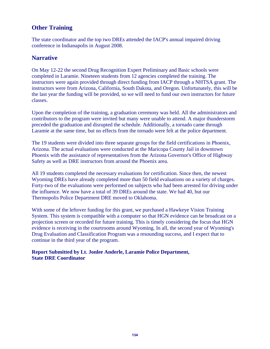# **Other Training**

The state coordinator and the top two DREs attended the IACP's annual impaired driving conference in Indianapolis in August 2008.

## **Narrative**

On May 12-22 the second Drug Recognition Expert Preliminary and Basic schools were completed in Laramie. Nineteen students from 12 agencies completed the training. The instructors were again provided through direct funding from IACP through a NHTSA grant. The instructors were from Arizona, California, South Dakota, and Oregon. Unfortunately, this will be the last year the funding will be provided, so we will need to fund our own instructors for future classes.

Upon the completion of the training, a graduation ceremony was held. All the administrators and contributors to the program were invited but many were unable to attend. A major thunderstorm preceded the graduation and disrupted the schedule. Additionally, a tornado came through Laramie at the same time, but no effects from the tornado were felt at the police department.

The 19 students were divided into three separate groups for the field certifications in Phoenix, Arizona. The actual evaluations were conducted at the Maricopa County Jail in downtown Phoenix with the assistance of representatives from the Arizona Governor's Office of Highway Safety as well as DRE instructors from around the Phoenix area.

All 19 students completed the necessary evaluations for certification. Since then, the newest Wyoming DREs have already completed more than 50 field evaluations on a variety of charges. Forty-two of the evaluations were performed on subjects who had been arrested for driving under the influence. We now have a total of 39 DREs around the state. We had 40, but our Thermopolis Police Department DRE moved to Oklahoma.

With some of the leftover funding for this grant, we purchased a Hawkeye Vision Training System. This system is compatible with a computer so that HGN evidence can be broadcast on a projection screen or recorded for future training. This is timely considering the focus that HGN evidence is receiving in the courtrooms around Wyoming. In all, the second year of Wyoming's Drug Evaluation and Classification Program was a resounding success, and I expect that to continue in the third year of the program.

**Report Submitted by Lt. Jonlee Anderle, Laramie Police Department, State DRE Coordinator**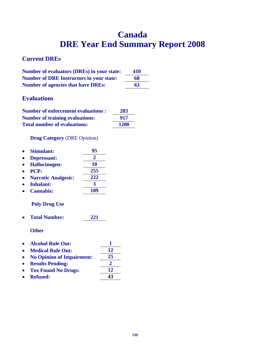# **Canada DRE Year End Summary Report 2008**

# **Current DREs**

| <b>Number of evaluators (DREs) in your state:</b> | 410 |
|---------------------------------------------------|-----|
| <b>Number of DRE Instructors in your state:</b>   | 68  |
| <b>Number of agencies that have DREs:</b>         | 63  |

# **Evaluations**

| <b>Number of enforcement evaluations:</b> | 283         |
|-------------------------------------------|-------------|
| <b>Number of training evaluations:</b>    | 917         |
| <b>Total number of evaluations:</b>       | <b>1200</b> |

## **Drug Category** (DRE Opinion)

| <b>Stimulant:</b>          | 95        |
|----------------------------|-----------|
| Depressant:                | 2         |
| <b>Hallucinogen:</b>       | <b>10</b> |
| PCP:                       | 255       |
| <b>Narcotic Analgesic:</b> | 222       |
| <b>Inhalant:</b>           | 3         |
| <b>Cannabis:</b>           | 109       |

# **Poly Drug Use**

• Total Number: 221

**Other** 

|           | • Alcohol Rule Out:         |    |
|-----------|-----------------------------|----|
|           | • Medical Rule Out:         | 12 |
|           | • No Opinion of Impairment: | 25 |
| $\bullet$ | <b>Results Pending:</b>     |    |
|           | • Tox Found No Drugs:       | 12 |

• Tox Found No Drugs.  $\frac{12}{43}$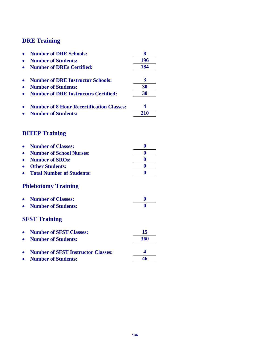| <b>Number of DRE Schools:</b>                    |     |
|--------------------------------------------------|-----|
| <b>Number of Students:</b>                       | 196 |
| <b>Number of DREs Certified:</b>                 | 184 |
| <b>Number of DRE Instructor Schools:</b>         |     |
| <b>Number of Students:</b>                       | 30  |
| <b>Number of DRE Instructors Certified:</b>      | 30  |
| <b>Number of 8 Hour Recertification Classes:</b> |     |
| <b>Number of Students:</b>                       | 210 |

# **DITEP Training**

| <b>Number of Classes:</b>                 | 0   |
|-------------------------------------------|-----|
| <b>Number of School Nurses:</b>           | 0   |
| <b>Number of SROs:</b>                    | 0   |
| <b>Other Students:</b>                    | 0   |
| <b>Total Number of Students:</b>          | 0   |
| <b>Phlebotomy Training</b>                |     |
| <b>Number of Classes:</b>                 | 0   |
| <b>Number of Students:</b>                | 0   |
| <b>SFST Training</b>                      |     |
| <b>Number of SFST Classes:</b>            | 15  |
| <b>Number of Students:</b>                | 360 |
| <b>Number of SFST Instructor Classes:</b> | 4   |
| <b>Number of Students:</b>                | 46  |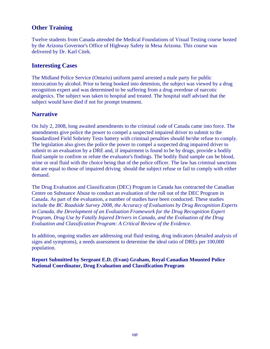# **Other Training**

Twelve students from Canada attended the Medical Foundations of Visual Testing course hosted by the Arizona Governor's Office of Highway Safety in Mesa Arizona. This course was delivered by Dr. Karl Citek.

## **Interesting Cases**

The Midland Police Service (Ontario) uniform patrol arrested a male party for public intoxication by alcohol. Prior to being booked into detention, the subject was viewed by a drug recognition expert and was determined to be suffering from a drug overdose of narcotic analgesics. The subject was taken to hospital and treated. The hospital staff advised that the subject would have died if not for prompt treatment.

## **Narrative**

On July 2, 2008, long awaited amendments to the criminal code of Canada came into force. The amendments give police the power to compel a suspected impaired driver to submit to the Standardized Field Sobriety Tests battery with criminal penalties should he/she refuse to comply. The legislation also gives the police the power to compel a suspected drug impaired driver to submit to an evaluation by a DRE and, if impairment is found to be by drugs, provide a bodily fluid sample to confirm or refute the evaluator's findings. The bodily fluid sample can be blood, urine or oral fluid with the choice being that of the police officer. The law has criminal sanctions that are equal to those of impaired driving should the subject refuse or fail to comply with either demand.

The Drug Evaluation and Classification (DEC) Program in Canada has contracted the Canadian Centre on Substance Abuse to conduct an evaluation of the roll out of the DEC Program in Canada. As part of the evaluation, a number of studies have been conducted. These studies include the *BC Roadside Survey 2008, the Accuracy of Evaluations by Drug Recognition Experts in Canada, the Development of an Evaluation Framework for the Drug Recognition Expert Program, Drug Use by Fatally Injured Drivers in Canada, and the Evaluation of the Drug Evaluation and Classification Program: A Critical Review of the Evidence.* 

In addition, ongoing studies are addressing oral fluid testing, drug indicators (detailed analysis of signs and symptoms), a needs assessment to determine the ideal ratio of DREs per 100,000 population.

**Report Submitted by Sergeant E.D. (Evan) Graham, Royal Canadian Mounted Police National Coordinator, Drug Evaluation and Classification Program**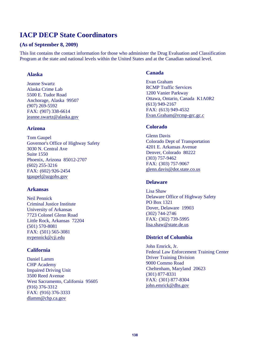# **IACP DECP State Coordinators**

#### **(As of September 8, 2009)**

This list contains the contact information for those who administer the Drug Evaluation and Classification Program at the state and national levels within the United States and at the Canadian national level.

#### **Alaska**

Jeanne Swartz Alaska Crime Lab 5500 E. Tudor Road Anchorage, Alaska 99507 (907) 269-5592 FAX: (907) 338-6614 jeanne.swartz@alaska.gov

#### **Arizona**

Tom Gaupel Governor's Office of Highway Safety 3030 N. Central Ave Suite 1550 Phoenix, Arizona 85012-2707 (602) 255-3216 FAX: (602) 926-2454 tgaupel@azgohs.gov

#### **Arkansas**

Neil Pennick Criminal Justice Institute University of Arkansas 7723 Colonel Glenn Road Little Rock, Arkansas 72204 (501) 570-8081 FAX: (501) 565-3081 nvpennick@cji.edu

#### **California**

Daniel Lamm CHP Academy Impaired Driving Unit 3500 Reed Avenue West Sacramento, California 95605 (916) 376-3312 FAX: (916) 376-3333 dlamm@chp.ca.gov

#### **Canada**

Evan Graham RCMP Traffic Services 1200 Vanier Parkway Ottawa, Ontario, Canada K1A0R2 (613) 949-2167 FAX: (613) 949-4532 Evan.Graham@rcmp-grc.gc.c

#### **Colorado**

Glenn Davis Colorado Dept of Transportation 4201 E. Arkansas Avenue Denver, Colorado 80222 (303) 757-9462 FAX: (303) 757-9067 glenn.davis@dot.state.co.us

#### **Delaware**

Lisa Shaw Delaware Office of Highway Safety PO Box 1321 Dover, Delaware 19903 (302) 744-2746 FAX: (302) 739-5995 lisa.shaw@state.de.us

#### **District of Columbia**

John Emrick, Jr. Federal Law Enforcement Training Center Driver Training Division 9000 Commo Road Cheltenham, Maryland 20623 (301) 877-8331 FAX: (301) 877-8304 john.emrick@dhs.gov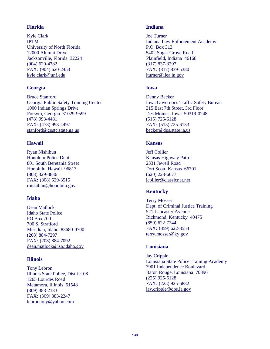#### **Florida**

Kyle Clark IPTM University of North Florida 12000 Alumni Drive Jacksonville, Florida 32224 (904) 620-4782 FAX: (904) 620-2453 kyle.clark@unf.edu

### **Georgia**

Bruce Stanford Georgia Public Safety Training Center 1000 Indian Springs Drive Forsyth, Georgia 31029-9599 (478) 993-4481 FAX: (478) 993-4497 stanford@gpstc.state.ga.us

### **Hawaii**

Ryan Nishibun Honolulu Police Dept. 801 South Beretania Street Honolulu, Hawaii 96813 (808) 329-3836 FAX: (808) 529-3515 rnishibun@honolulu.gov.

### **Idaho**

Dean Matlock Idaho State Police PO Box 700 700 S. Stratford Meridian, Idaho 83680-0700 (208) 884-7297 FAX: (208) 884-7092 dean.matlock@isp.idaho.gov

### **Illinois**

Tony Lebron Illinois State Police, District 08 1265 Lourdes Road Metamora, Illinois 61548 (309) 383-2133 FAX: (309) 383-2247 lebrontony@yahoo.com

#### **Indiana**

Joe Turner Indiana Law Enforcement Academy P.O. Box 313 5402 Sugar Grove Road Plainfield, Indiana 46168 (317) 837-3297 FAX: (317) 839-5380 jturner@ilea.in.gov

### **Iowa**

Denny Becker Iowa Governor's Traffic Safety Bureau 215 East 7th Street, 3rd Floor Des Moines, Iowa 50319-0248 (515) 725-6128 FAX: (515) 725-6133 becker@dps.state.ia.us

### **Kansas**

Jeff Collier Kansas Highway Patrol 2331 Jewell Road Fort Scott, Kansas 66701 (620) 223-6077 jcollier@classicnet.net

### **Kentucky**

Terry Mosser Dept. of Criminal Justice Training 521 Lancaster Avenue Richmond, Kentucky 40475 (859) 622-7244 FAX: (859) 622-8554 terry.mosser@ky.gov

### **Louisiana**

Jay Cripple Louisiana State Police Training Academy 7901 Independence Boulevard Baton Rouge, Louisiana 70896 (225) 925-6128 FAX: (225) 925-6882 jay.cripple@dps.la.gov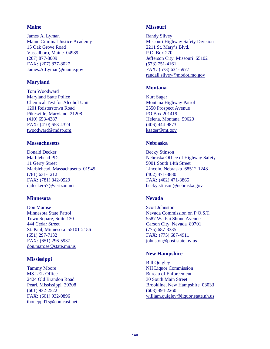#### **Maine**

James A. Lyman Maine Criminal Justice Academy 15 Oak Grove Road Vassalboro, Maine 04989 (207) 877-8009 FAX: (207) 877-8027 James.A.Lyman@maine.gov

#### **Maryland**

Tom Woodward Maryland State Police Chemical Test for Alcohol Unit 1201 Reisterstown Road Pikesville, Maryland 21208 (410) 653-4387 FAX: (410) 653-4324 twoodward@mdsp.org

#### **Massachusetts**

Donald Decker Marblehead PD 11 Gerry Street Marblehead, Massachusetts 01945 (781) 631-1212 FAX: (781) 842-0529 djdecker57@verizon.net

#### **Minnesota**

Don Marose Minnesota State Patrol Town Square, Suite 130 444 Cedar Street St. Paul, Minnesota 55101-2156 (651) 297-7132 FAX: (651) 296-5937 don.marose@state.mn.us

#### **Mississippi**

Tammy Moore MS LEL Office 2424 Old Brandon Road Pearl, Mississippi 39208 (601) 932-2522 FAX: (601) 932-0896 tboneppd15@comcast.net

#### **Missouri**

Randy Silvey Missouri Highway Safety Division 2211 St. Mary's Blvd. P.O. Box 270 Jefferson City, Missouri 65102 (573) 751-4161 FAX: (573) 634-5977 randall.silvey@modot.mo.gov

#### **Montana**

Kurt Sager Montana Highway Patrol 2550 Prospect Avenue PO Box 201419 Helena, Montana 59620 (406) 444-9873 ksager@mt.gov

#### **Nebraska**

Becky Stinson Nebraska Office of Highway Safety 5001 South 14th Street Lincoln, Nebraska 68512-1248 (402) 471-3880 FAX: (402) 471-3865 becky.stinson@nebraska.gov

### **Nevada**

Scott Johnston Nevada Commission on P.O.S.T. 5587 Wa Pai Shone Avenue Carson City, Nevada 89701 (775) 687-3335 FAX: (775) 687-4911 johnston@post.state.nv.us

### **New Hampshire**

Bill Quigley NH Liquor Commission Bureau of Enforcement 30 South Main Street Brookline, New Hampshire 03033 (603) 494-2260 william.quigley@liquor.state.nh.us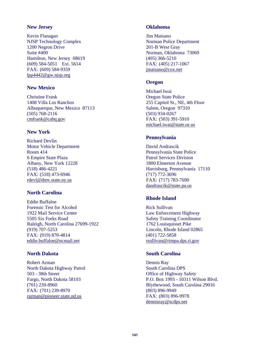#### **New Jersey**

Kevin Flanagan NJSP Technology Complex 1200 Negron Drive Suite #400 Hamilton, New Jersey 08619 (609) 584-5051 Ext. 5614 FAX: (609) 584-9359 lpp4442@gw.njsp.org

#### **New Mexico**

Christine Frank 1408 Villa Los Ranchos Albuquerque, New Mexico 87113 (505) 768-2116 cmfrank@cabq.gov

### **New York**

Richard Devlin Motor Vehicle Department Room 414 6 Empire State Plaza Albany, New York 12228 (518) 486-4221 FAX: (518) 473-6946 rdevl@dmv.state.ny.us

### **North Carolina**

Eddie Buffaloe Forensic Test for Alcohol 1922 Mail Service Center 5505 Six Forks Road Raleigh, North Carolina 27699-1922 (919) 707-5253 FAX: (919) 870-4814 eddie.buffaloe@ncmail.net

### **North Dakota**

Robert Arman North Dakota Highway Patrol 503 - 38th Street Fargo, North Dakota 58103 (701) 239-8960 FAX: (701) 239-8970 rarman@pioneer.state.nd.us

#### **Oklahoma**

Jim Maisano Norman Police Department 201-B West Gray Norman, Oklahoma 73069 (405) 366-5210 FAX: (405) 217-1067 jmaisano@cox.net

#### **Oregon**

Michael Iwai Oregon State Police 255 Capitol St., NE, 4th Floor Salem, Oregon 97310 (503) 934-0267 FAX: (503) 391-5910 michael.iwai@state.or.us

#### **Pennsylvania**

David Andrascik Pennsylvania State Police Patrol Services Division 1800 Elmerton Avenue Harrisburg, Pennsylvania 17110 (717) 772-3696 FAX: (717) 783-7690 dandrascik@state.pa.us

### **Rhode Island**

Rick Sullivan Law Enforcement Highway Safety Training Coordinator 1762 Louisquisset Pike Lincoln, Rhode Island 02865 (401) 722-5858 rsullivan@rimpa.dps.ri.gov

### **South Carolina**

Dennis Ray South Carolina DPS Office of Highway Safety P.O. Box 1993 - 10311 Wilson Blvd. Blythewood, South Carolina 29016 (803) 896-9949 FAX: (803) 896-9978 dennisray@scdps.net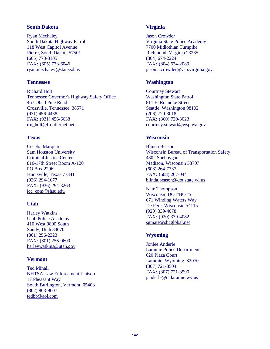#### **South Dakota**

Ryan Mechaley South Dakota Highway Patrol 118 West Capitol Avenue Pierre, South Dakota 57501 (605) 773-3105 FAX: (605) 773-6046 ryan.mechaley@state.sd.us

#### **Tennessee**

Richard Holt Tennessee Governor's Highway Safety Office 467 Obed Pine Road Crossville, Tennessee 38571 (931) 456-4438 FAX: (931) 456-6638 rm\_holt@frontiernet.net

#### **Texas**

Cecelia Marquart Sam Houston University Criminal Justice Center 816-17th Street Room A-120 PO Box 2296 Huntsville, Texas 77341 (936) 294-1677 FAX: (936) 294-3263 icc\_cpm@shsu.edu

### **Utah**

Harley Watkins Utah Police Academy 410 West 9800 South Sandy, Utah 84070 (801) 256-2323 FAX: (801) 256-0600 harleywatkins@utah.gov

#### **Vermont**

Ted Minall NHTSA Law Enforcement Liaison 17 Pheasant Way South Burlington, Vermont 05403 (802) 863-9607 tedbb@aol.com

### **Virginia**

Jason Crowder Virginia State Police Academy 7700 Midlothian Turnpike Richmond, Virginia 23235 (804) 674-2224 FAX: (804) 674-2089 jason.a.crowder@vsp.virginia.gov

#### **Washington**

Courtney Stewart Washington State Patrol 811 E. Roanoke Street Seattle, Washington 98102 (206) 720-3018 FAX: (360) 720-3023 courtney.stewart@wsp.wa.gov

#### **Wisconsin**

Blinda Beason Wisconsin Bureau of Transportation Safety 4802 Sheboygan Madison, Wisconsin 53707 (608) 264-7337 FAX: (608) 267-0441 blinda.beason@dot.state.wi.us

 Nate Thompson Wisconsin DOT/BOTS 671 Winding Waters Way De Pere, Wisconsin 54115 (920) 339-4078 FAX: (920) 339-4082 sgtnate@sbcglobal.net

### **Wyoming**

Jonlee Anderle Laramie Police Department 620 Plaza Court Laramie, Wyoming 82070 (307) 721-3504 FAX: (307) 721-3590 janderle@ci.laramie.wy.us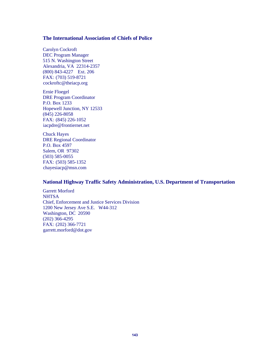#### **The International Association of Chiefs of Police**

 Carolyn Cockroft DEC Program Manager 515 N. Washington Street Alexandria, VA 22314-2357 (800) 843-4227 Ext. 206 FAX: (703) 519-8721 cockroftc@theiacp.org

Ernie Floegel DRE Program Coordinator P.O. Box 1233 Hopewell Junction, NY 12533 (845) 226-8058 FAX: (845) 226-1052 iacpdre@frontiernet.net

Chuck Hayes DRE Regional Coordinator P.O. Box 4597 Salem, OR 97302 (503) 585-0055 FAX: (503) 585-1352 chayesiacp@msn.com

#### **National Highway Traffic Safety Administration, U.S. Department of Transportation**

Garrett Morford **NHTSA** Chief, Enforcement and Justice Services Division 1200 New Jersey Ave S.E. W44-312 Washington, DC 20590 (202) 366-4295 FAX: (202) 366-7721 garrett.morford@dot.gov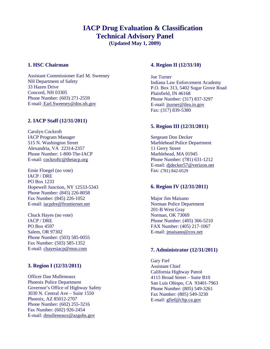## **IACP Drug Evaluation & Classification Technical Advisory Panel**

**(Updated May 1, 2009)** 

#### **1. HSC Chairman**

Assistant Commissioner Earl M. Sweeney NH Department of Safety 33 Hazen Drive Concord, NH 03305 Phone Number: (603) 271-2559 E-mail: Earl.Sweeney@dos.nh.gov

#### **2. IACP Staff (12/31/2011)**

Carolyn Cockroft IACP Program Manager 515 N. Washington Street Alexandria, VA 22314-2357 Phone Number: 1-800-The-IACP E-mail: cockroftc@theiacp.org

Ernie Floegel (no vote) IACP / DRE PO Box 1233 Hopewell Junction, NY 12533-5343 Phone Number: (845) 226-8058 Fax Number: (845) 226-1052 E-mail: iacpdre@frontiernet.net

Chuck Hayes (no vote) IACP / DRE PO Box 4597 Salem, OR 97302 Phone Number: (503) 585-0055 Fax Number: (503) 585-1352 E-mail: chayesiacp@msn.com

#### **3. Region I (12/31/2011)**

Officer Dan Mulleneaux Phoenix Police Department Governor's Office of Highway Safety 3030 N. Central Ave – Suite 1550 Phoenix, AZ 85012-2707 Phone Number: (602) 255-3216 Fax Number: (602) 926-2454 E-mail: dmulleneaux@azgohs.gov

#### **4. Region II (12/31/10)**

 Joe Turner Indiana Law Enforcement Academy P.O. Box 313, 5402 Sugar Grove Road Plainfield, IN 46168 Phone Number: (317) 837-3297 E-mail: jturner@ilea.in.gov Fax: (317) 839-5380

#### **5. Region III (12/31/2011)**

Sergeant Don Decker Marblehead Police Department 11 Gerry Street Marblehead, MA 01945 Phone Number: (781) 631-1212 E-mail: djdecker57@verizon.net Fax: (781) 842-0529

#### **6. Region IV (12/31/2011)**

Major Jim Maisano Norman Police Department 201-B West Gray Norman, OK 73069 Phone Number: (405) 366-5210 FAX Number: (405) 217-1067 E-mail: jmaisano@cox.net

#### **7. Administrator (12/31/2011)**

Gary Fief Assistant Chief California Highway Patrol 4115 Broad Street – Suite B10 San Luis Obispo, CA 93401-7963 Phone Number: (805) 549-3261 Fax Number: (805) 549-3230 E-mail: gfief@chp.ca.gov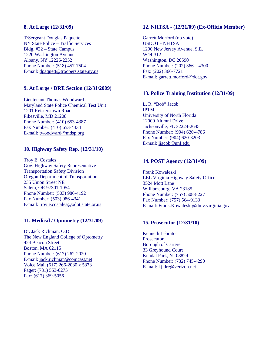#### **8. At Large (12/31/09)**

T/Sergeant Douglas Paquette NY State Police – Traffic Services Bldg. #22 – State Campus 1220 Washington Avenue Albany, NY 12226-2252 Phone Number: (518) 457-7504 E-mail: dpaquett@troopers.state.ny.us

#### **9. At Large / DRE Section (12/31/2009)**

Lieutenant Thomas Woodward Maryland State Police Chemical Test Unit 1201 Reisterstown Road Pikesville, MD 21208 Phone Number: (410) 653-4387 Fax Number: (410) 653-4334 E-mail: twoodward@mdsp.org

#### **10. Highway Safety Rep. (12/31/10)**

 Troy E. Costales Gov. Highway Safety Representative Transportation Safety Division Oregon Department of Transportation 235 Union Street NE Salem, OR 97301-1054 Phone Number: (503) 986-4192 Fax Number: (503) 986-4341 E-mail: troy.e.costales@odot.state.or.us

#### **11. Medical / Optometry (12/31/09)**

Dr. Jack Richman, O.D. The New England College of Optometry 424 Beacon Street Boston, MA 02115 Phone Number: (617) 262-2020 E-mail: jack.richman@comcast.net Voice Mail (617) 266-2030 x 5373 Pager: (781) 553-0275 Fax: (617) 369-5056

#### **12. NHTSA - (12/31/09) (Ex-Officio Member)**

Garrett Morford (no vote) USDOT - NHTSA 1200 New Jersey Avenue, S.E. W44-312 Washington, DC 20590 Phone Number: (202) 366 – 4300 Fax: (202) 366-7721 E-mail: garrett.morford@dot.gov

#### **13. Police Training Institution (12/31/09)**

L. R. "Bob" Jacob IPTM University of North Florida 12000 Alumni Drive Jacksonville, FL 32224-2645 Phone Number: (904) 620-4786 Fax Number: (904) 620-3203 E-mail: ljacob@unf.edu

#### **14. POST Agency (12/31/09)**

Frank Kowaleski LEL Virginia Highway Safety Office 3524 Mott Lane Williamsburg, VA 23185 Phone Number: (757) 508-8227 Fax Number: (757) 564-9133 E-mail: Frank.Kowaleski@dmv.virginia.gov

#### **15. Prosecutor (12/31/10)**

Kenneth Lebrato **Prosecutor** Borough of Carteret 33 Greyhound Court Kendal Park, NJ 08824 Phone Number: (732) 745-4290 E-mail: kjldre@verizon.net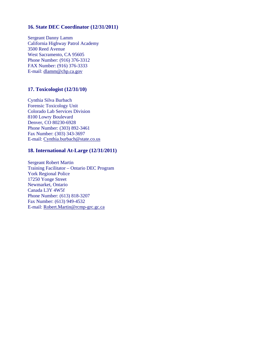#### **16. State DEC Coordinator (12/31/2011)**

Sergeant Danny Lamm California Highway Patrol Academy 3500 Reed Avenue West Sacramento, CA 95605 Phone Number: (916) 376-3312 FAX Number: (916) 376-3333 E-mail: dlamm@chp.ca.gov

#### **17. Toxicologist (12/31/10)**

Cynthia Silva Burbach Forensic Toxicology Unit Colorado Lab Services Division 8100 Lowry Boulevard Denver, CO 80230-6928 Phone Number: (303) 892-3461 Fax Number: (303) 343-3697 E-mail: Cynthia.burbach@state.co.us

#### **18. International At-Large (12/31/2011)**

Sergeant Robert Martin Training Facilitator – Ontario DEC Program York Regional Police 17250 Yonge Street Newmarket, Ontario Canada L3Y 4W5f Phone Number: (613) 818-3207 Fax Number: (613) 949-4532 E-mail: Robert.Martin@rcmp-grc.gc.ca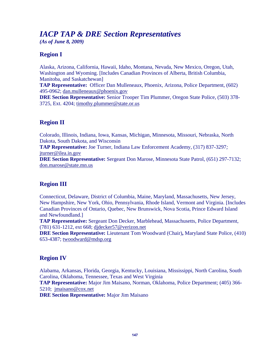## *IACP TAP & DRE Section Representatives*

*(As of June 8, 2009)* 

#### **Region I**

Alaska, Arizona, California, Hawaii, Idaho, Montana, Nevada, New Mexico, Oregon, Utah, Washington and Wyoming. [Includes Canadian Provinces of Alberta, British Columbia, Manitoba, and Saskatchewan] **TAP Representative:** Officer Dan Mulleneaux, Phoenix, Arizona, Police Department, (602) 495-0962; dan.mulleneaux@phoenix.gov **DRE Section Representative:** Senior Trooper Tim Plummer, Oregon State Police, (503) 378- 3725, Ext. 4204; timothy.plummer@state.or.us

#### **Region II**

Colorado, Illinois, Indiana, Iowa, Kansas, Michigan, Minnesota, Missouri, Nebraska, North Dakota, South Dakota, and Wisconsin **TAP Representative:** Joe Turner, Indiana Law Enforcement Academy, (317) 837-3297*;*  jturner@ilea.in.gov **DRE Section Representative:** Sergeant Don Marose, Minnesota State Patrol, (651) 297-7132; don.marose@state.mn.us

# **Region III**

Connecticut, Delaware, District of Columbia, Maine, Maryland, Massachusetts, New Jersey, New Hampshire, New York, Ohio, Pennsylvania, Rhode Island, Vermont and Virginia. [Includes Canadian Provinces of Ontario, Quebec, New Brunswick, Nova Scotia, Prince Edward Island and Newfoundland.]

**TAP Representative:** Sergeant Don Decker, Marblehead, Massachusetts, Police Department, (781) 631-1212, ext 668; djdecker57@verizon.net

**DRE Section Representative:** Lieutenant Tom Woodward (Chair)**,** Maryland State Police, (410) 653-4387; twoodward@mdsp.org

#### **Region IV**

Alabama, Arkansas, Florida, Georgia, Kentucky, Louisiana, Mississippi, North Carolina, South Carolina, Oklahoma, Tennessee, Texas and West Virginia

**TAP Representative:** Major Jim Maisano, Norman, Oklahoma, Police Department; (405) 366- 5210; jmaisano@cox.net

**DRE Section Representative:** Major Jim Maisano